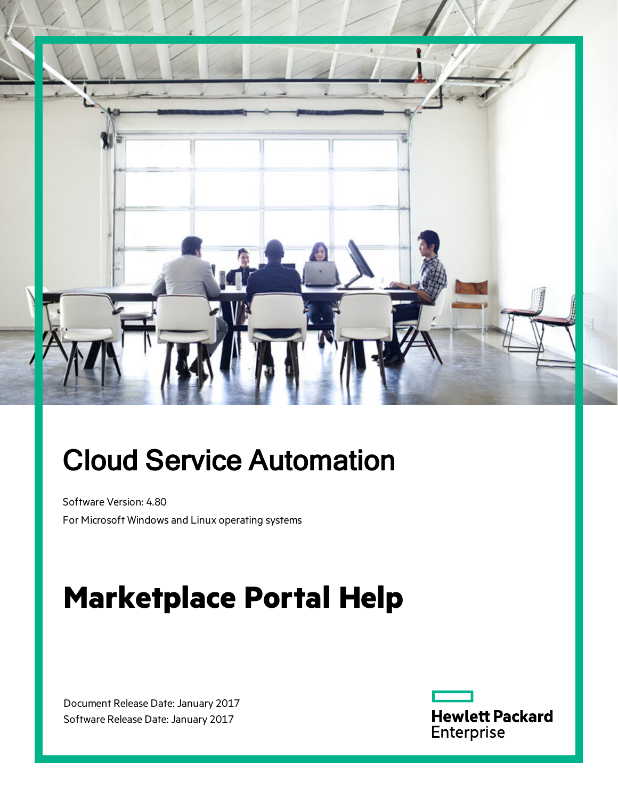

# Cloud Service Automation

Software Version: 4.80 For Microsoft Windows and Linux operating systems

# **Marketplace Portal Help**

Document Release Date: January 2017 Software Release Date: January 2017

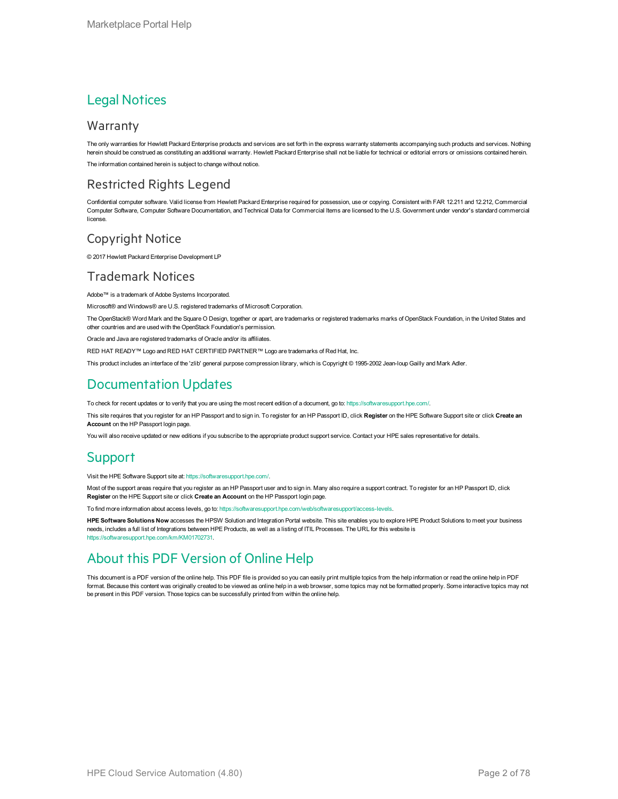#### Legal Notices

#### **Warranty**

The only warranties for Hewlett Packard Enterprise products and services are set forth in the express warranty statements accompanying such products and services. Nothing herein should be construed as constituting an additional warranty. Hewlett Packard Enterprise shall not be liable for technical or editorial errors or omissions contained herein. The information contained herein is subject to change without notice.

#### Restricted Rights Legend

Confidential computer software. Valid license from Hewlett Packard Enterprise required for possession, use or copying. Consistent with FAR 12.211 and 12.212, Commercial Computer Software, Computer Software Documentation, and Technical Data for Commercial Items are licensed to the U.S. Government under vendor's standard commercial license.

#### Copyright Notice

© 2017 Hewlett Packard Enterprise Development LP

#### Trademark Notices

Adobe™ is a trademark of Adobe Systems Incorporated.

Microsoft® and Windows® are U.S. registered trademarks of Microsoft Corporation.

The OpenStack® Word Mark and the Square O Design, together or apart, are trademarks or registered trademarks marks of OpenStack Foundation, in the United States and other countries and are used with the OpenStack Foundation's permission.

Oracle and Java are registered trademarks of Oracle and/or its affiliates.

RED HAT READY™ Logo and RED HAT CERTIFIED PARTNER™ Logo are trademarks of Red Hat, Inc.

This product includes an interface of the 'zlib' general purpose compression library, which is Copyright © 1995-2002 Jean-loup Gailly and Mark Adler.

#### Documentation Updates

To check for recent updates or to verify that you are using the most recent edition of a document, go to: <https://softwaresupport.hpe.com/>.

This site requires that you register for an HP Passport and to sign in. To register for an HP Passport ID, click **Register** on the HPE Software Support site or click **Create an Account** on the HP Passport login page.

You will also receive updated or new editions if you subscribe to the appropriate product support service. Contact your HPE sales representative for details.

#### **Support**

Visit the HPE Software Support site at: <https://softwaresupport.hpe.com/>.

Most of the support areas require that you register as an HP Passport user and to sign in. Many also require a support contract. To register for an HP Passport ID, click **Register** on the HPE Support site or click **Create an Account** on the HP Passport login page.

To find more information about access levels, go to: <https://softwaresupport.hpe.com/web/softwaresupport/access-levels>.

**HPE Software Solutions Now** accesses the HPSW Solution and Integration Portal website. This site enables you to explore HPE Product Solutions to meet your business needs, includes a full list of Integrations between HPE Products, as well as a listing of ITIL Processes. The URL for this website is [https://softwaresupport.hpe.com/km/KM01702731.](https://softwaresupport.hpe.com/km/KM01702731)

#### About this PDF Version of Online Help

This document is a PDF version of the online help. This PDF file is provided so you can easily print multiple topics from the help information or read the online help in PDF format. Because this content was originally created to be viewed as online help in a web browser, some topics may not be formatted properly. Some interactive topics may not be present in this PDF version. Those topics can be successfully printed from within the online help.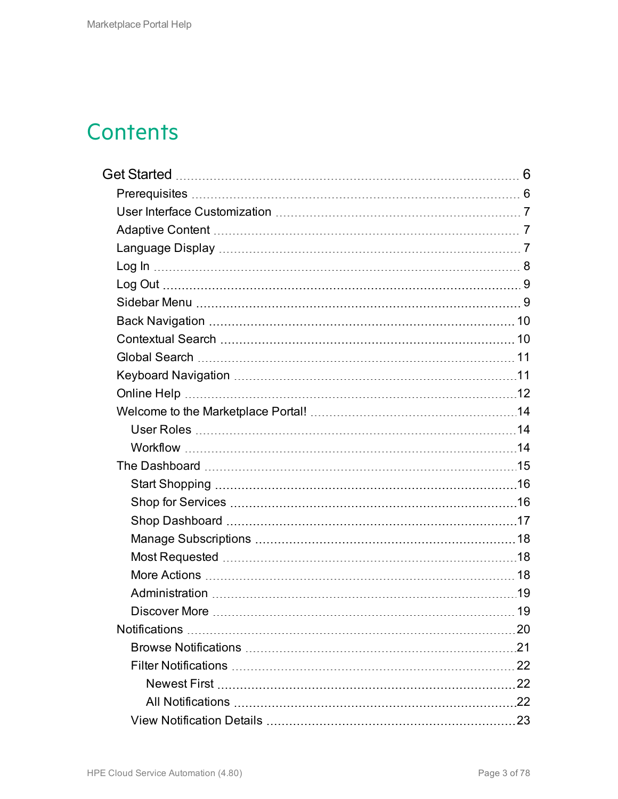## **Contents**

| 20 |
|----|
|    |
|    |
|    |
|    |
|    |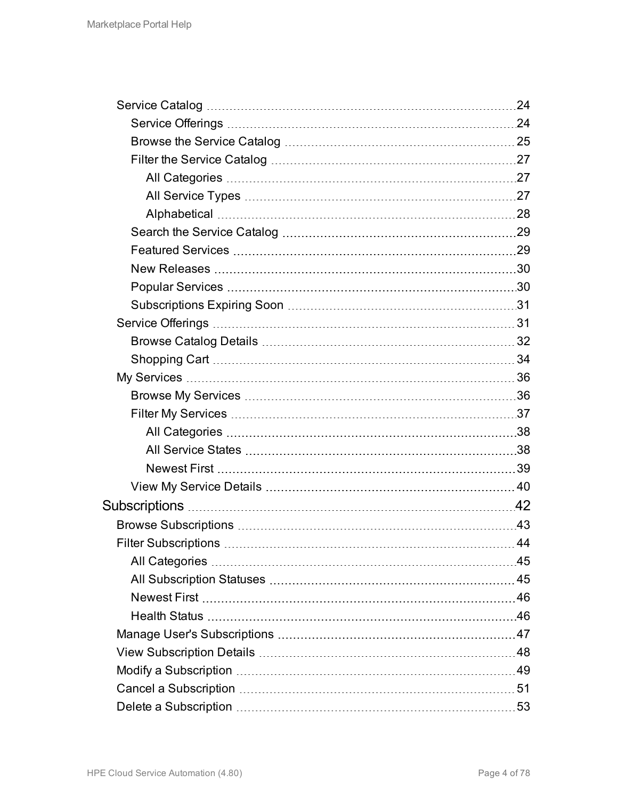| $-44$ |
|-------|
|       |
|       |
|       |
|       |
|       |
|       |
|       |
|       |
|       |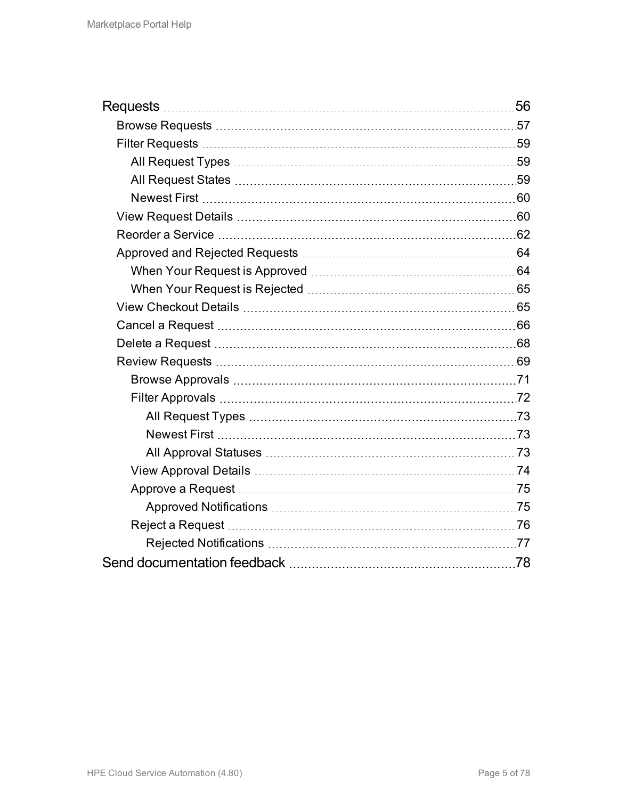| 56 |
|----|
|    |
|    |
|    |
|    |
|    |
|    |
|    |
|    |
|    |
|    |
|    |
|    |
|    |
|    |
|    |
|    |
|    |
|    |
|    |
|    |
|    |
|    |
|    |
|    |
|    |
|    |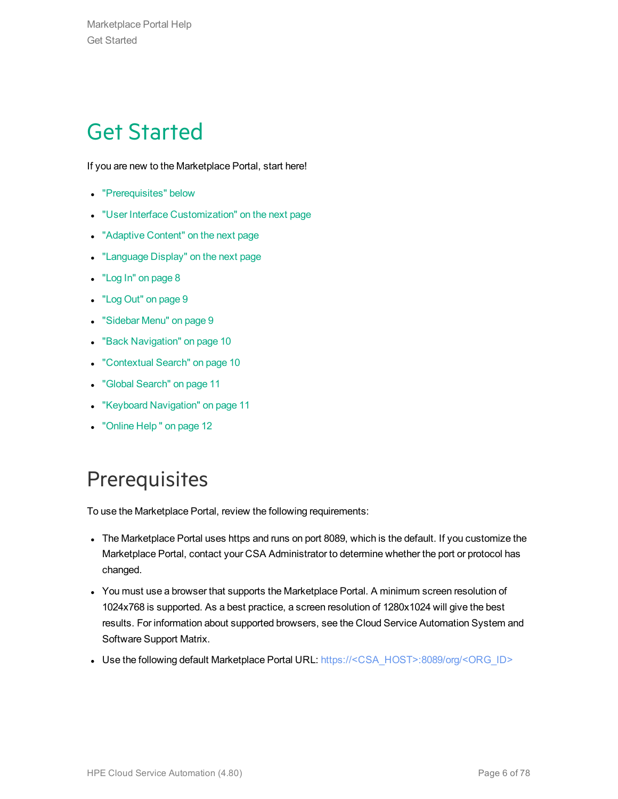## <span id="page-5-0"></span>Get Started

If you are new to the Marketplace Portal, start here!

- ["Prerequisites"](#page-5-1) below
- **.** "User Interface [Customization"](#page-6-0) on the next page
- ["Adaptive](#page-6-1) Content" on the next page
- ["Language](#page-6-2) Display" on the next page
- "Log In" on [page](#page-7-0) 8
- "Log Out" on [page](#page-8-0) 9
- ["Sidebar](#page-8-1) Menu" on page 9
- **.** "Back [Navigation"](#page-9-0) on page 10
- ["Contextual](#page-9-1) Search" on page 10
- <sup>l</sup> "Global [Search"](#page-10-0) on page 11
- "Keyboard [Navigation"](#page-10-1) on page 11
- ["Online](#page-11-0) Help" on page 12

## <span id="page-5-1"></span>**Prerequisites**

To use the Marketplace Portal, review the following requirements:

- The Marketplace Portal uses https and runs on port 8089, which is the default. If you customize the Marketplace Portal, contact your CSA Administrator to determine whether the port or protocol has changed.
- You must use a browser that supports the Marketplace Portal. A minimum screen resolution of 1024x768 is supported. As a best practice, a screen resolution of 1280x1024 will give the best results. For information about supported browsers, see the Cloud Service Automation System and Software Support Matrix.
- Use the following default Marketplace Portal URL: https://<CSA\_HOST>:8089/org/<ORG\_ID>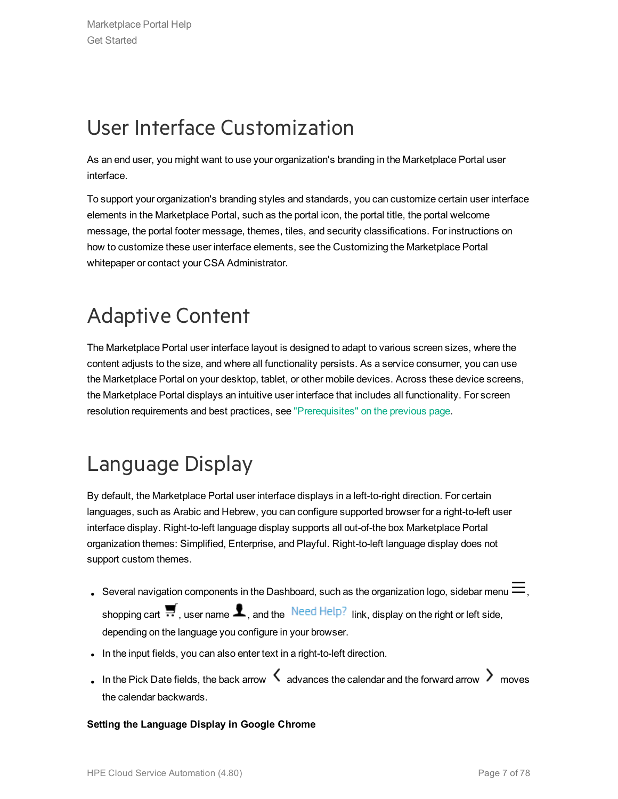## <span id="page-6-0"></span>User Interface Customization

As an end user, you might want to use your organization's branding in the Marketplace Portal user interface.

To support your organization's branding styles and standards, you can customize certain user interface elements in the Marketplace Portal, such as the portal icon, the portal title, the portal welcome message, the portal footer message, themes, tiles, and security classifications. For instructions on how to customize these user interface elements, see the Customizing the Marketplace Portal whitepaper or contact your CSA Administrator.

## <span id="page-6-1"></span>Adaptive Content

The Marketplace Portal user interface layout is designed to adapt to various screen sizes, where the content adjusts to the size, and where all functionality persists. As a service consumer, you can use the Marketplace Portal on your desktop, tablet, or other mobile devices. Across these device screens, the Marketplace Portal displays an intuitive user interface that includes all functionality. For screen resolution requirements and best practices, see ["Prerequisites"](#page-5-1) on the previous page.

## <span id="page-6-2"></span>Language Display

By default, the Marketplace Portal user interface displays in a left-to-right direction. For certain languages, such as Arabic and Hebrew, you can configure supported browser for a right-to-left user interface display. Right-to-left language display supports all out-of-the box Marketplace Portal organization themes: Simplified, Enterprise, and Playful. Right-to-left language display does not support custom themes.

- Several navigation components in the Dashboard, such as the organization logo, sidebar menu  $\equiv$ , shopping cart  $\blacksquare$ , user name  $\clubsuit$ , and the  $\blacksquare$  Need Help? link, display on the right or left side, depending on the language you configure in your browser.
- . In the input fields, you can also enter text in a right-to-left direction.
- In the Pick Date fields, the back arrow  $\leq$  advances the calendar and the forward arrow  $\geq$  moves the calendar backwards.

#### **Setting the Language Display in Google Chrome**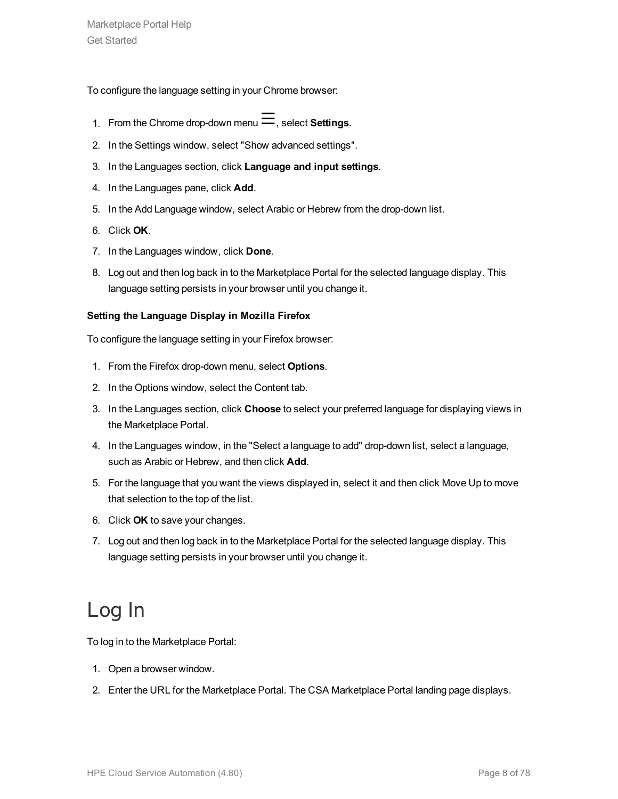To configure the language setting in your Chrome browser:

- 1. From the Chrome drop-down menu  $\equiv$ , select **Settings**.
- 2. In the Settings window, select "Show advanced settings".
- 3. In the Languages section, click **Language and input settings**.
- 4. In the Languages pane, click **Add**.
- 5. In the Add Language window, select Arabic or Hebrew from the drop-down list.
- 6. Click **OK**.
- 7. In the Languages window, click **Done**.
- 8. Log out and then log back in to the Marketplace Portal for the selected language display. This language setting persists in your browser until you change it.

#### **Setting the Language Display in Mozilla Firefox**

To configure the language setting in your Firefox browser:

- 1. From the Firefox drop-down menu, select **Options**.
- 2. In the Options window, select the Content tab.
- 3. In the Languages section, click **Choose** to select your preferred language for displaying views in the Marketplace Portal.
- 4. In the Languages window, in the "Select a language to add" drop-down list, select a language, such as Arabic or Hebrew, and then click **Add**.
- 5. For the language that you want the views displayed in, select it and then click Move Up to move that selection to the top of the list.
- 6. Click **OK** to save your changes.
- 7. Log out and then log back in to the Marketplace Portal for the selected language display. This language setting persists in your browser until you change it.

## <span id="page-7-0"></span>Log In

To log in to the Marketplace Portal:

- 1. Open a browser window.
- 2. Enter the URL for the Marketplace Portal. The CSA Marketplace Portal landing page displays.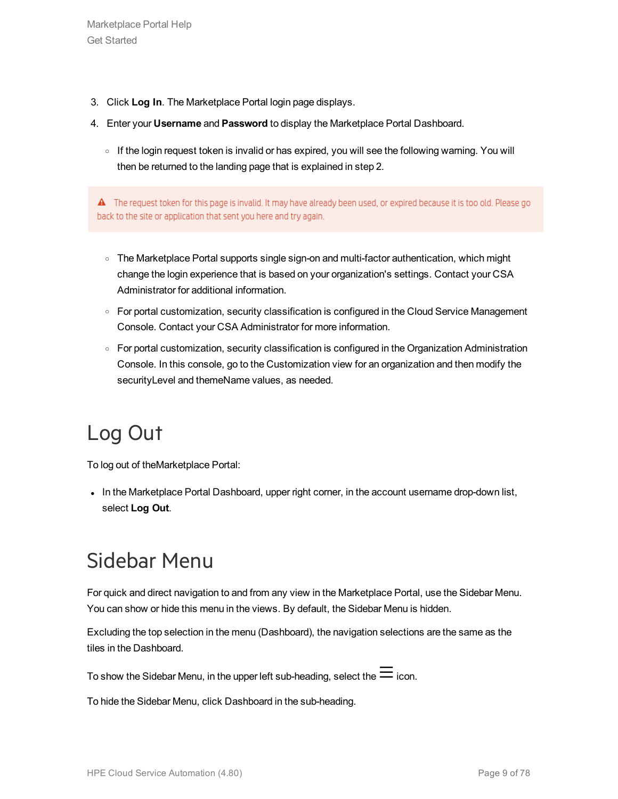- 3. Click **Log In**. The Marketplace Portal login page displays.
- 4. Enter your **Username** and **Password** to display the Marketplace Portal Dashboard.
	- <sup>o</sup> If the login request token is invalid or has expired, you will see the following warning. You will then be returned to the landing page that is explained in step 2.

A The request token for this page is invalid. It may have already been used, or expired because it is too old. Please go back to the site or application that sent you here and try again.

- The Marketplace Portal supports single sign-on and multi-factor authentication, which might change the login experience that is based on your organization's settings. Contact your CSA Administrator for additional information.
- For portal customization, security classification is configured in the Cloud Service Management Console. Contact your CSA Administrator for more information.
- For portal customization, security classification is configured in the Organization Administration Console. In this console, go to the Customization view for an organization and then modify the securityLevel and themeName values, as needed.

## <span id="page-8-0"></span>Log Out

To log out of theMarketplace Portal:

In the Marketplace Portal Dashboard, upper right corner, in the account username drop-down list, select **Log Out**.

## <span id="page-8-1"></span>Sidebar Menu

For quick and direct navigation to and from any view in the Marketplace Portal, use the Sidebar Menu. You can show or hide this menu in the views. By default, the Sidebar Menu is hidden.

Excluding the top selection in the menu (Dashboard), the navigation selections are the same as the tiles in the Dashboard.

To show the Sidebar Menu, in the upper left sub-heading, select the  $\equiv$  icon.

To hide the Sidebar Menu, click Dashboard in the sub-heading.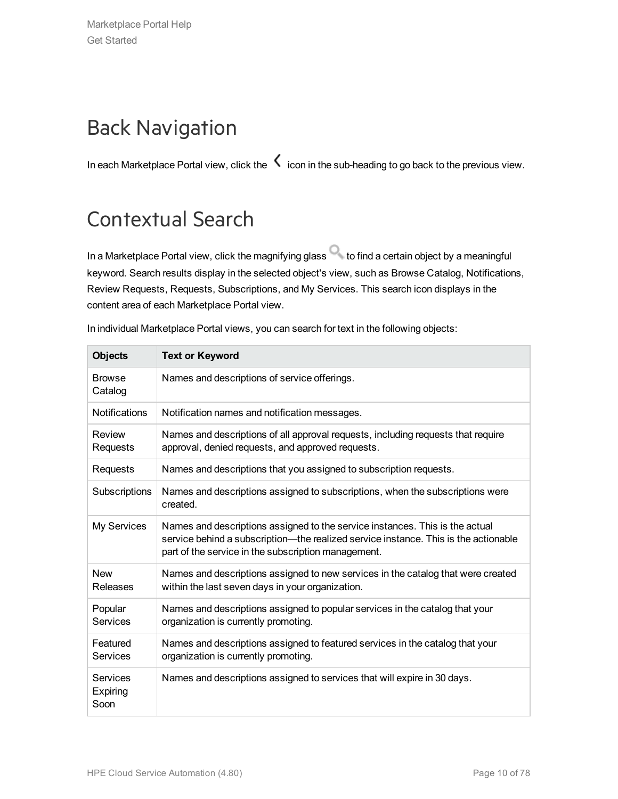## <span id="page-9-0"></span>Back Navigation

In each Marketplace Portal view, click the  $\zeta$  icon in the sub-heading to go back to the previous view.

## <span id="page-9-1"></span>Contextual Search

In a Marketplace Portal view, click the magnifying glass to find a certain object by a meaningful keyword. Search results display in the selected object's view, such as Browse Catalog, Notifications, Review Requests, Requests, Subscriptions, and My Services. This search icon displays in the content area of each Marketplace Portal view.

| <b>Objects</b>               | <b>Text or Keyword</b>                                                                                                                                                                                                     |
|------------------------------|----------------------------------------------------------------------------------------------------------------------------------------------------------------------------------------------------------------------------|
| <b>Browse</b><br>Catalog     | Names and descriptions of service offerings.                                                                                                                                                                               |
| <b>Notifications</b>         | Notification names and notification messages.                                                                                                                                                                              |
| Review<br>Requests           | Names and descriptions of all approval requests, including requests that require<br>approval, denied requests, and approved requests.                                                                                      |
| Requests                     | Names and descriptions that you assigned to subscription requests.                                                                                                                                                         |
| Subscriptions                | Names and descriptions assigned to subscriptions, when the subscriptions were<br>created.                                                                                                                                  |
| My Services                  | Names and descriptions assigned to the service instances. This is the actual<br>service behind a subscription—the realized service instance. This is the actionable<br>part of the service in the subscription management. |
| <b>New</b><br>Releases       | Names and descriptions assigned to new services in the catalog that were created<br>within the last seven days in your organization.                                                                                       |
| Popular<br>Services          | Names and descriptions assigned to popular services in the catalog that your<br>organization is currently promoting.                                                                                                       |
| Featured<br><b>Services</b>  | Names and descriptions assigned to featured services in the catalog that your<br>organization is currently promoting.                                                                                                      |
| Services<br>Expiring<br>Soon | Names and descriptions assigned to services that will expire in 30 days.                                                                                                                                                   |

In individual Marketplace Portal views, you can search for text in the following objects: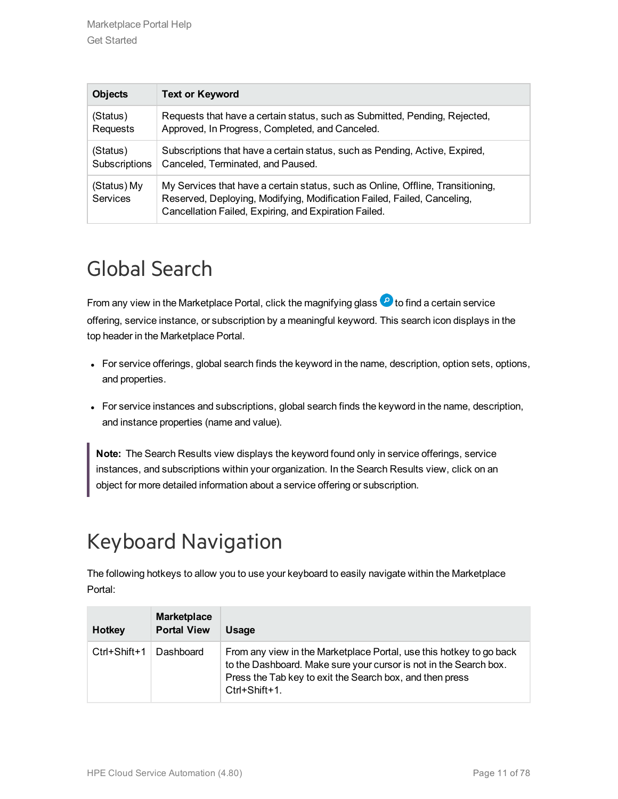| <b>Objects</b>          | <b>Text or Keyword</b>                                                                                                                                                                                              |
|-------------------------|---------------------------------------------------------------------------------------------------------------------------------------------------------------------------------------------------------------------|
| (Status)                | Requests that have a certain status, such as Submitted, Pending, Rejected,                                                                                                                                          |
| Requests                | Approved, In Progress, Completed, and Canceled.                                                                                                                                                                     |
| (Status)                | Subscriptions that have a certain status, such as Pending, Active, Expired,                                                                                                                                         |
| Subscriptions           | Canceled, Terminated, and Paused.                                                                                                                                                                                   |
| (Status) My<br>Services | My Services that have a certain status, such as Online, Offline, Transitioning,<br>Reserved, Deploying, Modifying, Modification Failed, Failed, Canceling,<br>Cancellation Failed, Expiring, and Expiration Failed. |

## <span id="page-10-0"></span>Global Search

From any view in the Marketplace Portal, click the magnifying glass  $\bullet$  to find a certain service offering, service instance, or subscription by a meaningful keyword. This search icon displays in the top header in the Marketplace Portal.

- For service offerings, global search finds the keyword in the name, description, option sets, options, and properties.
- For service instances and subscriptions, global search finds the keyword in the name, description, and instance properties (name and value).

**Note:** The Search Results view displays the keyword found only in service offerings, service instances, and subscriptions within your organization. In the Search Results view, click on an object for more detailed information about a service offering or subscription.

## <span id="page-10-1"></span>Keyboard Navigation

The following hotkeys to allow you to use your keyboard to easily navigate within the Marketplace Portal:

| <b>Hotkey</b> | <b>Marketplace</b><br><b>Portal View</b> | Usage                                                                                                                                                                                                                 |
|---------------|------------------------------------------|-----------------------------------------------------------------------------------------------------------------------------------------------------------------------------------------------------------------------|
| Ctrl+Shift+1  | Dashboard                                | From any view in the Marketplace Portal, use this hotkey to go back<br>to the Dashboard. Make sure your cursor is not in the Search box.<br>Press the Tab key to exit the Search box, and then press<br>Ctrl+Shift+1. |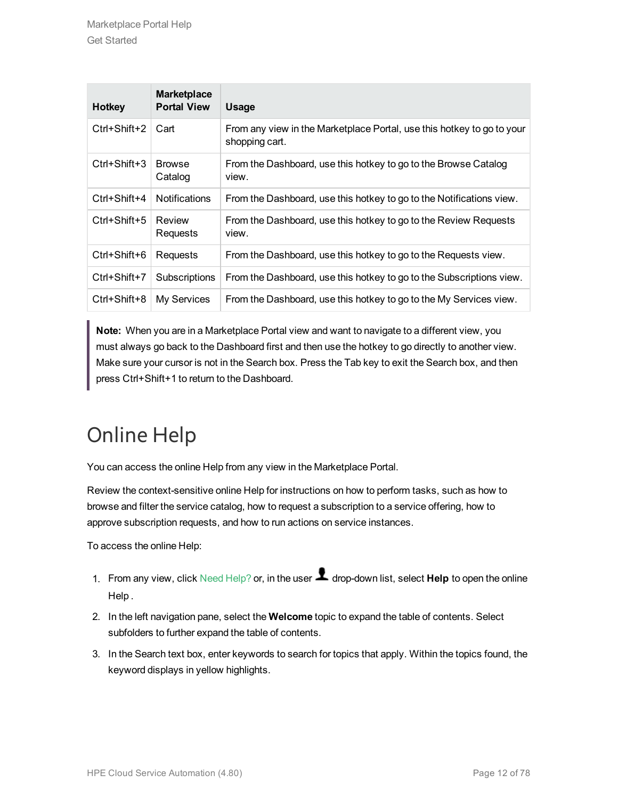| <b>Hotkey</b> | <b>Marketplace</b><br><b>Portal View</b> | <b>Usage</b>                                                                             |
|---------------|------------------------------------------|------------------------------------------------------------------------------------------|
| Ctrl+Shift+2  | Cart                                     | From any view in the Marketplace Portal, use this hotkey to go to your<br>shopping cart. |
| Ctrl+Shift+3  | <b>Browse</b><br>Catalog                 | From the Dashboard, use this hotkey to go to the Browse Catalog<br>view.                 |
| Ctrl+Shift+4  | <b>Notifications</b>                     | From the Dashboard, use this hotkey to go to the Notifications view.                     |
| Ctrl+Shift+5  | Review<br>Requests                       | From the Dashboard, use this hotkey to go to the Review Requests<br>view.                |
| Ctrl+Shift+6  | Requests                                 | From the Dashboard, use this hotkey to go to the Requests view.                          |
| Ctrl+Shift+7  | Subscriptions                            | From the Dashboard, use this hotkey to go to the Subscriptions view.                     |
| Ctrl+Shift+8  | My Services                              | From the Dashboard, use this hotkey to go to the My Services view.                       |

**Note:** When you are in a Marketplace Portal view and want to navigate to a different view, you must always go back to the Dashboard first and then use the hotkey to go directly to another view. Make sure your cursor is not in the Search box. Press the Tab key to exit the Search box, and then press Ctrl+Shift+1 to return to the Dashboard.

## <span id="page-11-0"></span>Online Help

You can access the online Help from any view in the Marketplace Portal.

Review the context-sensitive online Help for instructions on how to perform tasks, such as how to browse and filter the service catalog, how to request a subscription to a service offering, how to approve subscription requests, and how to run actions on service instances.

To access the online Help:

- 1. From any view, click Need Help? or, in the user **1** drop-down list, select **Help** to open the online Help .
- 2. In the left navigation pane, select the **Welcome** topic to expand the table of contents. Select subfolders to further expand the table of contents.
- 3. In the Search text box, enter keywords to search for topics that apply. Within the topics found, the keyword displays in yellow highlights.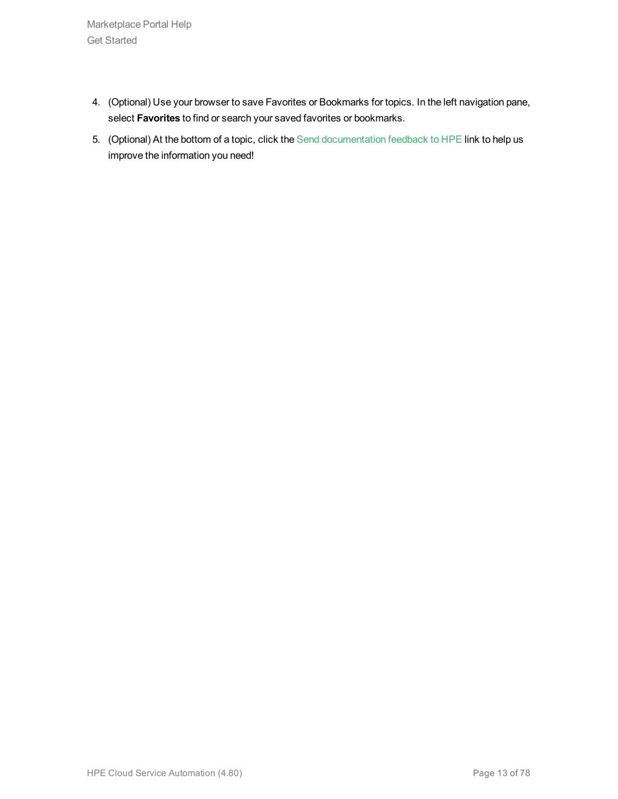Marketplace Portal Help Get Started

- 4. (Optional) Use your browser to save Favorites or Bookmarks for topics. In the left navigation pane, select **Favorites** to find or search your saved favorites or bookmarks.
- 5. (Optional) At the bottom of a topic, click the Send documentation feedback to HPE link to help us improve the information you need!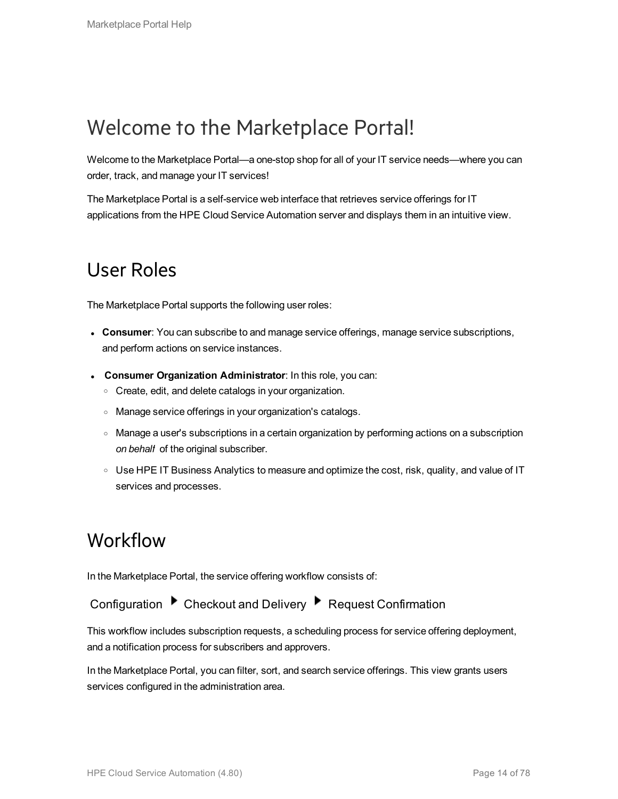## <span id="page-13-0"></span>Welcome to the Marketplace Portal!

Welcome to the Marketplace Portal—a one-stop shop for all of your IT service needs—where you can order, track, and manage your IT services!

<span id="page-13-1"></span>The Marketplace Portal is a self-service web interface that retrieves service offerings for IT applications from the HPE Cloud Service Automation server and displays them in an intuitive view.

### User Roles

The Marketplace Portal supports the following user roles:

- **Consumer**: You can subscribe to and manage service offerings, manage service subscriptions, and perform actions on service instances.
- <sup>l</sup> **Consumer Organization Administrator**: In this role, you can:
	- o Create, edit, and delete catalogs in your organization.
	- <sup>o</sup> Manage service offerings in your organization's catalogs.
	- <sup>o</sup> Manage a user's subscriptions in a certain organization by performing actions on a subscription *on behalf* of the original subscriber.
	- $\circ$  Use HPE IT Business Analytics to measure and optimize the cost, risk, quality, and value of IT services and processes.

### <span id="page-13-2"></span>Workflow

In the Marketplace Portal, the service offering workflow consists of:

Configuration ▶ Checkout and Delivery ▶ Request Confirmation

This workflow includes subscription requests, a scheduling process for service offering deployment, and a notification process for subscribers and approvers.

In the Marketplace Portal, you can filter, sort, and search service offerings. This view grants users services configured in the administration area.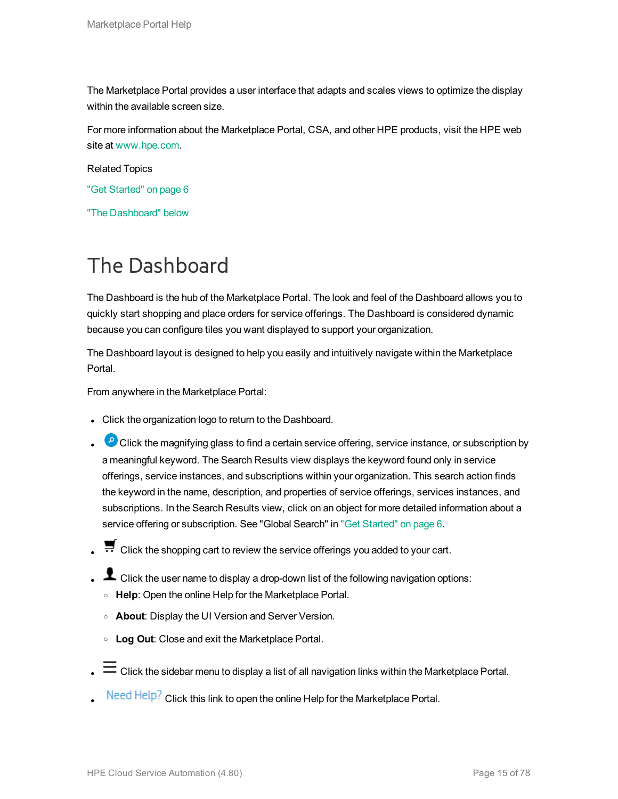The Marketplace Portal provides a user interface that adapts and scales views to optimize the display within the available screen size.

For more information about the Marketplace Portal, CSA, and other HPE products, visit the HPE web site at [www.hpe.com.](http://www.hpe.com/)

Related Topics

- "Get [Started"](#page-5-0) on page 6
- "The [Dashboard"](#page-14-0) below

## <span id="page-14-0"></span>The Dashboard

The Dashboard is the hub of the Marketplace Portal. The look and feel of the Dashboard allows you to quickly start shopping and place orders for service offerings. The Dashboard is considered dynamic because you can configure tiles you want displayed to support your organization.

The Dashboard layout is designed to help you easily and intuitively navigate within the Marketplace Portal.

From anywhere in the Marketplace Portal:

- Click the organization logo to return to the Dashboard.
- **P** Click the magnifying glass to find a certain service offering, service instance, or subscription by a meaningful keyword. The Search Results view displays the keyword found only in service offerings, service instances, and subscriptions within your organization. This search action finds the keyword in the name, description, and properties of service offerings, services instances, and subscriptions. In the Search Results view, click on an object for more detailed information about a service offering or subscription. See "Global Search" in "Get [Started"](#page-5-0) on page 6.
- Click the shopping cart to review the service offerings you added to your cart.
- L Click the user name to display a drop-down list of the following navigation options:
	- <sup>o</sup> **Help**: Open the online Help for the Marketplace Portal.
	- <sup>o</sup> **About**: Display the UI Version and Server Version.
	- <sup>o</sup> **Log Out**: Close and exit the Marketplace Portal.
- $\equiv$  Click the sidebar menu to display a list of all navigation links within the Marketplace Portal.
- Need Help? Click this link to open the online Help for the Marketplace Portal.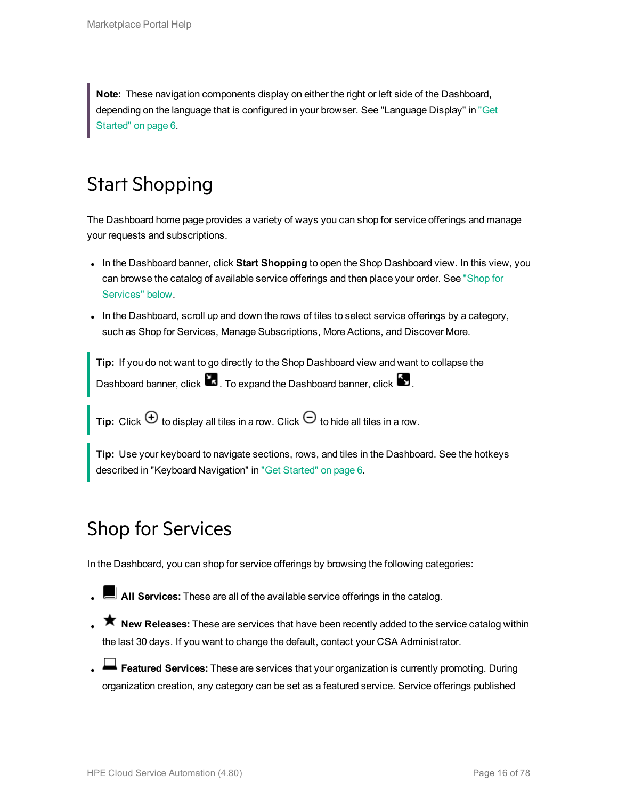**Note:** These navigation components display on either the right or left side of the Dashboard, depending on the language that is configured in your browser. See "Language Display" in ["Get](#page-5-0) [Started"](#page-5-0) on page 6.

## <span id="page-15-0"></span>Start Shopping

The Dashboard home page provides a variety of ways you can shop for service offerings and manage your requests and subscriptions.

- In the Dashboard banner, click **Start Shopping** to open the Shop Dashboard view. In this view, you can browse the catalog of available service offerings and then place your order. See ["Shop](#page-15-1) for [Services"](#page-15-1) below.
- In the Dashboard, scroll up and down the rows of tiles to select service offerings by a category, such as Shop for Services, Manage Subscriptions, More Actions, and Discover More.

**Tip:** If you do not want to go directly to the Shop Dashboard view and want to collapse the Dashboard banner, click  $\blacksquare$ . To expand the Dashboard banner, click  $\blacksquare$ .

**Tip:** Click  $\Theta$  to display all tiles in a row. Click  $\Theta$  to hide all tiles in a row.

<span id="page-15-1"></span>**Tip:** Use your keyboard to navigate sections, rows, and tiles in the Dashboard. See the hotkeys described in "Keyboard Navigation" in "Get [Started"](#page-5-0) on page 6.

## Shop for Services

In the Dashboard, you can shop for service offerings by browsing the following categories:

- **L** All Services: These are all of the available service offerings in the catalog.
- **T** New Releases: These are services that have been recently added to the service catalog within the last 30 days. If you want to change the default, contact your CSA Administrator.
- **Exatured Services:** These are services that your organization is currently promoting. During organization creation, any category can be set as a featured service. Service offerings published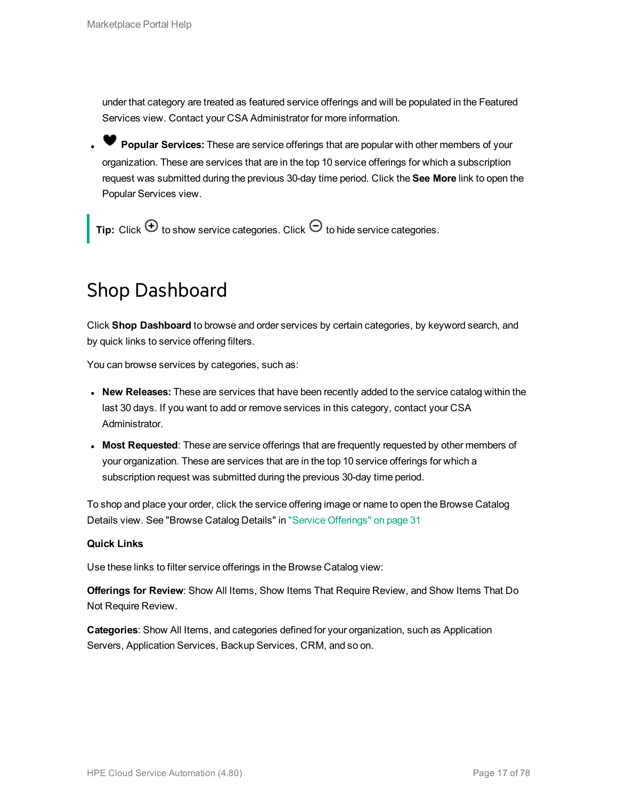under that category are treated as featured service offerings and will be populated in the Featured Services view. Contact your CSA Administrator for more information.

<sup>l</sup> **Popular Services:** These are service offerings that are popular with other members of your organization. These are services that are in the top 10 service offerings for which a subscription request was submitted during the previous 30-day time period. Click the **See More** link to open the Popular Services view.

<span id="page-16-0"></span>**Tip:** Click  $\bigoplus$  to show service categories. Click  $\bigodot$  to hide service categories.

### Shop Dashboard

Click **Shop Dashboard** to browse and order services by certain categories, by keyword search, and by quick links to service offering filters.

You can browse services by categories, such as:

- **New Releases:** These are services that have been recently added to the service catalog within the last 30 days. If you want to add or remove services in this category, contact your CSA Administrator.
- <sup>l</sup> **Most Requested**: These are service offerings that are frequently requested by other members of your organization. These are services that are in the top 10 service offerings for which a subscription request was submitted during the previous 30-day time period.

To shop and place your order, click the service offering image or name to open the Browse Catalog Details view. See "Browse Catalog Details" in "Service [Offerings"](#page-30-1) on page 31

#### **Quick Links**

Use these links to filter service offerings in the Browse Catalog view:

**Offerings for Review**: Show All Items, Show Items That Require Review, and Show Items That Do Not Require Review.

**Categories**: Show All Items, and categories defined for your organization, such as Application Servers, Application Services, Backup Services, CRM, and so on.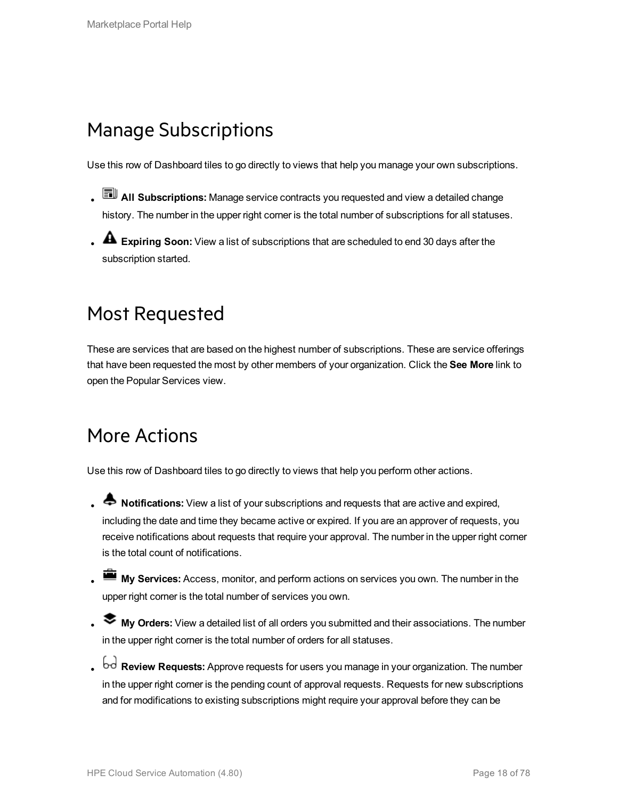## <span id="page-17-0"></span>Manage Subscriptions

Use this row of Dashboard tiles to go directly to views that help you manage your own subscriptions.

- **AII Subscriptions:** Manage service contracts you requested and view a detailed change history. The number in the upper right corner is the total number of subscriptions for all statuses.
- <span id="page-17-1"></span>**A** Expiring Soon: View a list of subscriptions that are scheduled to end 30 days after the subscription started.

## Most Requested

These are services that are based on the highest number of subscriptions. These are service offerings that have been requested the most by other members of your organization. Click the **See More** link to open the Popular Services view.

## <span id="page-17-2"></span>More Actions

Use this row of Dashboard tiles to go directly to views that help you perform other actions.

- **A** Notifications: View a list of your subscriptions and requests that are active and expired, including the date and time they became active or expired. If you are an approver of requests, you receive notifications about requests that require your approval. The number in the upper right corner is the total count of notifications.
- **My Services:** Access, monitor, and perform actions on services you own. The number in the upper right corner is the total number of services you own.
- <sup>l</sup> **My Orders:** View a detailed list of all orders you submitted and their associations. The number in the upper right corner is the total number of orders for all statuses.
- <sup>l</sup> **Review Requests:** Approve requests for users you manage in your organization. The number in the upper right corner is the pending count of approval requests. Requests for new subscriptions and for modifications to existing subscriptions might require your approval before they can be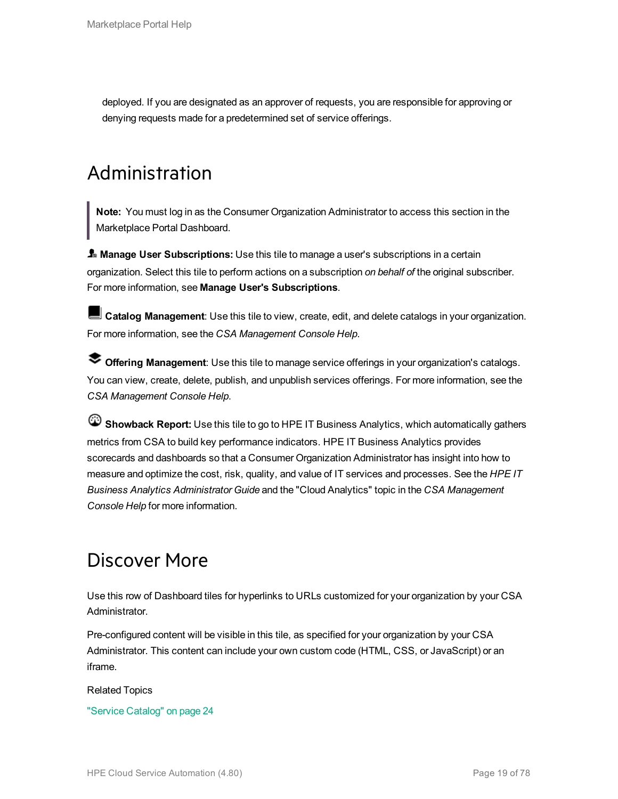<span id="page-18-0"></span>deployed. If you are designated as an approver of requests, you are responsible for approving or denying requests made for a predetermined set of service offerings.

## Administration

**Note:** You must log in as the Consumer Organization Administrator to access this section in the Marketplace Portal Dashboard.

**Manage User Subscriptions:** Use this tile to manage a user's subscriptions in a certain organization. Select this tile to perform actions on a subscription *on behalf of* the original subscriber. For more information, see **Manage User's Subscriptions**.

**Catalog Management**: Use this tile to view, create, edit, and delete catalogs in your organization. For more information, see the *CSA Management Console Help*.

**Offering Management**: Use this tile to manage service offerings in your organization's catalogs. You can view, create, delete, publish, and unpublish services offerings. For more information, see the *CSA Management Console Help*.

**Showback Report:** Use this tile to go to HPE IT Business Analytics, which automatically gathers metrics from CSA to build key performance indicators. HPE IT Business Analytics provides scorecards and dashboards so that a Consumer Organization Administrator has insight into how to measure and optimize the cost, risk, quality, and value of IT services and processes. See the *HPE IT Business Analytics Administrator Guide* and the "Cloud Analytics" topic in the *CSA Management Console Help* for more information.

## <span id="page-18-1"></span>Discover More

Use this row of Dashboard tiles for hyperlinks to URLs customized for your organization by your CSA Administrator.

Pre-configured content will be visible in this tile, as specified for your organization by your CSA Administrator. This content can include your own custom code (HTML, CSS, or JavaScript) or an iframe.

#### Related Topics

"Service [Catalog"](#page-23-0) on page 24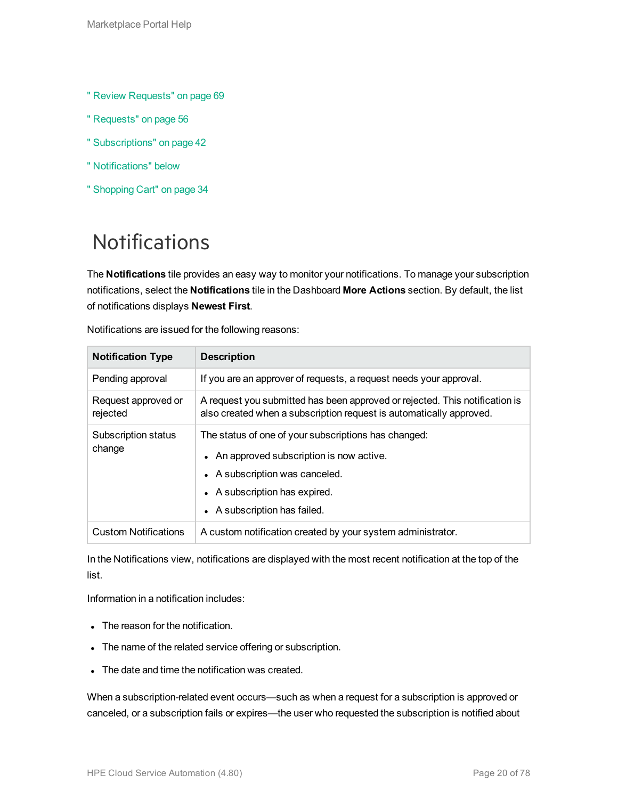- " Review [Requests"](#page-68-0) on page 69
- " [Requests"](#page-55-0) on page 56
- " [Subscriptions"](#page-41-0) on page 42
- " [Notifications"](#page-19-0) below
- " [Shopping](#page-33-0) Cart" on page 34

## <span id="page-19-0"></span>**Notifications**

The **Notifications** tile provides an easy way to monitor your notifications. To manage your subscription notifications, select the **Notifications** tile in the Dashboard **More Actions** section. By default, the list of notifications displays **Newest First**.

| <b>Notification Type</b>        | <b>Description</b>                                                                                                                                                                                   |
|---------------------------------|------------------------------------------------------------------------------------------------------------------------------------------------------------------------------------------------------|
| Pending approval                | If you are an approver of requests, a request needs your approval.                                                                                                                                   |
| Request approved or<br>rejected | A request you submitted has been approved or rejected. This notification is<br>also created when a subscription request is automatically approved.                                                   |
| Subscription status<br>change   | The status of one of your subscriptions has changed:<br>• An approved subscription is now active.<br>• A subscription was canceled.<br>• A subscription has expired.<br>• A subscription has failed. |
| <b>Custom Notifications</b>     | A custom notification created by your system administrator.                                                                                                                                          |

Notifications are issued for the following reasons:

In the Notifications view, notifications are displayed with the most recent notification at the top of the list.

Information in a notification includes:

- The reason for the notification.
- The name of the related service offering or subscription.
- The date and time the notification was created.

When a subscription-related event occurs—such as when a request for a subscription is approved or canceled, or a subscription fails or expires—the user who requested the subscription is notified about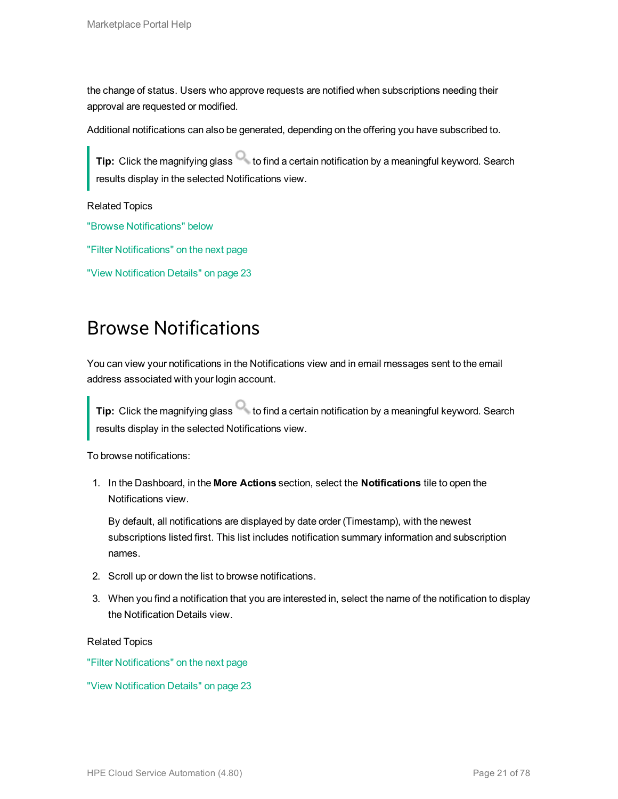the change of status. Users who approve requests are notified when subscriptions needing their approval are requested or modified.

Additional notifications can also be generated, depending on the offering you have subscribed to.

**Tip:** Click the magnifying glass to find a certain notification by a meaningful keyword. Search results display in the selected Notifications view.

Related Topics

"Browse [Notifications"](#page-20-0) below

"Filter [Notifications"](#page-21-0) on the next page

<span id="page-20-0"></span>"View [Notification](#page-22-0) Details" on page 23

### Browse Notifications

You can view your notifications in the Notifications view and in email messages sent to the email address associated with your login account.

**Tip:** Click the magnifying glass to find a certain notification by a meaningful keyword. Search results display in the selected Notifications view.

To browse notifications:

1. In the Dashboard, in the **More Actions** section, select the **Notifications** tile to open the Notifications view.

By default, all notifications are displayed by date order (Timestamp), with the newest subscriptions listed first. This list includes notification summary information and subscription names.

- 2. Scroll up or down the list to browse notifications.
- 3. When you find a notification that you are interested in, select the name of the notification to display the Notification Details view.

Related Topics

"Filter [Notifications"](#page-21-0) on the next page

"View [Notification](#page-22-0) Details" on page 23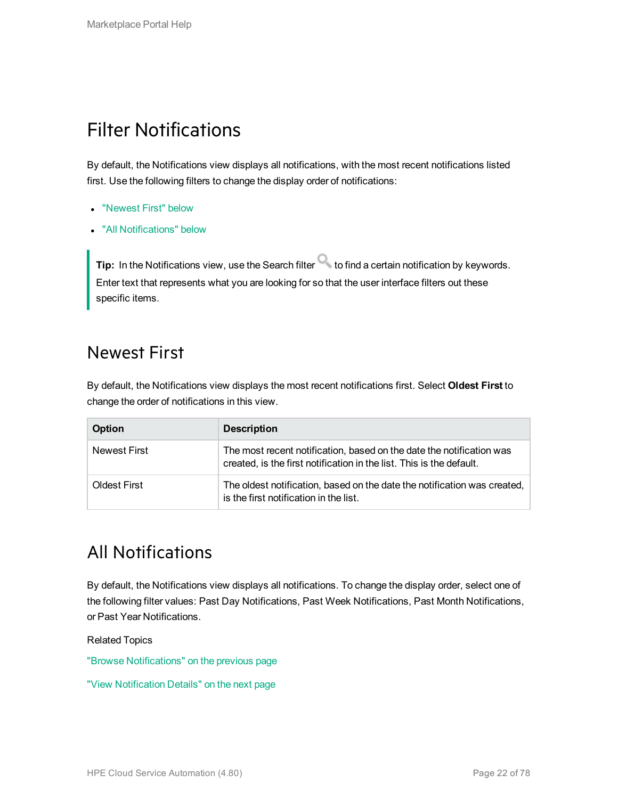## <span id="page-21-0"></span>Filter Notifications

By default, the Notifications view displays all notifications, with the most recent notifications listed first. Use the following filters to change the display order of notifications:

- ["Newest](#page-21-1) First" below
- "All [Notifications"](#page-21-2) below

**Tip:** In the Notifications view, use the Search filter **the find a certain notification by keywords.** Enter text that represents what you are looking for so that the user interface filters out these specific items.

### <span id="page-21-1"></span>Newest First

By default, the Notifications view displays the most recent notifications first. Select **Oldest First** to change the order of notifications in this view.

| <b>Option</b> | <b>Description</b>                                                                                                                           |
|---------------|----------------------------------------------------------------------------------------------------------------------------------------------|
| Newest First  | The most recent notification, based on the date the notification was<br>created, is the first notification in the list. This is the default. |
| Oldest First  | The oldest notification, based on the date the notification was created,<br>is the first notification in the list.                           |

### <span id="page-21-2"></span>All Notifications

By default, the Notifications view displays all notifications. To change the display order, select one of the following filter values: Past Day Notifications, Past Week Notifications, Past Month Notifications, or Past Year Notifications.

Related Topics

"Browse [Notifications"](#page-20-0) on the previous page

"View [Notification](#page-22-0) Details" on the next page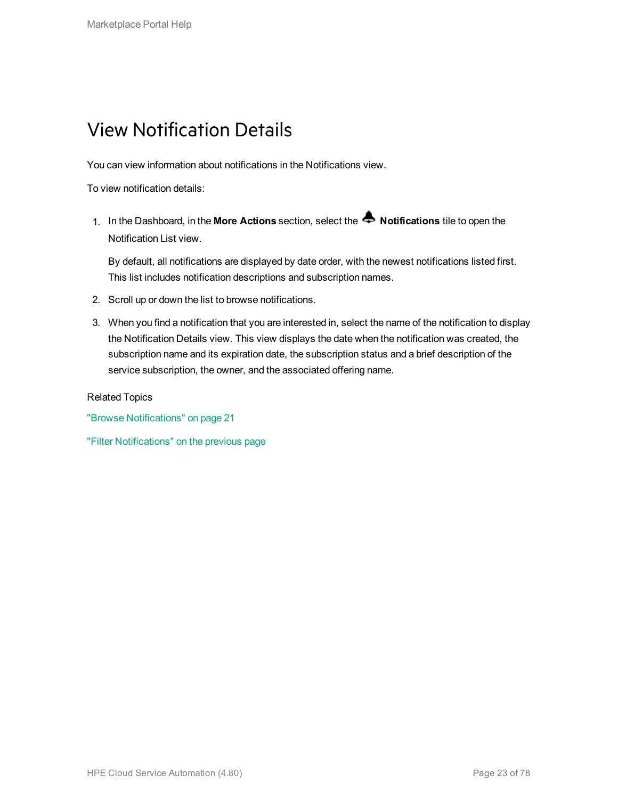## <span id="page-22-0"></span>View Notification Details

You can view information about notifications in the Notifications view.

To view notification details:

1. In the Dashboard, in the **More Actions** section, select the **Notifications** tile to open the Notification List view.

By default, all notifications are displayed by date order, with the newest notifications listed first. This list includes notification descriptions and subscription names.

- 2. Scroll up or down the list to browse notifications.
- 3. When you find a notification that you are interested in, select the name of the notification to display the Notification Details view. This view displays the date when the notification was created, the subscription name and its expiration date, the subscription status and a brief description of the service subscription, the owner, and the associated offering name.

Related Topics

"Browse [Notifications"](#page-20-0) on page 21

"Filter [Notifications"](#page-21-0) on the previous page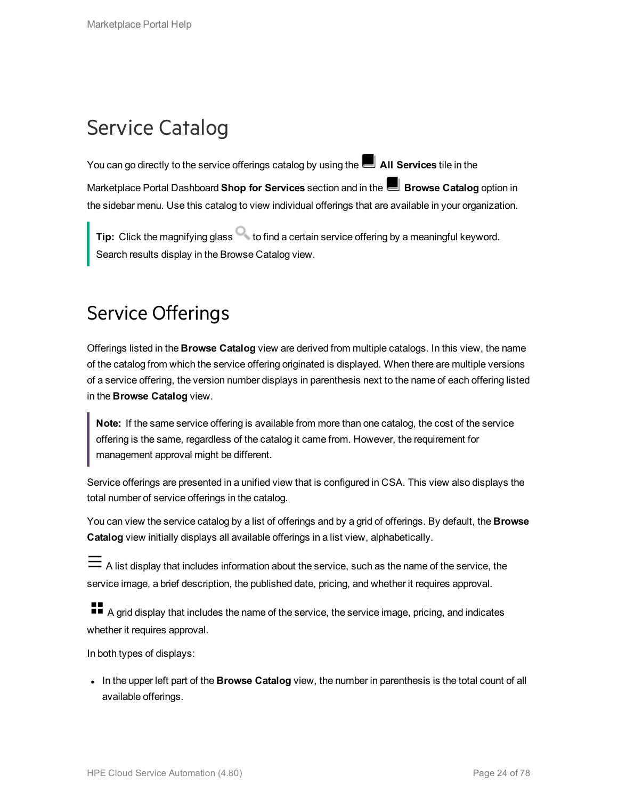## <span id="page-23-0"></span>Service Catalog

You can go directly to the service offerings catalog by using the **All Services** tile in the Marketplace Portal Dashboard **Shop for Services** section and in the **Browse Catalog** option in the sidebar menu. Use this catalog to view individual offerings that are available in your organization.

**Tip:** Click the magnifying glass **that is contained a certain service offering by a meaningful keyword.** Search results display in the Browse Catalog view.

## <span id="page-23-1"></span>Service Offerings

Offerings listed in the **Browse Catalog** view are derived from multiple catalogs. In this view, the name of the catalog from which the service offering originated is displayed. When there are multiple versions of a service offering, the version number displays in parenthesis next to the name of each offering listed in the **Browse Catalog** view.

**Note:** If the same service offering is available from more than one catalog, the cost of the service offering is the same, regardless of the catalog it came from. However, the requirement for management approval might be different.

Service offerings are presented in a unified view that is configured in CSA. This view also displays the total number of service offerings in the catalog.

You can view the service catalog by a list of offerings and by a grid of offerings. By default, the **Browse Catalog** view initially displays all available offerings in a list view, alphabetically.

 $\equiv$  A list display that includes information about the service, such as the name of the service, the service image, a brief description, the published date, pricing, and whether it requires approval.

A grid display that includes the name of the service, the service image, pricing, and indicates whether it requires approval.

In both types of displays:

In the upper left part of the **Browse Catalog** view, the number in parenthesis is the total count of all available offerings.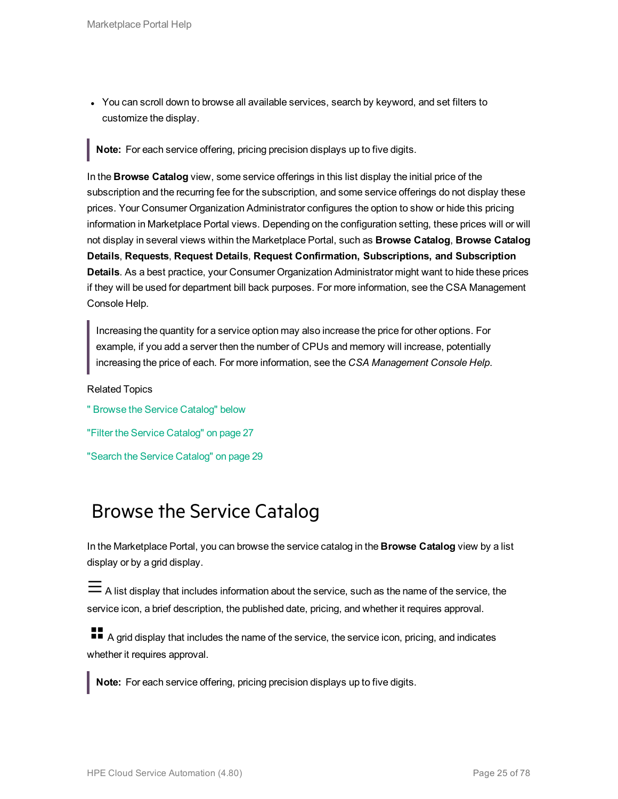• You can scroll down to browse all available services, search by keyword, and set filters to customize the display.

**Note:** For each service offering, pricing precision displays up to five digits.

In the **Browse Catalog** view, some service offerings in this list display the initial price of the subscription and the recurring fee for the subscription, and some service offerings do not display these prices. Your Consumer Organization Administrator configures the option to show or hide this pricing information in Marketplace Portal views. Depending on the configuration setting, these prices will or will not display in several views within the Marketplace Portal, such as **Browse Catalog**, **Browse Catalog Details**, **Requests**, **Request Details**, **Request Confirmation, Subscriptions, and Subscription Details**. As a best practice, your Consumer Organization Administrator might want to hide these prices if they will be used for department bill back purposes. For more information, see the CSA Management Console Help.

Increasing the quantity for a service option may also increase the price for other options. For example, if you add a server then the number of CPUs and memory will increase, potentially increasing the price of each. For more information, see the *CSA Management Console Help*.

Related Topics

" Browse the Service [Catalog"](#page-24-0) below "Filter the Service [Catalog"](#page-26-0) on page 27 "Search the Service [Catalog"](#page-28-0) on page 29

### <span id="page-24-0"></span>Browse the Service Catalog

In the Marketplace Portal, you can browse the service catalog in the **Browse Catalog** view by a list display or by a grid display.

A list display that includes information about the service, such as the name of the service, the service icon, a brief description, the published date, pricing, and whether it requires approval.

**A** grid display that includes the name of the service, the service icon, pricing, and indicates whether it requires approval.

**Note:** For each service offering, pricing precision displays up to five digits.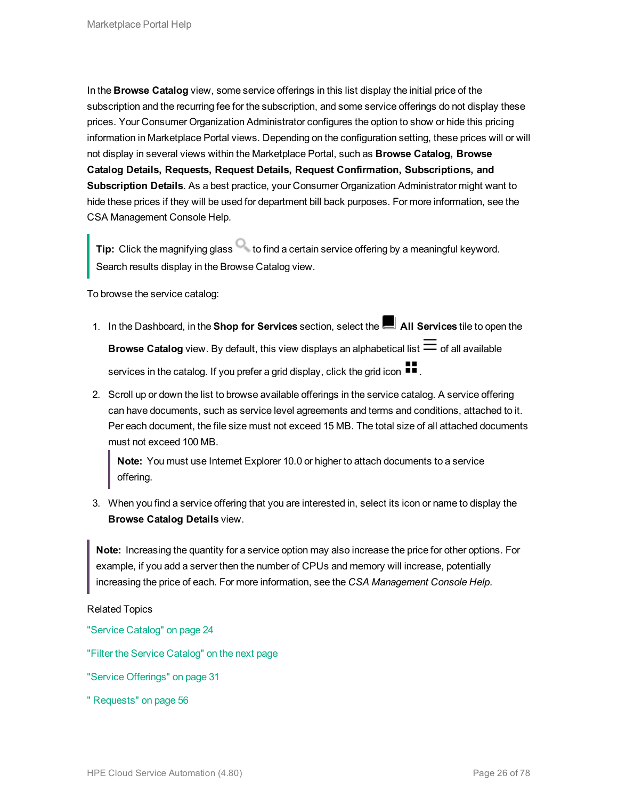In the **Browse Catalog** view, some service offerings in this list display the initial price of the subscription and the recurring fee for the subscription, and some service offerings do not display these prices. Your Consumer Organization Administrator configures the option to show or hide this pricing information in Marketplace Portal views. Depending on the configuration setting, these prices will or will not display in several views within the Marketplace Portal, such as **Browse Catalog, Browse Catalog Details, Requests, Request Details, Request Confirmation, Subscriptions, and Subscription Details**. As a best practice, your Consumer Organization Administrator might want to hide these prices if they will be used for department bill back purposes. For more information, see the CSA Management Console Help.

**Tip:** Click the magnifying glass **that is contained a certain service offering by a meaningful keyword.** Search results display in the Browse Catalog view.

To browse the service catalog:

- 1. In the Dashboard, in the **Shop for Services** section, select the **All Services** tile to open the **Browse Catalog** view. By default, this view displays an alphabetical list  $\equiv$  of all available services in the catalog. If you prefer a grid display, click the grid icon  $\blacksquare$ .
- 2. Scroll up or down the list to browse available offerings in the service catalog. A service offering can have documents, such as service level agreements and terms and conditions, attached to it. Per each document, the file size must not exceed 15 MB. The total size of all attached documents must not exceed 100 MB.

**Note:** You must use Internet Explorer 10.0 or higher to attach documents to a service offering.

3. When you find a service offering that you are interested in, select its icon or name to display the **Browse Catalog Details** view.

**Note:** Increasing the quantity for a service option may also increase the price for other options. For example, if you add a server then the number of CPUs and memory will increase, potentially increasing the price of each. For more information, see the *CSA Management Console Help*.

Related Topics

"Service [Catalog"](#page-23-0) on page 24

"Filter the Service [Catalog"](#page-26-0) on the next page

"Service [Offerings"](#page-30-1) on page 31

" [Requests"](#page-55-0) on page 56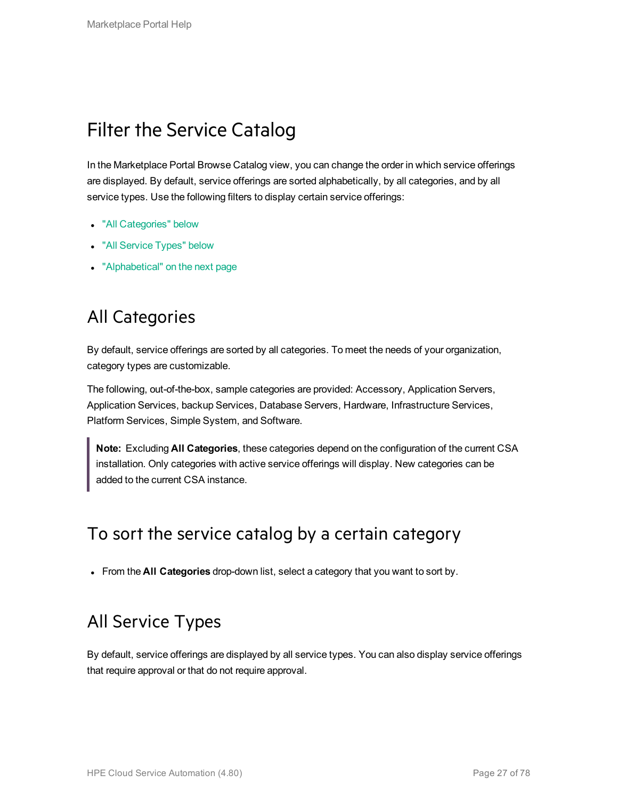## <span id="page-26-0"></span>Filter the Service Catalog

In the Marketplace Portal Browse Catalog view, you can change the order in which service offerings are displayed. By default, service offerings are sorted alphabetically, by all categories, and by all service types. Use the following filters to display certain service offerings:

- "All [Categories"](#page-26-1) below
- "All [Service](#page-26-2) Types" below
- <span id="page-26-1"></span>• ["Alphabetical"](#page-27-0) on the next page

### All Categories

By default, service offerings are sorted by all categories. To meet the needs of your organization, category types are customizable.

The following, out-of-the-box, sample categories are provided: Accessory, Application Servers, Application Services, backup Services, Database Servers, Hardware, Infrastructure Services, Platform Services, Simple System, and Software.

**Note:** Excluding **All Categories**, these categories depend on the configuration of the current CSA installation. Only categories with active service offerings will display. New categories can be added to the current CSA instance.

#### To sort the service catalog by a certain category

<span id="page-26-2"></span>**From the All Categories** drop-down list, select a category that you want to sort by.

### All Service Types

By default, service offerings are displayed by all service types. You can also display service offerings that require approval or that do not require approval.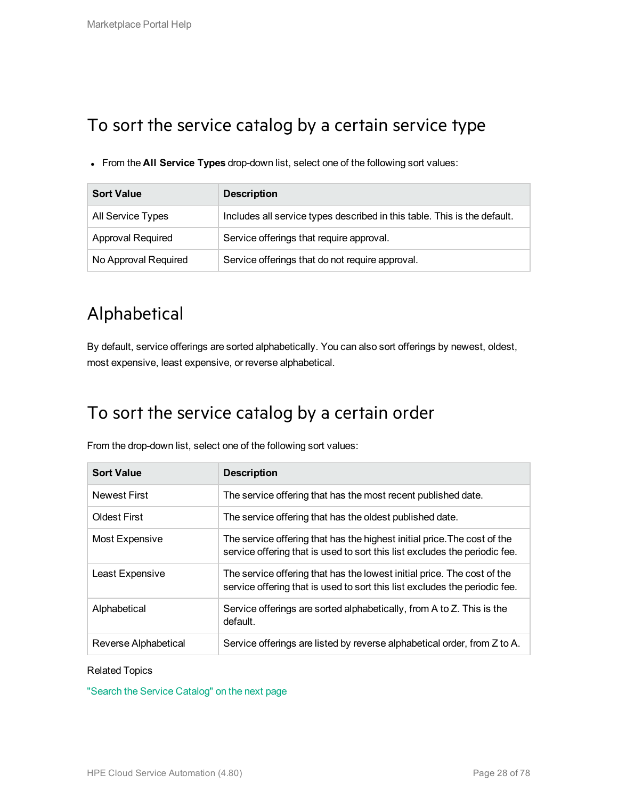### To sort the service catalog by a certain service type

<sup>l</sup> From the **All Service Types** drop-down list, select one of the following sort values:

| <b>Sort Value</b>        | <b>Description</b>                                                       |
|--------------------------|--------------------------------------------------------------------------|
| All Service Types        | Includes all service types described in this table. This is the default. |
| <b>Approval Required</b> | Service offerings that require approval.                                 |
| No Approval Required     | Service offerings that do not require approval.                          |

## <span id="page-27-0"></span>Alphabetical

By default, service offerings are sorted alphabetically. You can also sort offerings by newest, oldest, most expensive, least expensive, or reverse alphabetical.

### To sort the service catalog by a certain order

From the drop-down list, select one of the following sort values:

| <b>Sort Value</b>    | <b>Description</b>                                                                                                                                     |
|----------------------|--------------------------------------------------------------------------------------------------------------------------------------------------------|
| <b>Newest First</b>  | The service offering that has the most recent published date.                                                                                          |
| <b>Oldest First</b>  | The service offering that has the oldest published date.                                                                                               |
| Most Expensive       | The service offering that has the highest initial price. The cost of the<br>service offering that is used to sort this list excludes the periodic fee. |
| Least Expensive      | The service offering that has the lowest initial price. The cost of the<br>service offering that is used to sort this list excludes the periodic fee.  |
| Alphabetical         | Service offerings are sorted alphabetically, from A to Z. This is the<br>default.                                                                      |
| Reverse Alphabetical | Service offerings are listed by reverse alphabetical order, from Z to A.                                                                               |

#### Related Topics

"Search the Service [Catalog"](#page-28-0) on the next page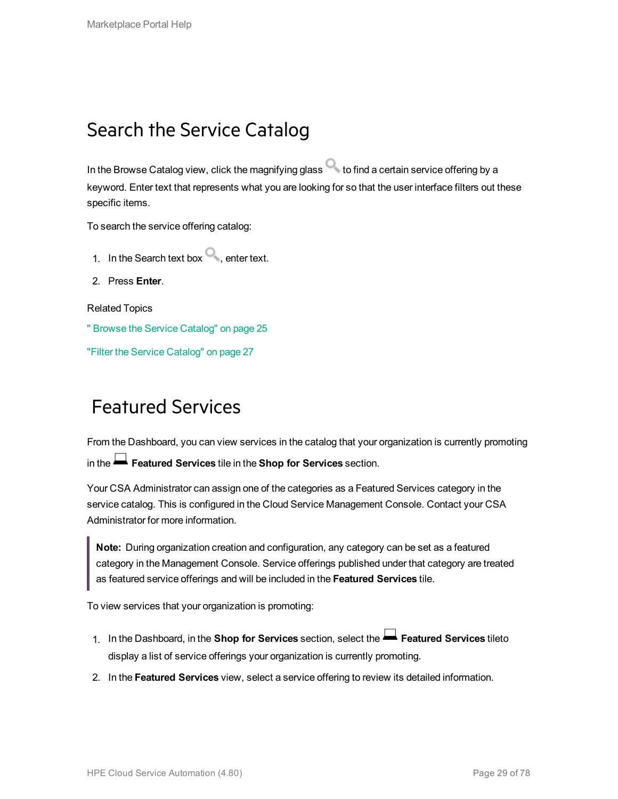## <span id="page-28-0"></span>Search the Service Catalog

In the Browse Catalog view, click the magnifying glass  $\bullet$  to find a certain service offering by a keyword. Enter text that represents what you are looking for so that the user interface filters out these specific items.

To search the service offering catalog:

- 1. In the Search text box  $\Box$ , enter text.
- 2. Press **Enter**.

Related Topics

" Browse the Service [Catalog"](#page-24-0) on page 25

<span id="page-28-1"></span>"Filter the Service [Catalog"](#page-26-0) on page 27

### Featured Services

From the Dashboard, you can view services in the catalog that your organization is currently promoting in the **Featured Services** tile in the **Shop for Services** section.

Your CSA Administrator can assign one of the categories as a Featured Services category in the service catalog. This is configured in the Cloud Service Management Console. Contact your CSA Administrator for more information.

**Note:** During organization creation and configuration, any category can be set as a featured category in the Management Console. Service offerings published under that category are treated as featured service offerings and will be included in the **Featured Services** tile.

To view services that your organization is promoting:

- 1. In the Dashboard, in the **Shop for Services** section, select the **Featured Services** tileto display a list of service offerings your organization is currently promoting.
- 2. In the **Featured Services** view, select a service offering to review its detailed information.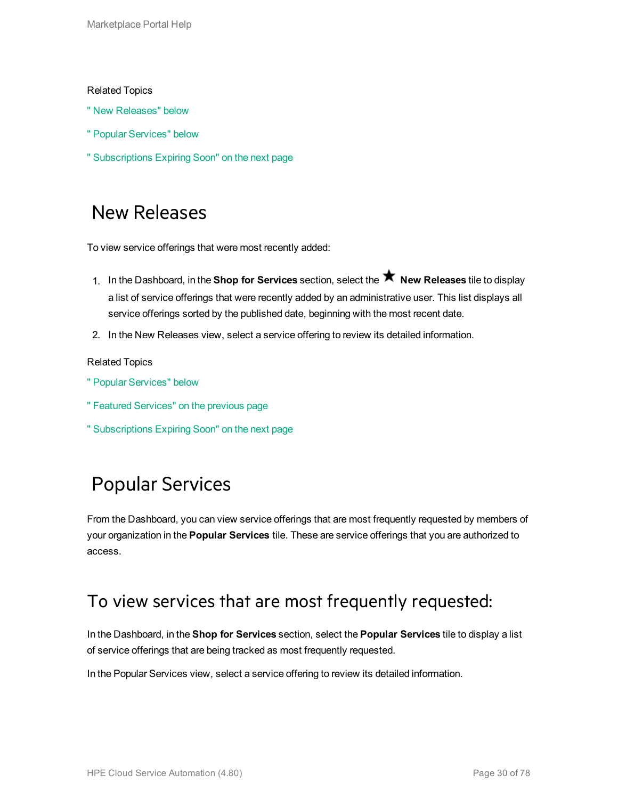#### Related Topics

- " New [Releases"](#page-29-0) below
- " Popular [Services"](#page-29-1) below
- <span id="page-29-0"></span>" [Subscriptions](#page-30-0) Expiring Soon" on the next page

### New Releases

To view service offerings that were most recently added:

- 1. In the Dashboard, in the **Shop for Services** section, select the **New Releases** tile to display a list of service offerings that were recently added by an administrative user. This list displays all service offerings sorted by the published date, beginning with the most recent date.
- 2. In the New Releases view, select a service offering to review its detailed information.

#### Related Topics

- " Popular [Services"](#page-29-1) below
- " Featured [Services"](#page-28-1) on the previous page
- <span id="page-29-1"></span>" [Subscriptions](#page-30-0) Expiring Soon" on the next page

## Popular Services

From the Dashboard, you can view service offerings that are most frequently requested by members of your organization in the **Popular Services** tile. These are service offerings that you are authorized to access.

#### To view services that are most frequently requested:

In the Dashboard, in the **Shop for Services** section, select the **Popular Services** tile to display a list of service offerings that are being tracked as most frequently requested.

In the Popular Services view, select a service offering to review its detailed information.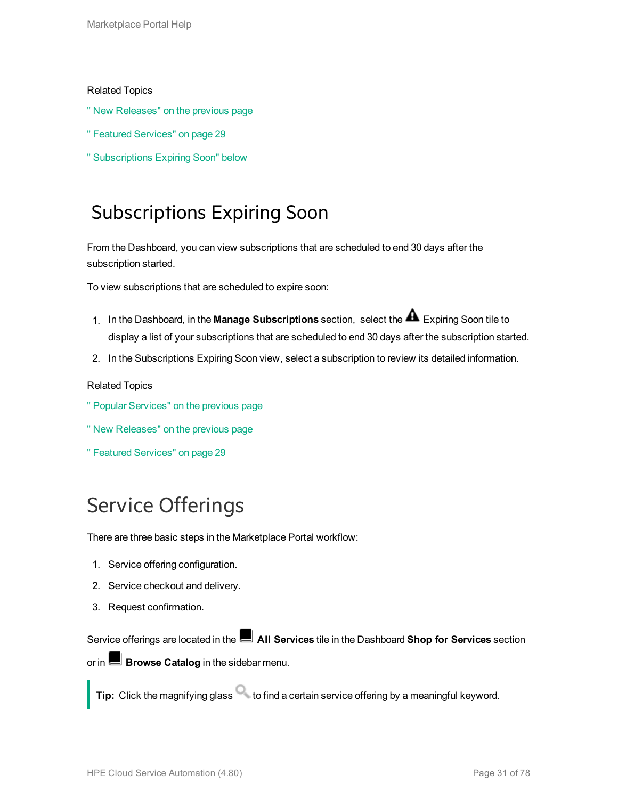#### Related Topics

- " New [Releases"](#page-29-0) on the previous page
- " Featured [Services"](#page-28-1) on page 29
- <span id="page-30-0"></span>" [Subscriptions](#page-30-0) Expiring Soon" below

### Subscriptions Expiring Soon

From the Dashboard, you can view subscriptions that are scheduled to end 30 days after the subscription started.

To view subscriptions that are scheduled to expire soon:

- 1. In the Dashboard, in the **Manage Subscriptions** section, select the Expiring Soon tile to display a list of your subscriptions that are scheduled to end 30 days after the subscription started.
- 2. In the Subscriptions Expiring Soon view, select a subscription to review its detailed information.

#### Related Topics

- " Popular [Services"](#page-29-1) on the previous page
- " New [Releases"](#page-29-0) on the previous page
- " Featured [Services"](#page-28-1) on page 29

## <span id="page-30-1"></span>Service Offerings

There are three basic steps in the Marketplace Portal workflow:

- 1. Service offering configuration.
- 2. Service checkout and delivery.
- 3. Request confirmation.

Service offerings are located in the **All Services** tile in the Dashboard **Shop for Services** section or in **Browse Catalog** in the sidebar menu.

**Tip:** Click the magnifying glass **that is contained a certain service offering by a meaningful keyword.**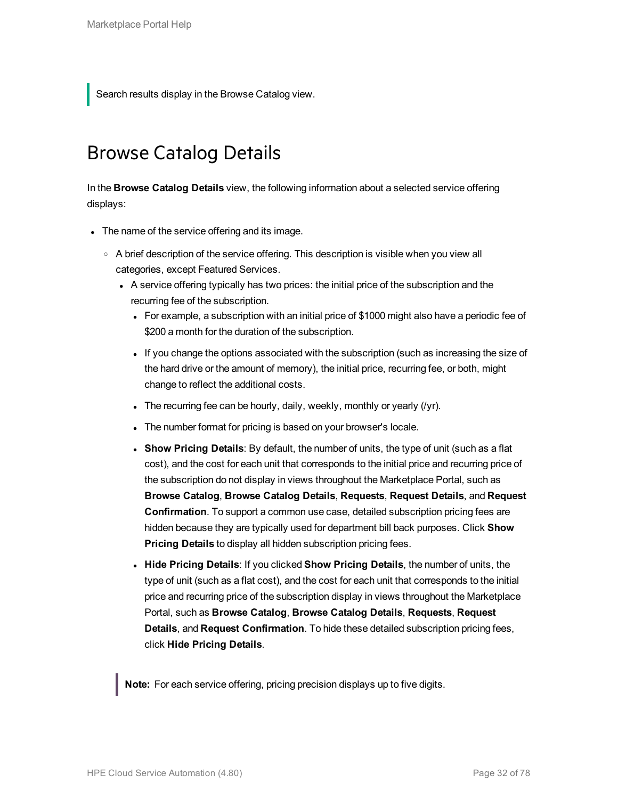<span id="page-31-0"></span>Search results display in the Browse Catalog view.

### Browse Catalog Details

In the **Browse Catalog Details** view, the following information about a selected service offering displays:

- The name of the service offering and its image.
	- $\circ$  A brief description of the service offering. This description is visible when you view all categories, except Featured Services.
		- A service offering typically has two prices: the initial price of the subscription and the recurring fee of the subscription.
			- For example, a subscription with an initial price of \$1000 might also have a periodic fee of \$200 a month for the duration of the subscription.
			- If you change the options associated with the subscription (such as increasing the size of the hard drive or the amount of memory), the initial price, recurring fee, or both, might change to reflect the additional costs.
			- The recurring fee can be hourly, daily, weekly, monthly or yearly  $(1/2)$ .
			- The number format for pricing is based on your browser's locale.
			- **.** Show Pricing Details: By default, the number of units, the type of unit (such as a flat cost), and the cost for each unit that corresponds to the initial price and recurring price of the subscription do not display in views throughout the Marketplace Portal, such as **Browse Catalog**, **Browse Catalog Details**, **Requests**, **Request Details**, and **Request Confirmation**. To support a common use case, detailed subscription pricing fees are hidden because they are typically used for department bill back purposes. Click **Show Pricing Details** to display all hidden subscription pricing fees.
			- <sup>l</sup> **Hide Pricing Details**: If you clicked **Show Pricing Details**, the number of units, the type of unit (such as a flat cost), and the cost for each unit that corresponds to the initial price and recurring price of the subscription display in views throughout the Marketplace Portal, such as **Browse Catalog**, **Browse Catalog Details**, **Requests**, **Request Details**, and **Request Confirmation**. To hide these detailed subscription pricing fees, click **Hide Pricing Details**.

**Note:** For each service offering, pricing precision displays up to five digits.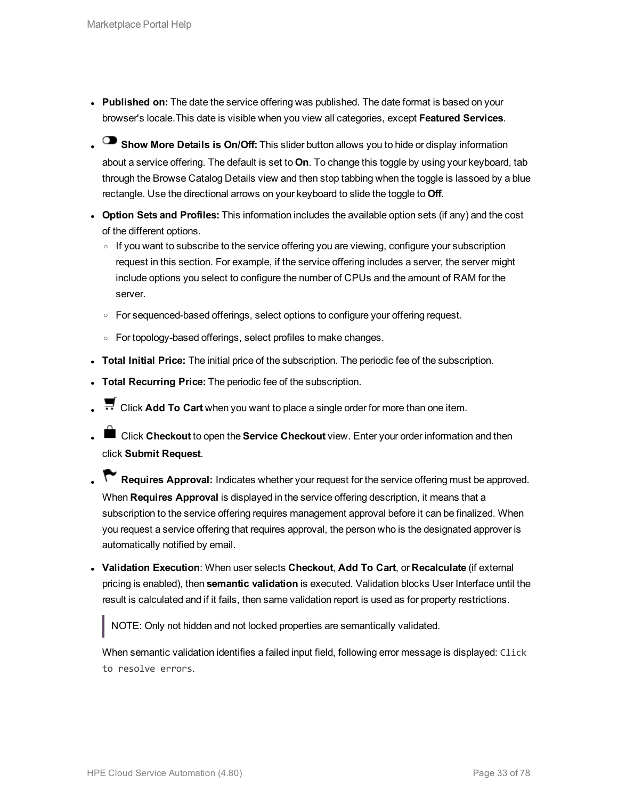- **Published on:** The date the service offering was published. The date format is based on your browser's locale.This date is visible when you view all categories, except **Featured Services**.
- **Show More Details is On/Off:** This slider button allows you to hide or display information about a service offering. The default is set to **On**. To change this toggle by using your keyboard, tab through the Browse Catalog Details view and then stop tabbing when the toggle is lassoed by a blue rectangle. Use the directional arrows on your keyboard to slide the toggle to **Off**.
- <sup>l</sup> **Option Sets and Profiles:** This information includes the available option sets (if any) and the cost of the different options.
	- o If you want to subscribe to the service offering you are viewing, configure your subscription request in this section. For example, if the service offering includes a server, the server might include options you select to configure the number of CPUs and the amount of RAM for the server.
	- For sequenced-based offerings, select options to configure your offering request.
	- $\circ$  For topology-based offerings, select profiles to make changes.
- **· Total Initial Price:** The initial price of the subscription. The periodic fee of the subscription.
- **Total Recurring Price:** The periodic fee of the subscription.
- **E** Click Add To Cart when you want to place a single order for more than one item.
- **liges Click Checkout** to open the **Service Checkout** view. Enter your order information and then click **Submit Request**.
- **Requires Approval:** Indicates whether your request for the service offering must be approved. When **Requires Approval** is displayed in the service offering description, it means that a subscription to the service offering requires management approval before it can be finalized. When you request a service offering that requires approval, the person who is the designated approver is automatically notified by email.
- <sup>l</sup> **Validation Execution**: When user selects **Checkout**, **Add To Cart**, or **Recalculate** (if external pricing is enabled), then **semantic validation** is executed. Validation blocks User Interface until the result is calculated and if it fails, then same validation report is used as for property restrictions.

NOTE: Only not hidden and not locked properties are semantically validated.

When semantic validation identifies a failed input field, following error message is displayed: Click to resolve errors.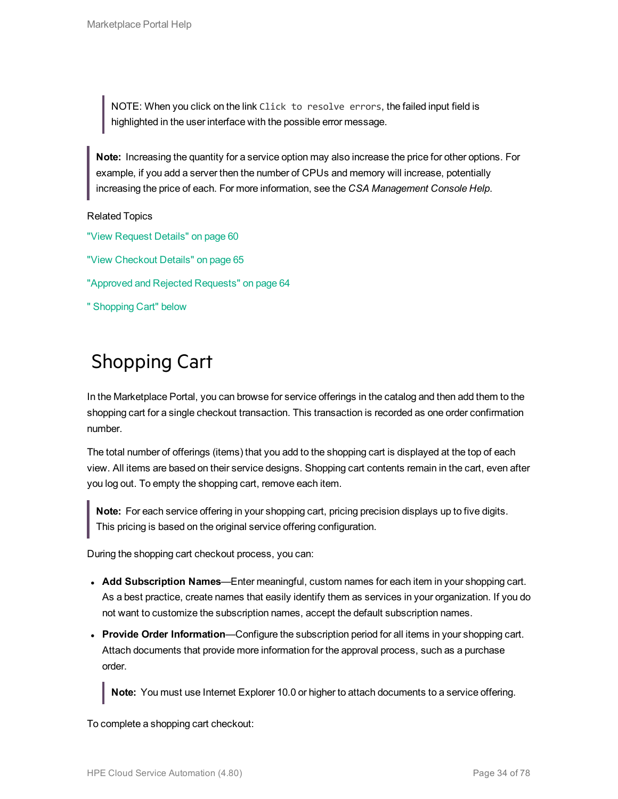NOTE: When you click on the link Click to resolve errors, the failed input field is highlighted in the user interface with the possible error message.

**Note:** Increasing the quantity for a service option may also increase the price for other options. For example, if you add a server then the number of CPUs and memory will increase, potentially increasing the price of each. For more information, see the *CSA Management Console Help*.

#### Related Topics

- "View [Request](#page-59-1) Details" on page 60
- "View [Checkout](#page-64-1) Details" on page 65
- "Approved and Rejected [Requests"](#page-63-0) on page 64
- <span id="page-33-0"></span>" [Shopping](#page-33-0) Cart" below

## Shopping Cart

In the Marketplace Portal, you can browse for service offerings in the catalog and then add them to the shopping cart for a single checkout transaction. This transaction is recorded as one order confirmation number.

The total number of offerings (items) that you add to the shopping cart is displayed at the top of each view. All items are based on their service designs. Shopping cart contents remain in the cart, even after you log out. To empty the shopping cart, remove each item.

**Note:** For each service offering in your shopping cart, pricing precision displays up to five digits. This pricing is based on the original service offering configuration.

During the shopping cart checkout process, you can:

- **Add Subscription Names—Enter meaningful, custom names for each item in your shopping cart.** As a best practice, create names that easily identify them as services in your organization. If you do not want to customize the subscription names, accept the default subscription names.
- **Provide Order Information—Configure the subscription period for all items in your shopping cart.** Attach documents that provide more information for the approval process, such as a purchase order.

**Note:** You must use Internet Explorer 10.0 or higher to attach documents to a service offering.

To complete a shopping cart checkout: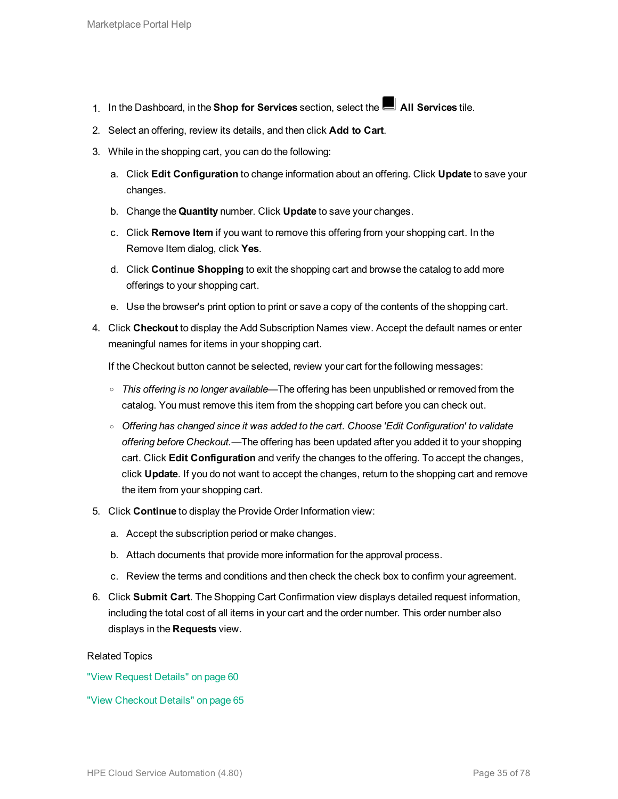- 1. In the Dashboard, in the **Shop for Services** section, select the **All Services** tile.
- 2. Select an offering, review its details, and then click **Add to Cart**.
- 3. While in the shopping cart, you can do the following:
	- a. Click **Edit Configuration** to change information about an offering. Click **Update** to save your changes.
	- b. Change the **Quantity** number. Click **Update** to save your changes.
	- c. Click **Remove Item** if you want to remove this offering from your shopping cart. In the Remove Item dialog, click **Yes**.
	- d. Click **Continue Shopping** to exit the shopping cart and browse the catalog to add more offerings to your shopping cart.
	- e. Use the browser's print option to print or save a copy of the contents of the shopping cart.
- 4. Click **Checkout** to display the Add Subscription Names view. Accept the default names or enter meaningful names for items in your shopping cart.

If the Checkout button cannot be selected, review your cart for the following messages:

- <sup>o</sup> *This offering is no longer available*—The offering has been unpublished or removed from the catalog. You must remove this item from the shopping cart before you can check out.
- <sup>o</sup> *Offering has changed since it was added to the cart. Choose 'Edit Configuration' to validate offering before Checkout.*—The offering has been updated after you added it to your shopping cart. Click **Edit Configuration** and verify the changes to the offering. To accept the changes, click **Update**. If you do not want to accept the changes, return to the shopping cart and remove the item from your shopping cart.
- 5. Click **Continue** to display the Provide Order Information view:
	- a. Accept the subscription period or make changes.
	- b. Attach documents that provide more information for the approval process.
	- c. Review the terms and conditions and then check the check box to confirm your agreement.
- 6. Click **Submit Cart**. The Shopping Cart Confirmation view displays detailed request information, including the total cost of all items in your cart and the order number. This order number also displays in the **Requests** view.

#### Related Topics

"View [Request](#page-59-1) Details" on page 60

"View [Checkout](#page-64-1) Details" on page 65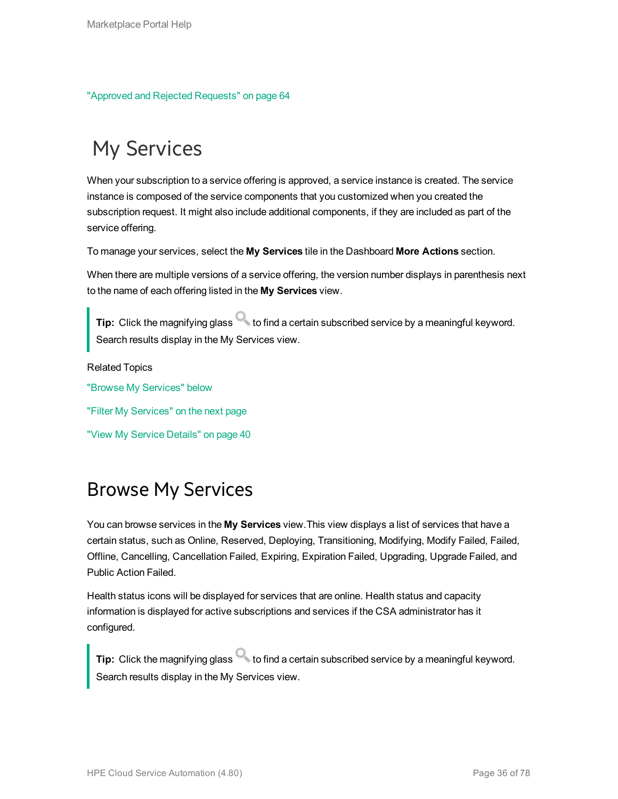"Approved and Rejected [Requests"](#page-63-0) on page 64

## <span id="page-35-0"></span>My Services

When your subscription to a service offering is approved, a service instance is created. The service instance is composed of the service components that you customized when you created the subscription request. It might also include additional components, if they are included as part of the service offering.

To manage your services, select the **My Services** tile in the Dashboard **More Actions** section.

When there are multiple versions of a service offering, the version number displays in parenthesis next to the name of each offering listed in the **My Services** view.

Tip: Click the magnifying glass **that is contained a certain subscribed service by a meaningful keyword.** Search results display in the My Services view.

Related Topics "Browse My [Services"](#page-35-1) below "Filter My [Services"](#page-36-0) on the next page "View My Service [Details"](#page-39-0) on page 40

### <span id="page-35-1"></span>Browse My Services

You can browse services in the **My Services** view.This view displays a list of services that have a certain status, such as Online, Reserved, Deploying, Transitioning, Modifying, Modify Failed, Failed, Offline, Cancelling, Cancellation Failed, Expiring, Expiration Failed, Upgrading, Upgrade Failed, and Public Action Failed.

Health status icons will be displayed for services that are online. Health status and capacity information is displayed for active subscriptions and services if the CSA administrator has it configured.

Tip: Click the magnifying glass **that in the certain subscribed service by a meaningful keyword.** Search results display in the My Services view.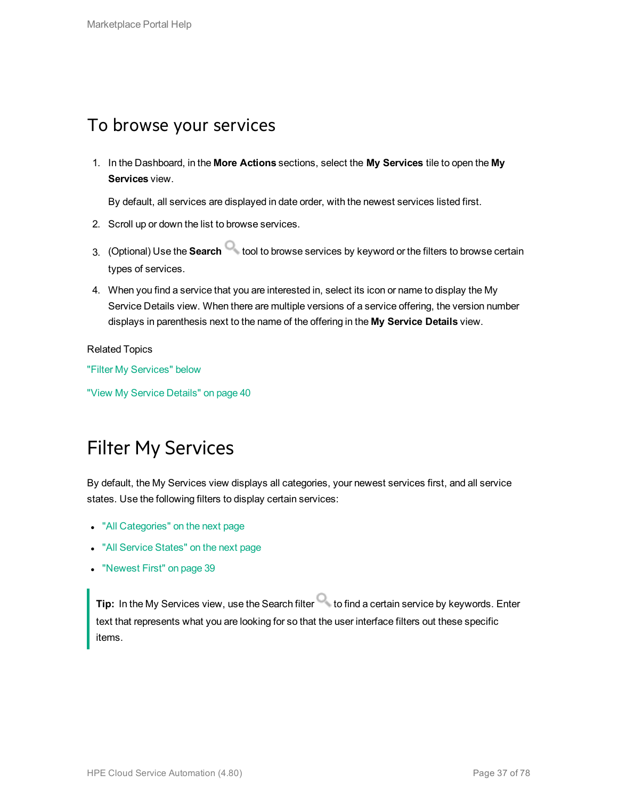#### To browse your services

1. In the Dashboard, in the **More Actions** sections, select the **My Services** tile to open the **My Services** view.

By default, all services are displayed in date order, with the newest services listed first.

- 2. Scroll up or down the list to browse services.
- 3. (Optional) Use the **Search** tool to browse services by keyword or the filters to browse certain types of services.
- 4. When you find a service that you are interested in, select its icon or name to display the My Service Details view. When there are multiple versions of a service offering, the version number displays in parenthesis next to the name of the offering in the **My Service Details** view.

Related Topics

"Filter My [Services"](#page-36-0) below

<span id="page-36-0"></span>"View My Service [Details"](#page-39-0) on page 40

### Filter My Services

By default, the My Services view displays all categories, your newest services first, and all service states. Use the following filters to display certain services:

- "All [Categories"](#page-37-0) on the next page
- "All [Service](#page-37-1) States" on the next page
- ["Newest](#page-38-0) First" on page 39

**Tip:** In the My Services view, use the Search filter **the find a certain service by keywords.** Enter text that represents what you are looking for so that the user interface filters out these specific items.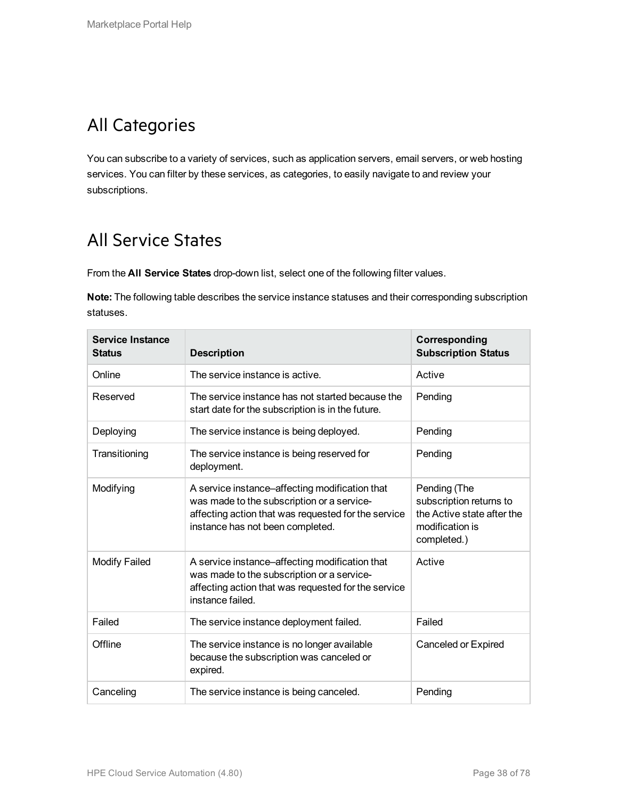### <span id="page-37-0"></span>All Categories

You can subscribe to a variety of services, such as application servers, email servers, or web hosting services. You can filter by these services, as categories, to easily navigate to and review your subscriptions.

#### <span id="page-37-1"></span>All Service States

From the **All Service States** drop-down list, select one of the following filter values.

**Note:** The following table describes the service instance statuses and their corresponding subscription statuses.

| Service Instance<br><b>Status</b> | <b>Description</b>                                                                                                                                                                      | Corresponding<br><b>Subscription Status</b>                                                             |
|-----------------------------------|-----------------------------------------------------------------------------------------------------------------------------------------------------------------------------------------|---------------------------------------------------------------------------------------------------------|
| Online                            | The service instance is active.                                                                                                                                                         | Active                                                                                                  |
| Reserved                          | The service instance has not started because the<br>start date for the subscription is in the future.                                                                                   | Pending                                                                                                 |
| Deploying                         | The service instance is being deployed.                                                                                                                                                 | Pending                                                                                                 |
| Transitioning                     | The service instance is being reserved for<br>deployment.                                                                                                                               | Pending                                                                                                 |
| Modifying                         | A service instance-affecting modification that<br>was made to the subscription or a service-<br>affecting action that was requested for the service<br>instance has not been completed. | Pending (The<br>subscription returns to<br>the Active state after the<br>modification is<br>completed.) |
| Modify Failed                     | A service instance-affecting modification that<br>was made to the subscription or a service-<br>affecting action that was requested for the service<br>instance failed.                 | Active                                                                                                  |
| Failed                            | The service instance deployment failed.                                                                                                                                                 | Failed                                                                                                  |
| Offline                           | The service instance is no longer available<br>because the subscription was canceled or<br>expired.                                                                                     | Canceled or Expired                                                                                     |
| Canceling                         | The service instance is being canceled.                                                                                                                                                 | Pending                                                                                                 |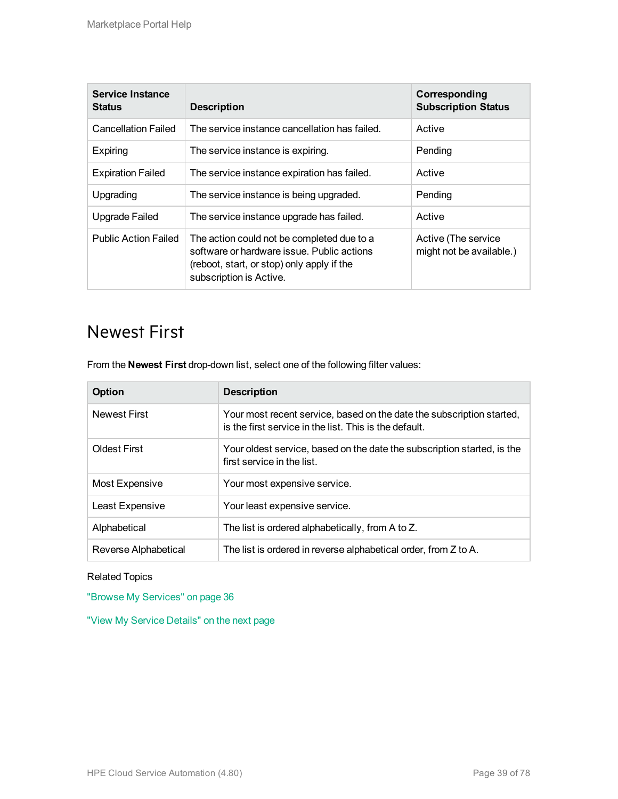| Service Instance<br><b>Status</b> | <b>Description</b>                                                                                                                                                | Corresponding<br><b>Subscription Status</b>     |
|-----------------------------------|-------------------------------------------------------------------------------------------------------------------------------------------------------------------|-------------------------------------------------|
| <b>Cancellation Failed</b>        | The service instance cancellation has failed.                                                                                                                     | Active                                          |
| Expiring                          | The service instance is expiring.                                                                                                                                 | Pending                                         |
| <b>Expiration Failed</b>          | The service instance expiration has failed.                                                                                                                       | Active                                          |
| Upgrading                         | The service instance is being upgraded.                                                                                                                           | Pending                                         |
| Upgrade Failed                    | The service instance upgrade has failed.                                                                                                                          | Active                                          |
| <b>Public Action Failed</b>       | The action could not be completed due to a<br>software or hardware issue. Public actions<br>(reboot, start, or stop) only apply if the<br>subscription is Active. | Active (The service<br>might not be available.) |

#### <span id="page-38-0"></span>Newest First

From the **Newest First** drop-down list, select one of the following filter values:

| Option               | <b>Description</b>                                                                                                              |
|----------------------|---------------------------------------------------------------------------------------------------------------------------------|
| <b>Newest First</b>  | Your most recent service, based on the date the subscription started,<br>is the first service in the list. This is the default. |
| <b>Oldest First</b>  | Your oldest service, based on the date the subscription started, is the<br>first service in the list.                           |
| Most Expensive       | Your most expensive service.                                                                                                    |
| Least Expensive      | Your least expensive service.                                                                                                   |
| Alphabetical         | The list is ordered alphabetically, from A to Z.                                                                                |
| Reverse Alphabetical | The list is ordered in reverse alphabetical order, from Z to A.                                                                 |

#### Related Topics

"Browse My [Services"](#page-35-0) on page 36

"View My Service [Details"](#page-39-0) on the next page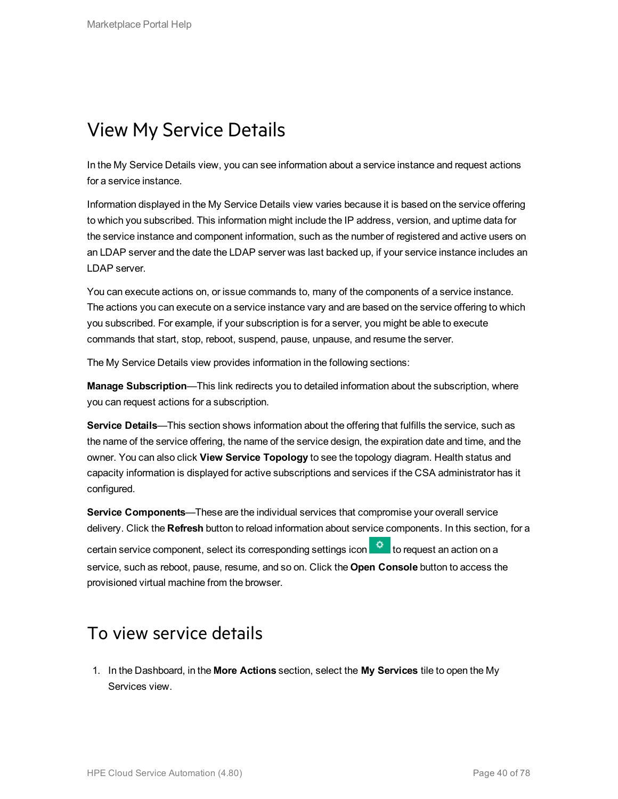#### <span id="page-39-0"></span>View My Service Details

In the My Service Details view, you can see information about a service instance and request actions for a service instance.

Information displayed in the My Service Details view varies because it is based on the service offering to which you subscribed. This information might include the IP address, version, and uptime data for the service instance and component information, such as the number of registered and active users on an LDAP server and the date the LDAP server was last backed up, if your service instance includes an LDAP server.

You can execute actions on, or issue commands to, many of the components of a service instance. The actions you can execute on a service instance vary and are based on the service offering to which you subscribed. For example, if your subscription is for a server, you might be able to execute commands that start, stop, reboot, suspend, pause, unpause, and resume the server.

The My Service Details view provides information in the following sections:

**Manage Subscription**—This link redirects you to detailed information about the subscription, where you can request actions for a subscription.

**Service Details**—This section shows information about the offering that fulfills the service, such as the name of the service offering, the name of the service design, the expiration date and time, and the owner. You can also click **View Service Topology** to see the topology diagram. Health status and capacity information is displayed for active subscriptions and services if the CSA administrator has it configured.

**Service Components**—These are the individual services that compromise your overall service delivery. Click the **Refresh** button to reload information about service components. In this section, for a certain service component, select its corresponding settings icon **the lead to request an action on a** service, such as reboot, pause, resume, and so on. Click the **Open Console** button to access the provisioned virtual machine from the browser.

#### To view service details

1. In the Dashboard, in the **More Actions** section, select the **My Services** tile to open the My Services view.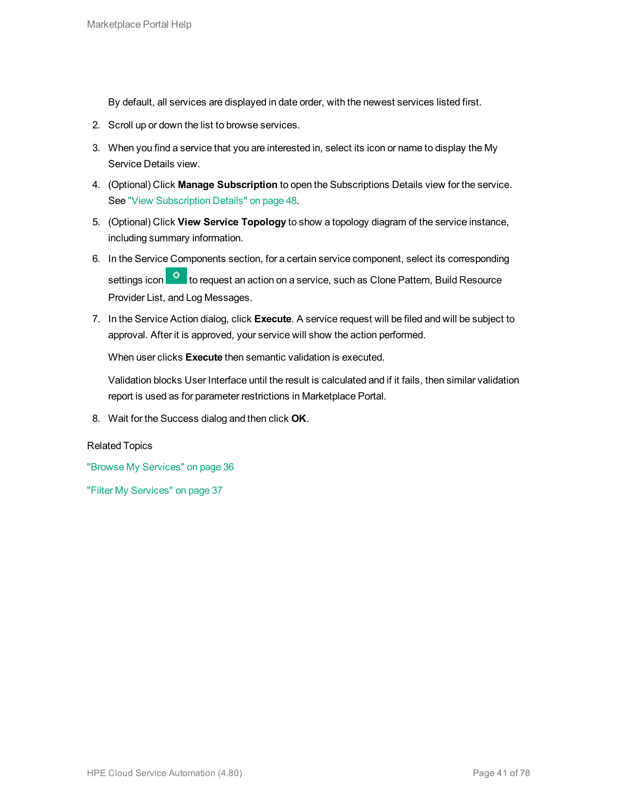By default, all services are displayed in date order, with the newest services listed first.

- 2. Scroll up or down the list to browse services.
- 3. When you find a service that you are interested in, select its icon or name to display the My Service Details view.
- 4. (Optional) Click **Manage Subscription** to open the Subscriptions Details view for the service. See "View [Subscription](#page-47-0) Details" on page 48.
- 5. (Optional) Click **View Service Topology** to show a topology diagram of the service instance, including summary information.
- 6. In the Service Components section, for a certain service component, select its corresponding settings icon **to request an action on a service, such as Clone Pattern, Build Resource** Provider List, and Log Messages.
- 7. In the Service Action dialog, click **Execute**. A service request will be filed and will be subject to approval. After it is approved, your service will show the action performed.

When user clicks **Execute** then semantic validation is executed.

Validation blocks User Interface until the result is calculated and if it fails, then similar validation report is used as for parameter restrictions in Marketplace Portal.

8. Wait for the Success dialog and then click **OK**.

#### Related Topics

"Browse My [Services"](#page-35-0) on page 36

"Filter My [Services"](#page-36-0) on page 37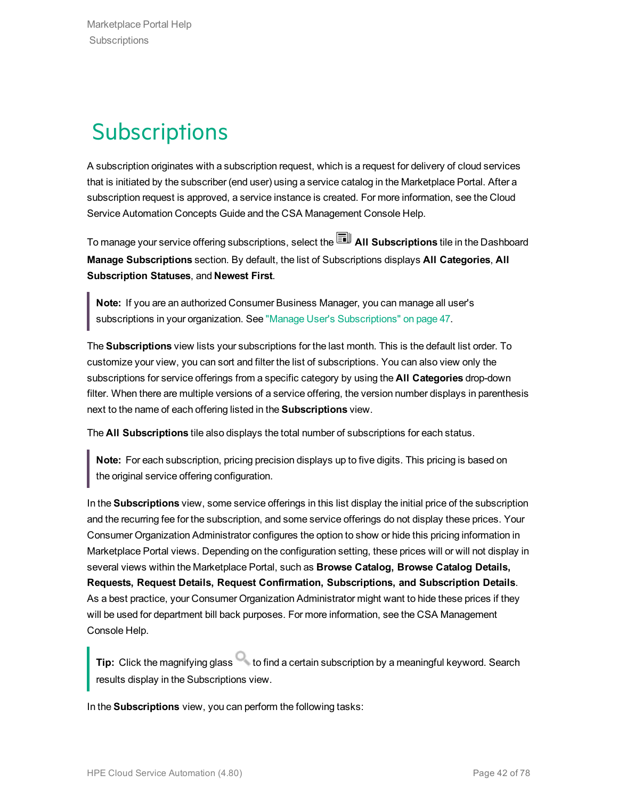# **Subscriptions**

A subscription originates with a subscription request, which is a request for delivery of cloud services that is initiated by the subscriber (end user) using a service catalog in the Marketplace Portal. After a subscription request is approved, a service instance is created. For more information, see the Cloud Service Automation Concepts Guide and the CSA Management Console Help.

To manage your service offering subscriptions, select the **All Subscriptions** tile in the Dashboard **Manage Subscriptions** section. By default, the list of Subscriptions displays **All Categories**, **All Subscription Statuses**, and **Newest First**.

**Note:** If you are an authorized Consumer Business Manager, you can manage all user's subscriptions in your organization. See "Manage User's [Subscriptions"](#page-46-0) on page 47.

The **Subscriptions** view lists your subscriptions for the last month. This is the default list order. To customize your view, you can sort and filter the list of subscriptions. You can also view only the subscriptions for service offerings from a specific category by using the **All Categories** drop-down filter. When there are multiple versions of a service offering, the version number displays in parenthesis next to the name of each offering listed in the **Subscriptions** view.

The **All Subscriptions** tile also displays the total number of subscriptions for each status.

**Note:** For each subscription, pricing precision displays up to five digits. This pricing is based on the original service offering configuration.

In the **Subscriptions** view, some service offerings in this list display the initial price of the subscription and the recurring fee for the subscription, and some service offerings do not display these prices. Your Consumer Organization Administrator configures the option to show or hide this pricing information in Marketplace Portal views. Depending on the configuration setting, these prices will or will not display in several views within the Marketplace Portal, such as **Browse Catalog, Browse Catalog Details, Requests, Request Details, Request Confirmation, Subscriptions, and Subscription Details**. As a best practice, your Consumer Organization Administrator might want to hide these prices if they will be used for department bill back purposes. For more information, see the CSA Management Console Help.

**Tip:** Click the magnifying glass **that is contained a certain subscription by a meaningful keyword. Search** results display in the Subscriptions view.

In the **Subscriptions** view, you can perform the following tasks: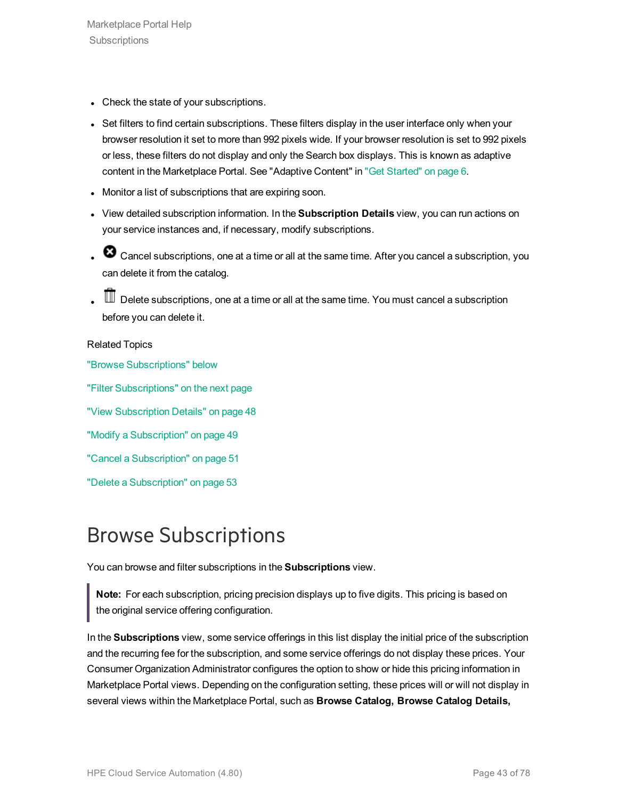- Check the state of your subscriptions.
- Set filters to find certain subscriptions. These filters display in the user interface only when your browser resolution it set to more than 992 pixels wide. If your browser resolution is set to 992 pixels or less, these filters do not display and only the Search box displays. This is known as adaptive content in the Marketplace Portal. See "Adaptive Content" in "Get [Started"](#page-5-0) on page 6.
- Monitor a list of subscriptions that are expiring soon.
- <sup>l</sup> View detailed subscription information. In the **Subscription Details** view, you can run actions on your service instances and, if necessary, modify subscriptions.
- C3 Cancel subscriptions, one at a time or all at the same time. After you cancel a subscription, you can delete it from the catalog.
- $\mathbb I\hspace{-0.1cm}I$  Delete subscriptions, one at a time or all at the same time. You must cancel a subscription before you can delete it.

#### Related Topics

"Browse [Subscriptions"](#page-42-0) below

"Filter [Subscriptions"](#page-43-0) on the next page

"View [Subscription](#page-47-0) Details" on page 48

"Modify a [Subscription"](#page-48-0) on page 49

"Cancel a [Subscription"](#page-50-0) on page 51

"Delete a [Subscription"](#page-52-0) on page 53

## <span id="page-42-0"></span>Browse Subscriptions

You can browse and filter subscriptions in the **Subscriptions** view.

**Note:** For each subscription, pricing precision displays up to five digits. This pricing is based on the original service offering configuration.

In the **Subscriptions** view, some service offerings in this list display the initial price of the subscription and the recurring fee for the subscription, and some service offerings do not display these prices. Your Consumer Organization Administrator configures the option to show or hide this pricing information in Marketplace Portal views. Depending on the configuration setting, these prices will or will not display in several views within the Marketplace Portal, such as **Browse Catalog, Browse Catalog Details,**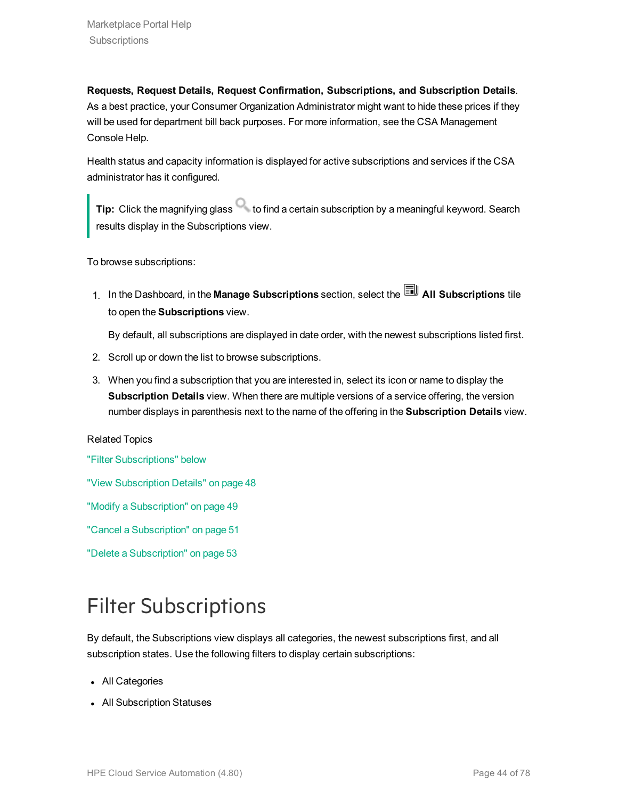**Requests, Request Details, Request Confirmation, Subscriptions, and Subscription Details**. As a best practice, your Consumer Organization Administrator might want to hide these prices if they will be used for department bill back purposes. For more information, see the CSA Management Console Help.

Health status and capacity information is displayed for active subscriptions and services if the CSA administrator has it configured.

**Tip:** Click the magnifying glass **that is contained a certain subscription by a meaningful keyword. Search** results display in the Subscriptions view.

To browse subscriptions:

1. In the Dashboard, in the Manage Subscriptions section, select the **All Subscriptions** tile to open the **Subscriptions** view.

By default, all subscriptions are displayed in date order, with the newest subscriptions listed first.

- 2. Scroll up or down the list to browse subscriptions.
- 3. When you find a subscription that you are interested in, select its icon or name to display the **Subscription Details** view. When there are multiple versions of a service offering, the version number displays in parenthesis next to the name of the offering in the **Subscription Details** view.

#### Related Topics

"Filter [Subscriptions"](#page-43-0) below

"View [Subscription](#page-47-0) Details" on page 48

"Modify a [Subscription"](#page-48-0) on page 49

"Cancel a [Subscription"](#page-50-0) on page 51

"Delete a [Subscription"](#page-52-0) on page 53

# <span id="page-43-0"></span>Filter Subscriptions

By default, the Subscriptions view displays all categories, the newest subscriptions first, and all subscription states. Use the following filters to display certain subscriptions:

- All Categories
- All Subscription Statuses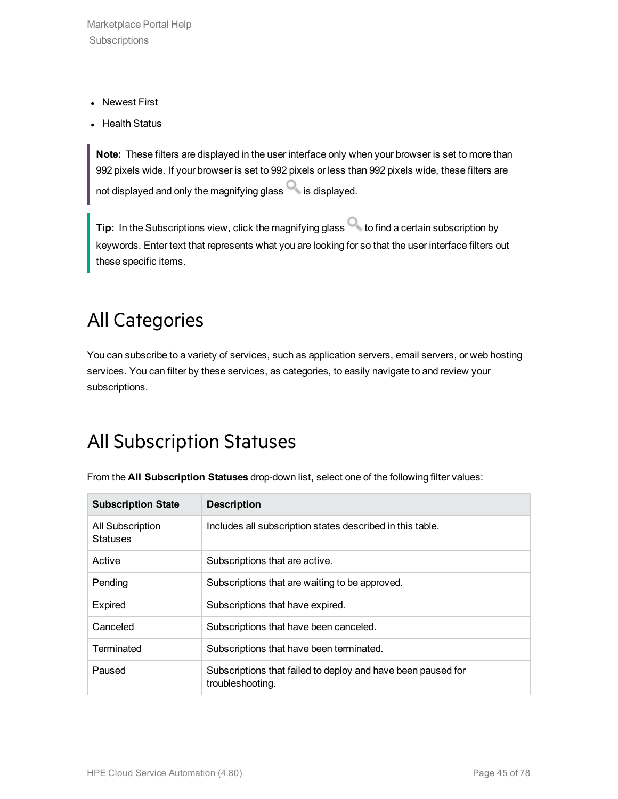Marketplace Portal Help **Subscriptions** 

- Newest First
- Health Status

**Note:** These filters are displayed in the user interface only when your browser is set to more than 992 pixels wide. If your browser is set to 992 pixels or less than 992 pixels wide, these filters are not displayed and only the magnifying glass  $\Box$  is displayed.

**Tip:** In the Subscriptions view, click the magnifying glass to find a certain subscription by keywords. Enter text that represents what you are looking for so that the user interface filters out these specific items.

### All Categories

You can subscribe to a variety of services, such as application servers, email servers, or web hosting services. You can filter by these services, as categories, to easily navigate to and review your subscriptions.

### All Subscription Statuses

| <b>Subscription State</b>           | <b>Description</b>                                                               |
|-------------------------------------|----------------------------------------------------------------------------------|
| All Subscription<br><b>Statuses</b> | Includes all subscription states described in this table.                        |
| Active                              | Subscriptions that are active.                                                   |
| Pending                             | Subscriptions that are waiting to be approved.                                   |
| <b>Expired</b>                      | Subscriptions that have expired.                                                 |
| Canceled                            | Subscriptions that have been canceled.                                           |
| Terminated                          | Subscriptions that have been terminated.                                         |
| Paused                              | Subscriptions that failed to deploy and have been paused for<br>troubleshooting. |

From the **All Subscription Statuses** drop-down list, select one of the following filter values: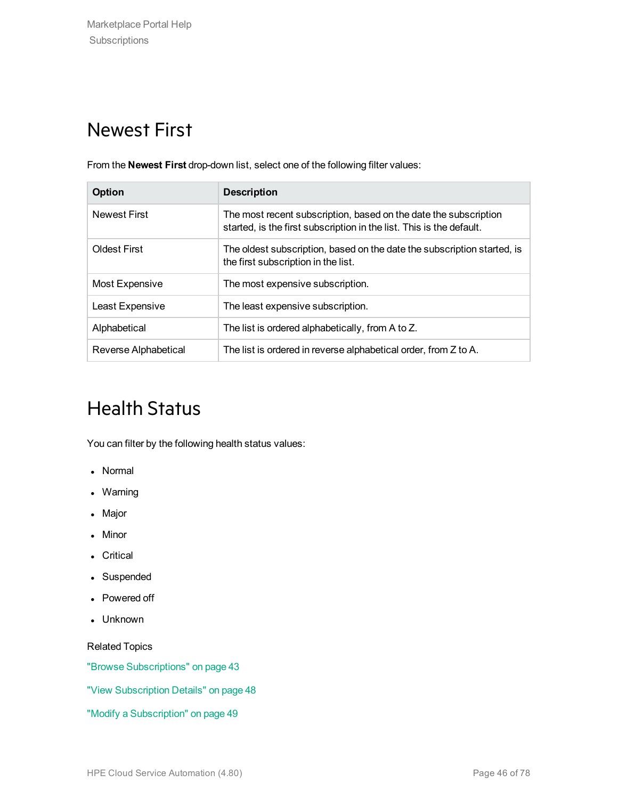### Newest First

From the **Newest First** drop-down list, select one of the following filter values:

| <b>Option</b>        | <b>Description</b>                                                                                                                       |
|----------------------|------------------------------------------------------------------------------------------------------------------------------------------|
| <b>Newest First</b>  | The most recent subscription, based on the date the subscription<br>started, is the first subscription in the list. This is the default. |
| <b>Oldest First</b>  | The oldest subscription, based on the date the subscription started, is<br>the first subscription in the list.                           |
| Most Expensive       | The most expensive subscription.                                                                                                         |
| Least Expensive      | The least expensive subscription.                                                                                                        |
| Alphabetical         | The list is ordered alphabetically, from A to Z.                                                                                         |
| Reverse Alphabetical | The list is ordered in reverse alphabetical order, from Z to A.                                                                          |

### Health Status

You can filter by the following health status values:

- Normal
- Warning
- Major
- Minor
- Critical
- Suspended
- Powered off
- Unknown

Related Topics

"Browse [Subscriptions"](#page-42-0) on page 43

"View [Subscription](#page-47-0) Details" on page 48

"Modify a [Subscription"](#page-48-0) on page 49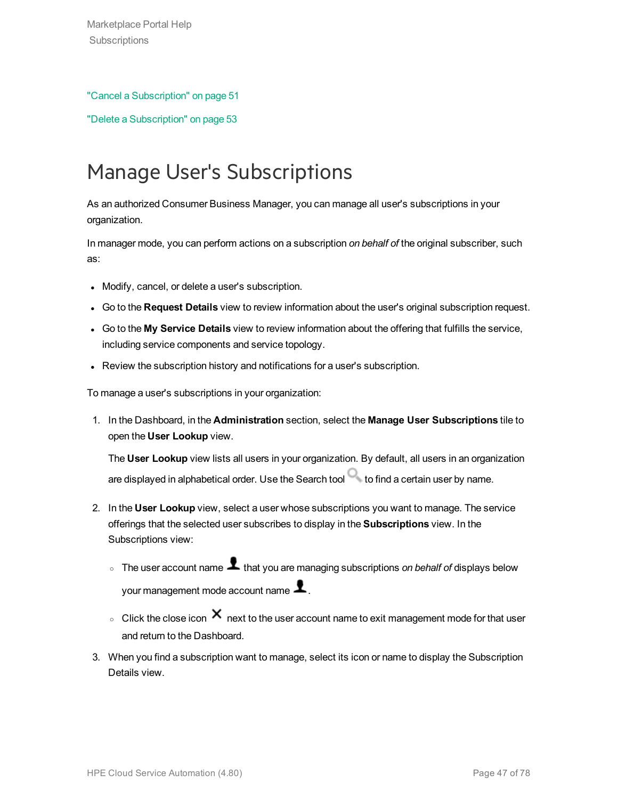#### "Cancel a [Subscription"](#page-50-0) on page 51

"Delete a [Subscription"](#page-52-0) on page 53

## <span id="page-46-0"></span>Manage User's Subscriptions

As an authorized Consumer Business Manager, you can manage all user's subscriptions in your organization.

In manager mode, you can perform actions on a subscription *on behalf of* the original subscriber, such as:

- Modify, cancel, or delete a user's subscription.
- <sup>l</sup> Go to the **Request Details** view to review information about the user's original subscription request.
- <sup>l</sup> Go to the **My Service Details** view to review information about the offering that fulfills the service, including service components and service topology.
- Review the subscription history and notifications for a user's subscription.

To manage a user's subscriptions in your organization:

1. In the Dashboard, in the **Administration** section, select the **Manage User Subscriptions** tile to open the **User Lookup** view.

The **User Lookup** view lists all users in your organization. By default, all users in an organization are displayed in alphabetical order. Use the Search tool  $\Box$  to find a certain user by name.

- 2. In the **User Lookup** view, select a user whose subscriptions you want to manage. The service offerings that the selected user subscribes to display in the **Subscriptions** view. In the Subscriptions view:
	- o The user account name **1** that you are managing subscriptions *on behalf of* displays below your management mode account name  $\blacktriangle$ .
	- $\circ$  Click the close icon  $\times$  next to the user account name to exit management mode for that user and return to the Dashboard.
- 3. When you find a subscription want to manage, select its icon or name to display the Subscription Details view.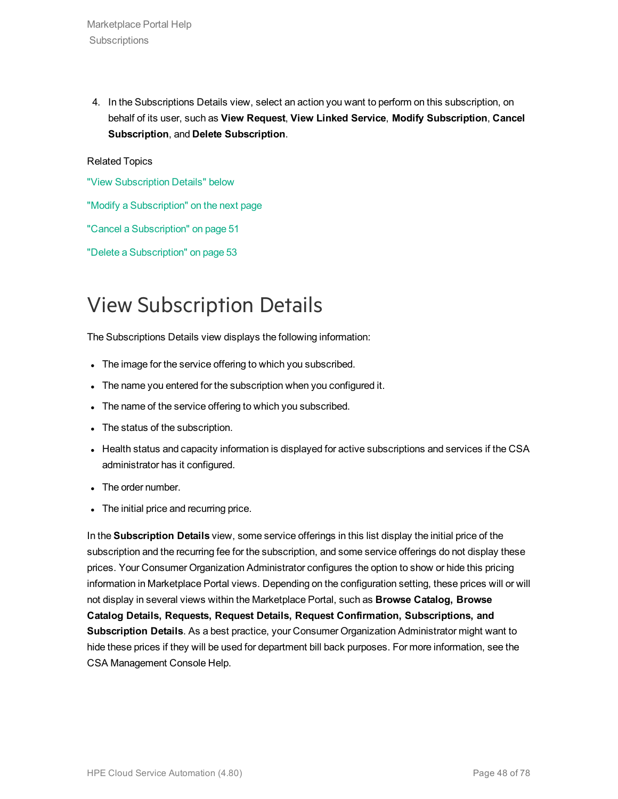4. In the Subscriptions Details view, select an action you want to perform on this subscription, on behalf of its user, such as **View Request**, **View Linked Service**, **Modify Subscription**, **Cancel Subscription**, and **Delete Subscription**.

#### Related Topics

"View [Subscription](#page-47-0) Details" below

"Modify a [Subscription"](#page-48-0) on the next page

"Cancel a [Subscription"](#page-50-0) on page 51

"Delete a [Subscription"](#page-52-0) on page 53

## <span id="page-47-0"></span>View Subscription Details

The Subscriptions Details view displays the following information:

- The image for the service offering to which you subscribed.
- The name you entered for the subscription when you configured it.
- The name of the service offering to which you subscribed.
- The status of the subscription.
- Health status and capacity information is displayed for active subscriptions and services if the CSA administrator has it configured.
- The order number.
- The initial price and recurring price.

In the **Subscription Details** view, some service offerings in this list display the initial price of the subscription and the recurring fee for the subscription, and some service offerings do not display these prices. Your Consumer Organization Administrator configures the option to show or hide this pricing information in Marketplace Portal views. Depending on the configuration setting, these prices will or will not display in several views within the Marketplace Portal, such as **Browse Catalog, Browse Catalog Details, Requests, Request Details, Request Confirmation, Subscriptions, and Subscription Details**. As a best practice, your Consumer Organization Administrator might want to hide these prices if they will be used for department bill back purposes. For more information, see the CSA Management Console Help.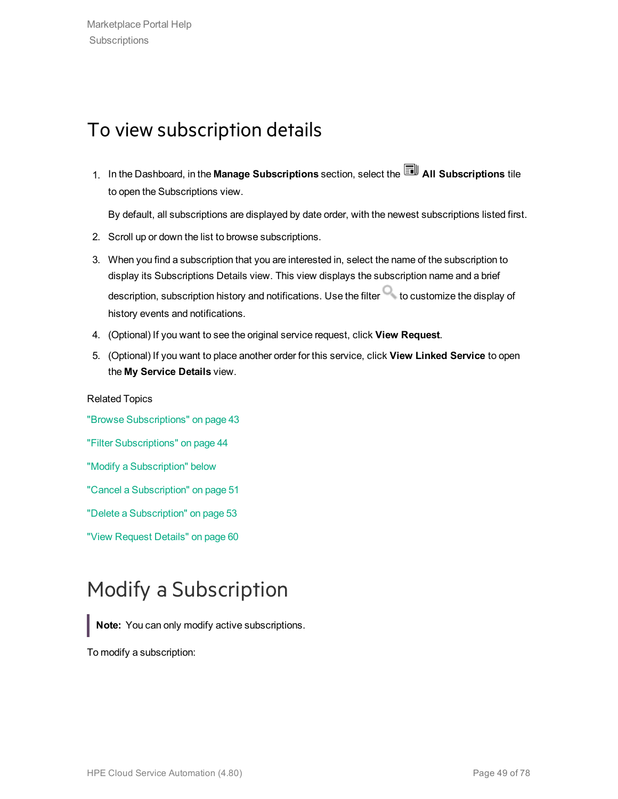### To view subscription details

1. In the Dashboard, in the Manage Subscriptions section, select the **All Subscriptions** tile to open the Subscriptions view.

By default, all subscriptions are displayed by date order, with the newest subscriptions listed first.

- 2. Scroll up or down the list to browse subscriptions.
- 3. When you find a subscription that you are interested in, select the name of the subscription to display its Subscriptions Details view. This view displays the subscription name and a brief description, subscription history and notifications. Use the filter  $\Box$  to customize the display of history events and notifications.
- 4. (Optional) If you want to see the original service request, click **View Request**.
- 5. (Optional) If you want to place another order for this service, click **View Linked Service** to open the **My Service Details** view.

Related Topics "Browse [Subscriptions"](#page-42-0) on page 43 "Filter [Subscriptions"](#page-43-0) on page 44 "Modify a [Subscription"](#page-48-0) below "Cancel a [Subscription"](#page-50-0) on page 51 "Delete a [Subscription"](#page-52-0) on page 53 "View [Request](#page-59-0) Details" on page 60

## <span id="page-48-0"></span>Modify a Subscription

**Note:** You can only modify active subscriptions.

To modify a subscription: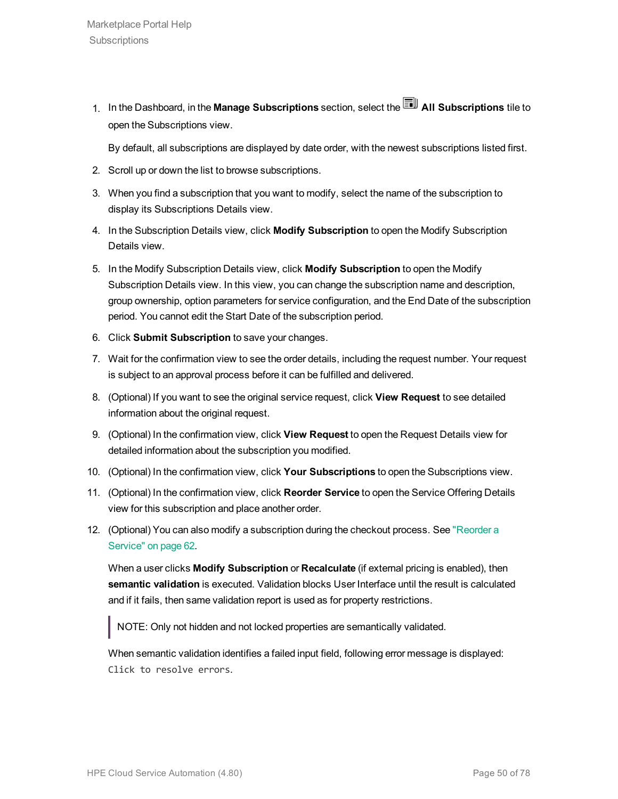1. In the Dashboard, in the **Manage Subscriptions** section, select the **All Subscriptions** tile to open the Subscriptions view.

By default, all subscriptions are displayed by date order, with the newest subscriptions listed first.

- 2. Scroll up or down the list to browse subscriptions.
- 3. When you find a subscription that you want to modify, select the name of the subscription to display its Subscriptions Details view.
- 4. In the Subscription Details view, click **Modify Subscription** to open the Modify Subscription Details view.
- 5. In the Modify Subscription Details view, click **Modify Subscription** to open the Modify Subscription Details view. In this view, you can change the subscription name and description, group ownership, option parameters for service configuration, and the End Date of the subscription period. You cannot edit the Start Date of the subscription period.
- 6. Click **Submit Subscription** to save your changes.
- 7. Wait for the confirmation view to see the order details, including the request number. Your request is subject to an approval process before it can be fulfilled and delivered.
- 8. (Optional) If you want to see the original service request, click **View Request** to see detailed information about the original request.
- 9. (Optional) In the confirmation view, click **View Request** to open the Request Details view for detailed information about the subscription you modified.
- 10. (Optional) In the confirmation view, click **Your Subscriptions** to open the Subscriptions view.
- 11. (Optional) In the confirmation view, click **Reorder Service** to open the Service Offering Details view for this subscription and place another order.
- 12. (Optional) You can also modify a subscription during the checkout process. See ["Reorder](#page-61-0) a [Service"](#page-61-0) on page 62.

When a user clicks **Modify Subscription** or **Recalculate** (if external pricing is enabled), then **semantic validation** is executed. Validation blocks User Interface until the result is calculated and if it fails, then same validation report is used as for property restrictions.

NOTE: Only not hidden and not locked properties are semantically validated.

When semantic validation identifies a failed input field, following error message is displayed: Click to resolve errors.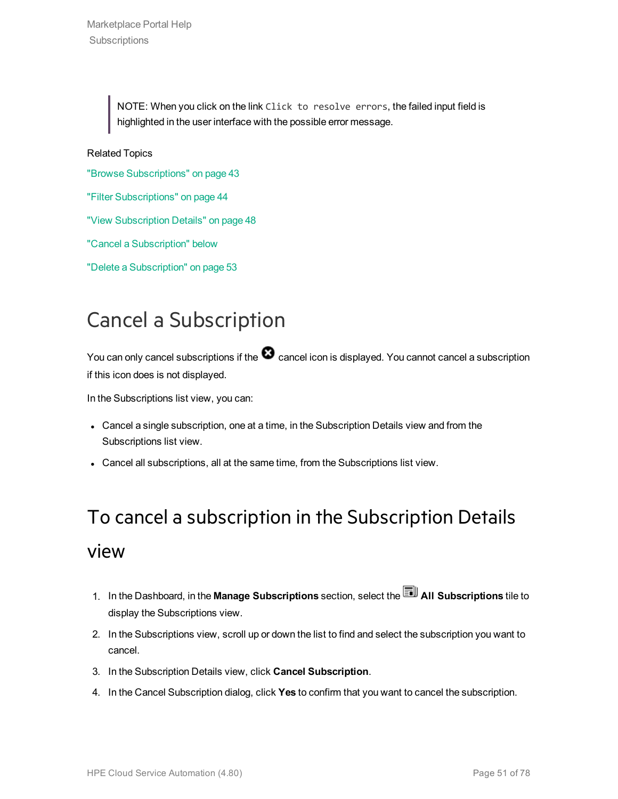NOTE: When you click on the link Click to resolve errors, the failed input field is highlighted in the user interface with the possible error message.

Related Topics

"Browse [Subscriptions"](#page-42-0) on page 43

"Filter [Subscriptions"](#page-43-0) on page 44

"View [Subscription](#page-47-0) Details" on page 48

"Cancel a [Subscription"](#page-50-0) below

"Delete a [Subscription"](#page-52-0) on page 53

### <span id="page-50-0"></span>Cancel a Subscription

You can only cancel subscriptions if the  $\bullet$  cancel icon is displayed. You cannot cancel a subscription if this icon does is not displayed.

In the Subscriptions list view, you can:

- Cancel a single subscription, one at a time, in the Subscription Details view and from the Subscriptions list view.
- Cancel all subscriptions, all at the same time, from the Subscriptions list view.

# To cancel a subscription in the Subscription Details view

- 1. In the Dashboard, in the **Manage Subscriptions** section, select the **All Subscriptions** tile to display the Subscriptions view.
- 2. In the Subscriptions view, scroll up or down the list to find and select the subscription you want to cancel.
- 3. In the Subscription Details view, click **Cancel Subscription**.
- 4. In the Cancel Subscription dialog, click **Yes** to confirm that you want to cancel the subscription.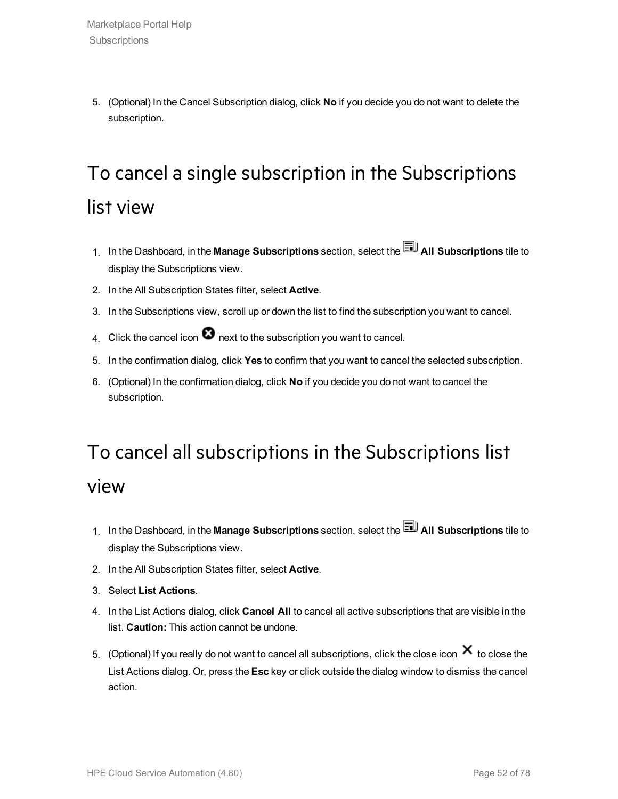5. (Optional) In the Cancel Subscription dialog, click **No** if you decide you do not want to delete the subscription.

# To cancel a single subscription in the Subscriptions list view

- 1. In the Dashboard, in the **Manage Subscriptions** section, select the **All Subscriptions** tile to display the Subscriptions view.
- 2. In the All Subscription States filter, select **Active**.
- 3. In the Subscriptions view, scroll up or down the list to find the subscription you want to cancel.
- 4. Click the cancel icon  $\bullet$  next to the subscription you want to cancel.
- 5. In the confirmation dialog, click **Yes** to confirm that you want to cancel the selected subscription.
- 6. (Optional) In the confirmation dialog, click **No** if you decide you do not want to cancel the subscription.

# To cancel all subscriptions in the Subscriptions list

#### view

- 1. In the Dashboard, in the **Manage Subscriptions** section, select the **All Subscriptions** tile to display the Subscriptions view.
- 2. In the All Subscription States filter, select **Active**.
- 3. Select **List Actions**.
- 4. In the List Actions dialog, click **Cancel All** to cancel all active subscriptions that are visible in the list. **Caution:** This action cannot be undone.
- 5. (Optional) If you really do not want to cancel all subscriptions, click the close icon  $\bm{\times}$  to close the List Actions dialog. Or, press the **Esc** key or click outside the dialog window to dismiss the cancel action.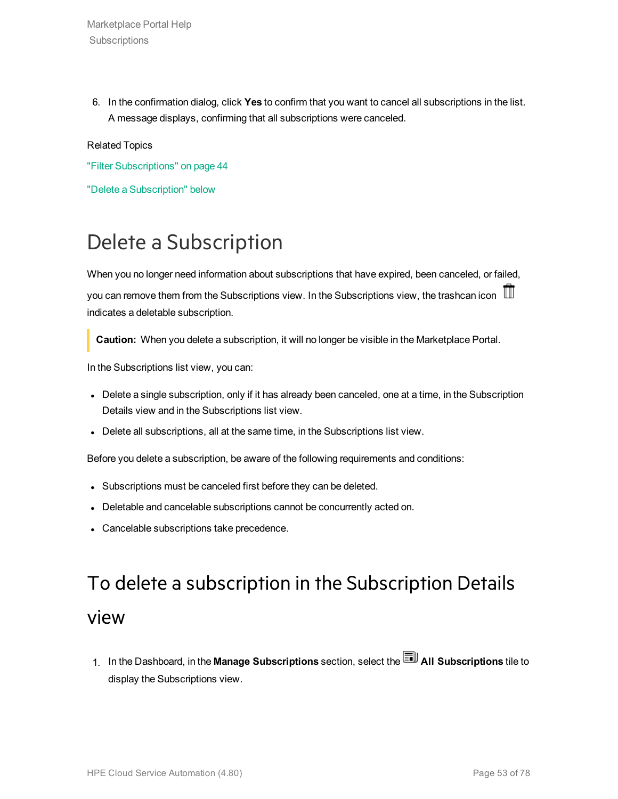Marketplace Portal Help **Subscriptions** 

6. In the confirmation dialog, click **Yes** to confirm that you want to cancel all subscriptions in the list. A message displays, confirming that all subscriptions were canceled.

#### Related Topics

"Filter [Subscriptions"](#page-43-0) on page 44

"Delete a [Subscription"](#page-52-0) below

### <span id="page-52-0"></span>Delete a Subscription

When you no longer need information about subscriptions that have expired, been canceled, or failed, you can remove them from the Subscriptions view. In the Subscriptions view, the trashcan icon indicates a deletable subscription.

**Caution:** When you delete a subscription, it will no longer be visible in the Marketplace Portal.

In the Subscriptions list view, you can:

- Delete a single subscription, only if it has already been canceled, one at a time, in the Subscription Details view and in the Subscriptions list view.
- Delete all subscriptions, all at the same time, in the Subscriptions list view.

Before you delete a subscription, be aware of the following requirements and conditions:

- Subscriptions must be canceled first before they can be deleted.
- Deletable and cancelable subscriptions cannot be concurrently acted on.
- Cancelable subscriptions take precedence.

# To delete a subscription in the Subscription Details view

1. In the Dashboard, in the **Manage Subscriptions** section, select the **All Subscriptions** tile to display the Subscriptions view.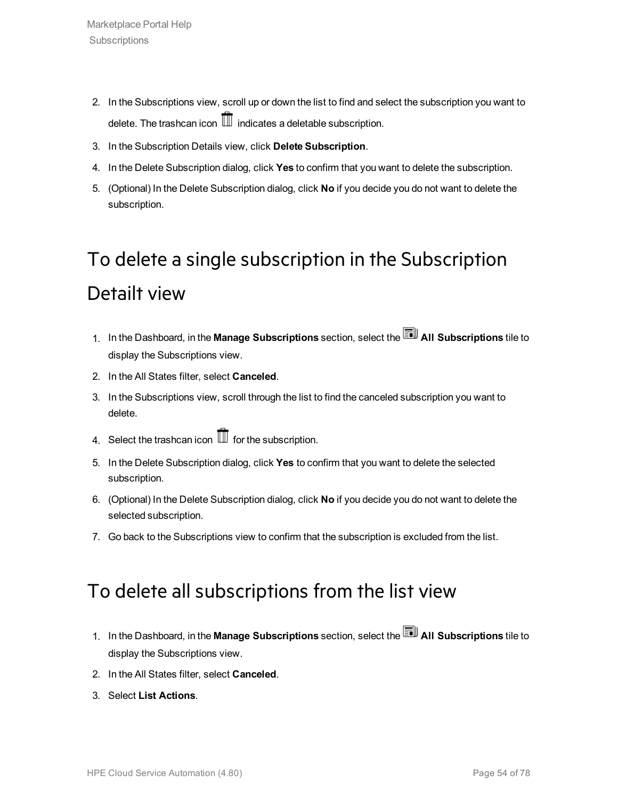- 2. In the Subscriptions view, scroll up or down the list to find and select the subscription you want to delete. The trashcan icon  $\overline{\mathbb{II}}$  indicates a deletable subscription.
- 3. In the Subscription Details view, click **Delete Subscription**.
- 4. In the Delete Subscription dialog, click **Yes** to confirm that you want to delete the subscription.
- 5. (Optional) In the Delete Subscription dialog, click **No** if you decide you do not want to delete the subscription.

# To delete a single subscription in the Subscription Detailt view

- 1. In the Dashboard, in the **Manage Subscriptions** section, select the **All Subscriptions** tile to display the Subscriptions view.
- 2. In the All States filter, select **Canceled**.
- 3. In the Subscriptions view, scroll through the list to find the canceled subscription you want to delete.
- 4. Select the trashcan icon  $\mathbb I$  for the subscription.
- 5. In the Delete Subscription dialog, click **Yes** to confirm that you want to delete the selected subscription.
- 6. (Optional) In the Delete Subscription dialog, click **No** if you decide you do not want to delete the selected subscription.
- 7. Go back to the Subscriptions view to confirm that the subscription is excluded from the list.

#### To delete all subscriptions from the list view

- 1. In the Dashboard, in the **Manage Subscriptions** section, select the **All Subscriptions** tile to display the Subscriptions view.
- 2. In the All States filter, select **Canceled**.
- 3. Select **List Actions**.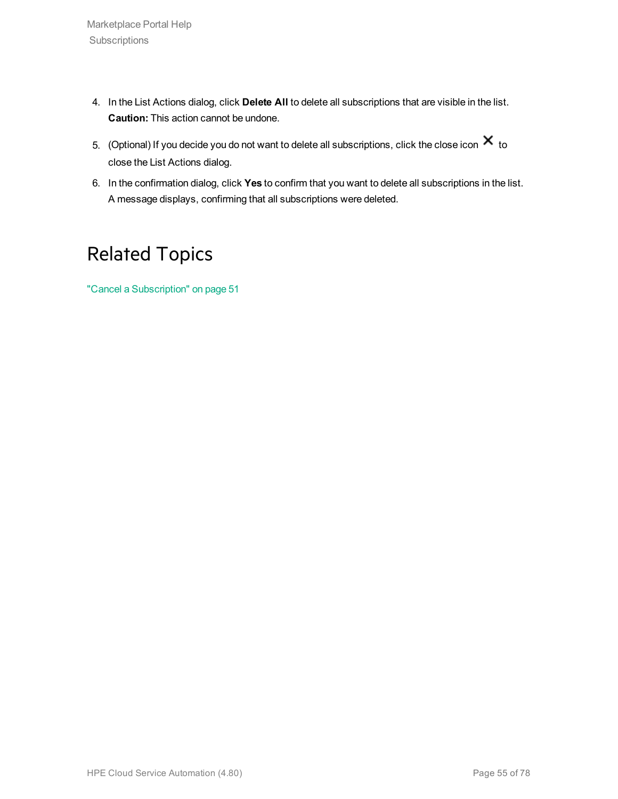- 4. In the List Actions dialog, click **Delete All** to delete all subscriptions that are visible in the list. **Caution:** This action cannot be undone.
- 5. (Optional) If you decide you do not want to delete all subscriptions, click the close icon  $\bm{\times}$  to close the List Actions dialog.
- 6. In the confirmation dialog, click **Yes** to confirm that you want to delete all subscriptions in the list. A message displays, confirming that all subscriptions were deleted.

### Related Topics

"Cancel a [Subscription"](#page-50-0) on page 51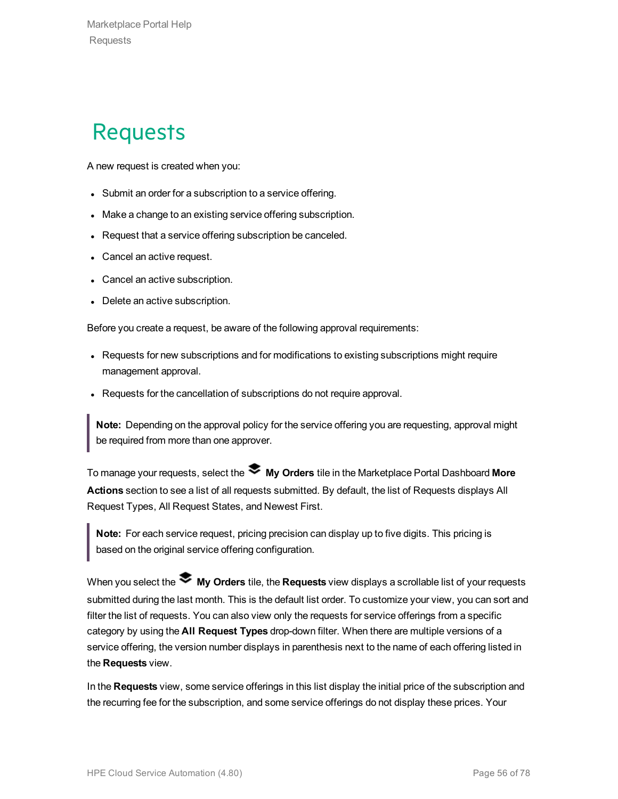# **Requests**

A new request is created when you:

- Submit an order for a subscription to a service offering.
- Make a change to an existing service offering subscription.
- Request that a service offering subscription be canceled.
- Cancel an active request.
- Cancel an active subscription.
- Delete an active subscription.

Before you create a request, be aware of the following approval requirements:

- Requests for new subscriptions and for modifications to existing subscriptions might require management approval.
- Requests for the cancellation of subscriptions do not require approval.

**Note:** Depending on the approval policy for the service offering you are requesting, approval might be required from more than one approver.

To manage your requests, select the **My Orders** tile in the Marketplace Portal Dashboard **More Actions** section to see a list of all requests submitted. By default, the list of Requests displays All Request Types, All Request States, and Newest First.

**Note:** For each service request, pricing precision can display up to five digits. This pricing is based on the original service offering configuration.

When you select the **My Orders** tile, the **Requests** view displays a scrollable list of your requests submitted during the last month. This is the default list order. To customize your view, you can sort and filter the list of requests. You can also view only the requests for service offerings from a specific category by using the **All Request Types** drop-down filter. When there are multiple versions of a service offering, the version number displays in parenthesis next to the name of each offering listed in the **Requests** view.

In the **Requests** view, some service offerings in this list display the initial price of the subscription and the recurring fee for the subscription, and some service offerings do not display these prices. Your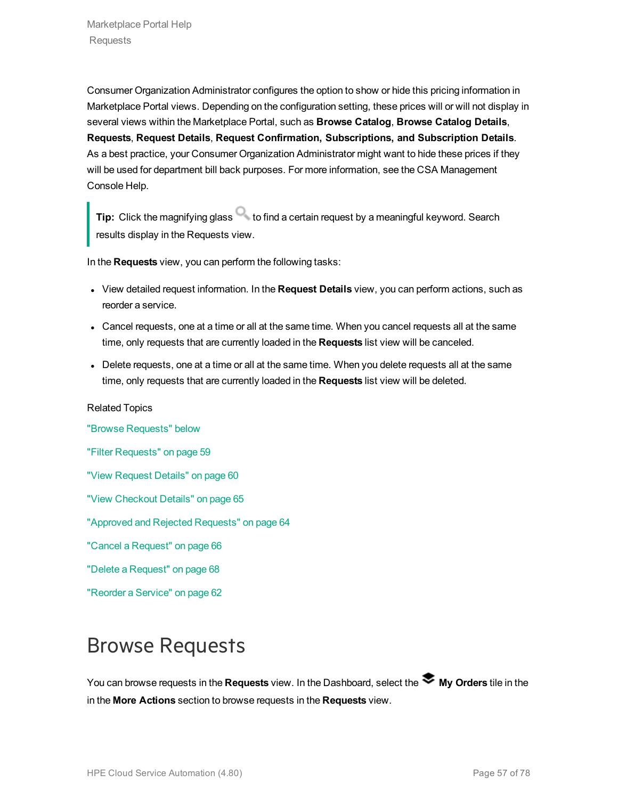Consumer Organization Administrator configures the option to show or hide this pricing information in Marketplace Portal views. Depending on the configuration setting, these prices will or will not display in several views within the Marketplace Portal, such as **Browse Catalog**, **Browse Catalog Details**, **Requests**, **Request Details**, **Request Confirmation, Subscriptions, and Subscription Details**. As a best practice, your Consumer Organization Administrator might want to hide these prices if they will be used for department bill back purposes. For more information, see the CSA Management Console Help.

**Tip:** Click the magnifying glass **that is contained a certain request by a meaningful keyword. Search** results display in the Requests view.

In the **Requests** view, you can perform the following tasks:

- <sup>l</sup> View detailed request information. In the **Request Details** view, you can perform actions, such as reorder a service.
- Cancel requests, one at a time or all at the same time. When you cancel requests all at the same time, only requests that are currently loaded in the **Requests** list view will be canceled.
- Delete requests, one at a time or all at the same time. When you delete requests all at the same time, only requests that are currently loaded in the **Requests** list view will be deleted.

#### Related Topics

"Browse [Requests"](#page-56-0) below "Filter [Requests"](#page-58-0) on page 59 "View [Request](#page-59-0) Details" on page 60 "View [Checkout](#page-64-0) Details" on page 65

"Approved and Rejected [Requests"](#page-63-0) on page 64

"Cancel a [Request"](#page-65-0) on page 66

"Delete a [Request"](#page-67-0) on page 68

["Reorder](#page-61-0) a Service" on page 62

## <span id="page-56-0"></span>Browse Requests

You can browse requests in the Requests view. In the Dashboard, select the **My Orders** tile in the in the **More Actions** section to browse requests in the **Requests** view.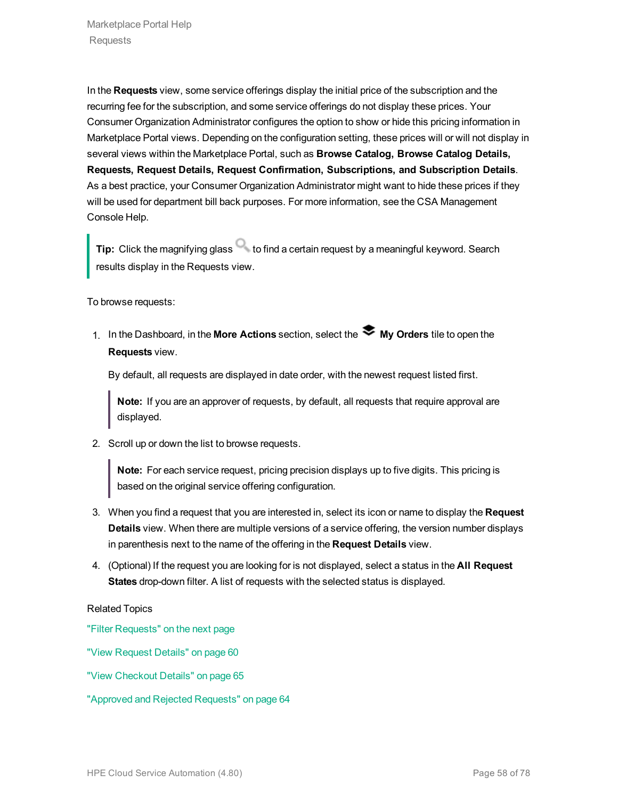In the **Requests** view, some service offerings display the initial price of the subscription and the recurring fee for the subscription, and some service offerings do not display these prices. Your Consumer Organization Administrator configures the option to show or hide this pricing information in Marketplace Portal views. Depending on the configuration setting, these prices will or will not display in several views within the Marketplace Portal, such as **Browse Catalog, Browse Catalog Details, Requests, Request Details, Request Confirmation, Subscriptions, and Subscription Details**. As a best practice, your Consumer Organization Administrator might want to hide these prices if they will be used for department bill back purposes. For more information, see the CSA Management Console Help.

**Tip:** Click the magnifying glass **that is contained a certain request by a meaningful keyword. Search** results display in the Requests view.

To browse requests:

1. In the Dashboard, in the **More Actions** section, select the **My Orders** tile to open the **Requests** view.

By default, all requests are displayed in date order, with the newest request listed first.

**Note:** If you are an approver of requests, by default, all requests that require approval are displayed.

2. Scroll up or down the list to browse requests.

**Note:** For each service request, pricing precision displays up to five digits. This pricing is based on the original service offering configuration.

- 3. When you find a request that you are interested in, select its icon or name to display the **Request Details** view. When there are multiple versions of a service offering, the version number displays in parenthesis next to the name of the offering in the **Request Details** view.
- 4. (Optional) If the request you are looking for is not displayed, select a status in the **All Request States** drop-down filter. A list of requests with the selected status is displayed.

#### Related Topics

"Filter [Requests"](#page-58-0) on the next page

"View [Request](#page-59-0) Details" on page 60

- "View [Checkout](#page-64-0) Details" on page 65
- "Approved and Rejected [Requests"](#page-63-0) on page 64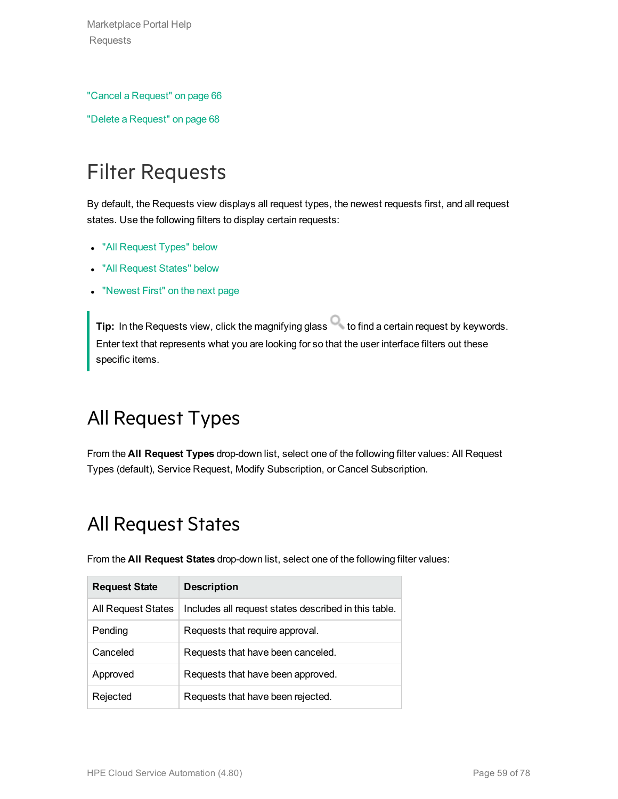Marketplace Portal Help Requests

"Cancel a [Request"](#page-65-0) on page 66

"Delete a [Request"](#page-67-0) on page 68

# <span id="page-58-0"></span>Filter Requests

By default, the Requests view displays all request types, the newest requests first, and all request states. Use the following filters to display certain requests:

- "All [Request](#page-58-1) Types" below
- "All [Request](#page-58-2) States" below
- ["Newest](#page-59-1) First" on the next page

**Tip:** In the Requests view, click the magnifying glass **the find a certain request by keywords.** Enter text that represents what you are looking for so that the user interface filters out these specific items.

### <span id="page-58-1"></span>All Request Types

<span id="page-58-2"></span>From the **All Request Types** drop-down list, select one of the following filter values: All Request Types (default), Service Request, Modify Subscription, or Cancel Subscription.

### All Request States

| <b>Request State</b> | <b>Description</b>                                   |
|----------------------|------------------------------------------------------|
| All Request States   | Includes all request states described in this table. |
| Pending              | Requests that require approval.                      |
| Canceled             | Requests that have been canceled.                    |
| Approved             | Requests that have been approved.                    |
| Rejected             | Requests that have been rejected.                    |

From the **All Request States** drop-down list, select one of the following filter values: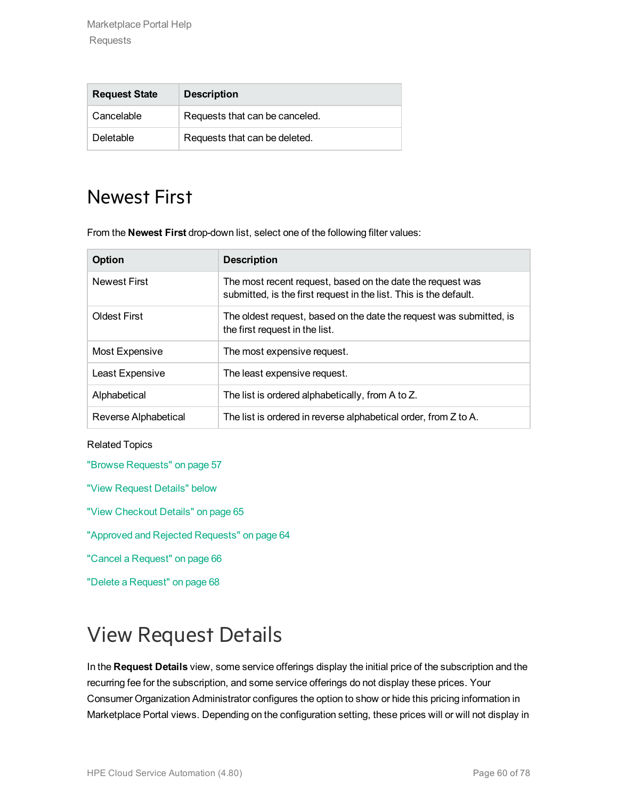| <b>Request State</b> | <b>Description</b>             |
|----------------------|--------------------------------|
| Cancelable           | Requests that can be canceled. |
| Deletable            | Requests that can be deleted.  |

### <span id="page-59-1"></span>Newest First

From the **Newest First** drop-down list, select one of the following filter values:

| Option               | <b>Description</b>                                                                                                              |
|----------------------|---------------------------------------------------------------------------------------------------------------------------------|
| <b>Newest First</b>  | The most recent request, based on the date the request was<br>submitted, is the first request in the list. This is the default. |
| <b>Oldest First</b>  | The oldest request, based on the date the request was submitted, is<br>the first request in the list.                           |
| Most Expensive       | The most expensive request.                                                                                                     |
| Least Expensive      | The least expensive request.                                                                                                    |
| Alphabetical         | The list is ordered alphabetically, from A to Z.                                                                                |
| Reverse Alphabetical | The list is ordered in reverse alphabetical order, from Z to A.                                                                 |

#### Related Topics

"Browse [Requests"](#page-56-0) on page 57

"View [Request](#page-59-0) Details" below

"View [Checkout](#page-64-0) Details" on page 65

"Approved and Rejected [Requests"](#page-63-0) on page 64

"Cancel a [Request"](#page-65-0) on page 66

"Delete a [Request"](#page-67-0) on page 68

## <span id="page-59-0"></span>View Request Details

In the **Request Details** view, some service offerings display the initial price of the subscription and the recurring fee for the subscription, and some service offerings do not display these prices. Your Consumer Organization Administrator configures the option to show or hide this pricing information in Marketplace Portal views. Depending on the configuration setting, these prices will or will not display in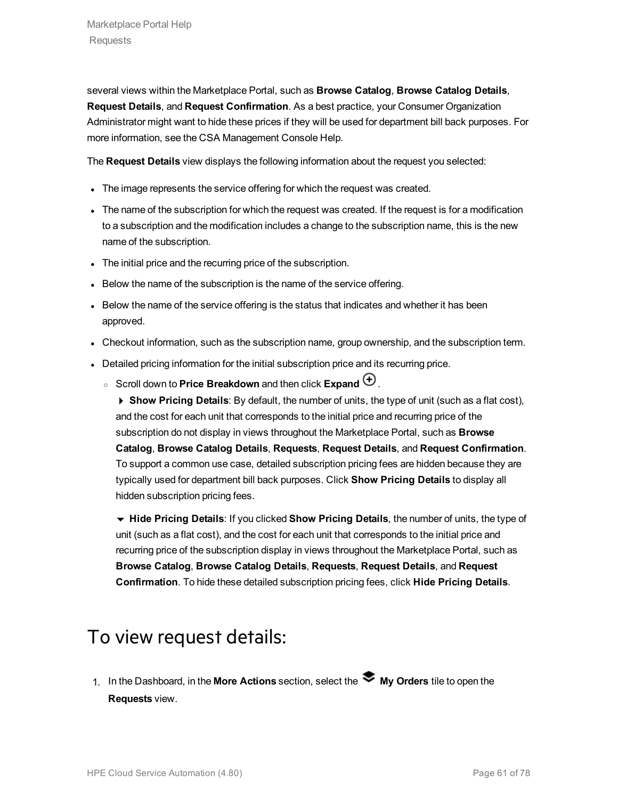several views within the Marketplace Portal, such as **Browse Catalog**, **Browse Catalog Details**, **Request Details**, and **Request Confirmation**. As a best practice, your Consumer Organization Administrator might want to hide these prices if they will be used for department bill back purposes. For more information, see the CSA Management Console Help.

The **Request Details** view displays the following information about the request you selected:

- The image represents the service offering for which the request was created.
- The name of the subscription for which the request was created. If the request is for a modification to a subscription and the modification includes a change to the subscription name, this is the new name of the subscription.
- The initial price and the recurring price of the subscription.
- Below the name of the subscription is the name of the service offering.
- Below the name of the service offering is the status that indicates and whether it has been approved.
- Checkout information, such as the subscription name, group ownership, and the subscription term.
- Detailed pricing information for the initial subscription price and its recurring price.
	- Scroll down to **Price Breakdown** and then click **Expand**  $\bigoplus$ .

4 **Show Pricing Details**: By default, the number of units, the type of unit (such as a flat cost), and the cost for each unit that corresponds to the initial price and recurring price of the subscription do not display in views throughout the Marketplace Portal, such as **Browse Catalog**, **Browse Catalog Details**, **Requests**, **Request Details**, and **Request Confirmation**. To support a common use case, detailed subscription pricing fees are hidden because they are typically used for department bill back purposes. Click **Show Pricing Details** to display all hidden subscription pricing fees.

6 **Hide Pricing Details**: If you clicked **Show Pricing Details**, the number of units, the type of unit (such as a flat cost), and the cost for each unit that corresponds to the initial price and recurring price of the subscription display in views throughout the Marketplace Portal, such as **Browse Catalog**, **Browse Catalog Details**, **Requests**, **Request Details**, and **Request Confirmation**. To hide these detailed subscription pricing fees, click **Hide Pricing Details**.

#### To view request details:

1. In the Dashboard, in the **More Actions** section, select the **My Orders** tile to open the **Requests** view.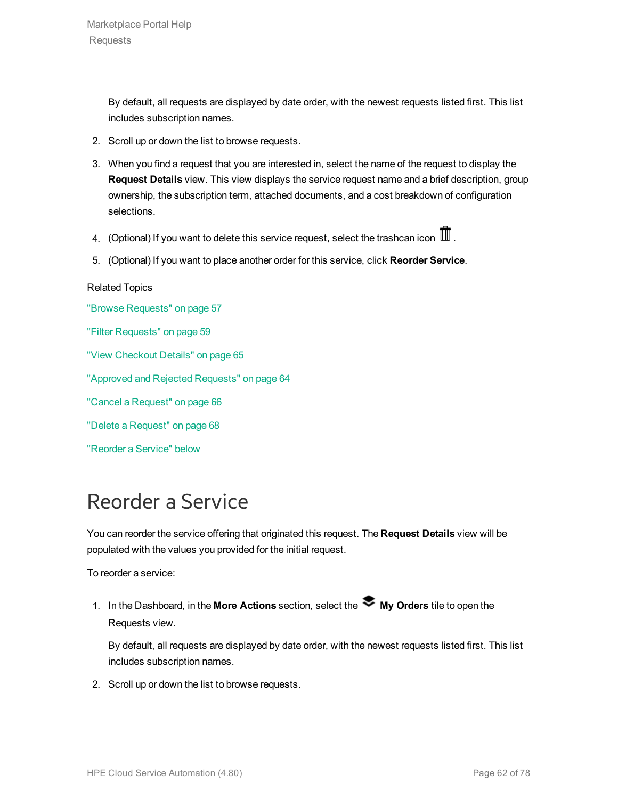By default, all requests are displayed by date order, with the newest requests listed first. This list includes subscription names.

- 2. Scroll up or down the list to browse requests.
- 3. When you find a request that you are interested in, select the name of the request to display the **Request Details** view. This view displays the service request name and a brief description, group ownership, the subscription term, attached documents, and a cost breakdown of configuration selections.
- 4. (Optional) If you want to delete this service request, select the trashcan icon  $\mathbb I$ .
- 5. (Optional) If you want to place another order for this service, click **Reorder Service**.

#### Related Topics

"Browse [Requests"](#page-56-0) on page 57 "Filter [Requests"](#page-58-0) on page 59 "View [Checkout](#page-64-0) Details" on page 65 "Approved and Rejected [Requests"](#page-63-0) on page 64 "Cancel a [Request"](#page-65-0) on page 66 "Delete a [Request"](#page-67-0) on page 68 ["Reorder](#page-61-0) a Service" below

### <span id="page-61-0"></span>Reorder a Service

You can reorder the service offering that originated this request. The **Request Details** view will be populated with the values you provided for the initial request.

To reorder a service:

1. In the Dashboard, in the More Actions section, select the **My Orders** tile to open the Requests view.

By default, all requests are displayed by date order, with the newest requests listed first. This list includes subscription names.

2. Scroll up or down the list to browse requests.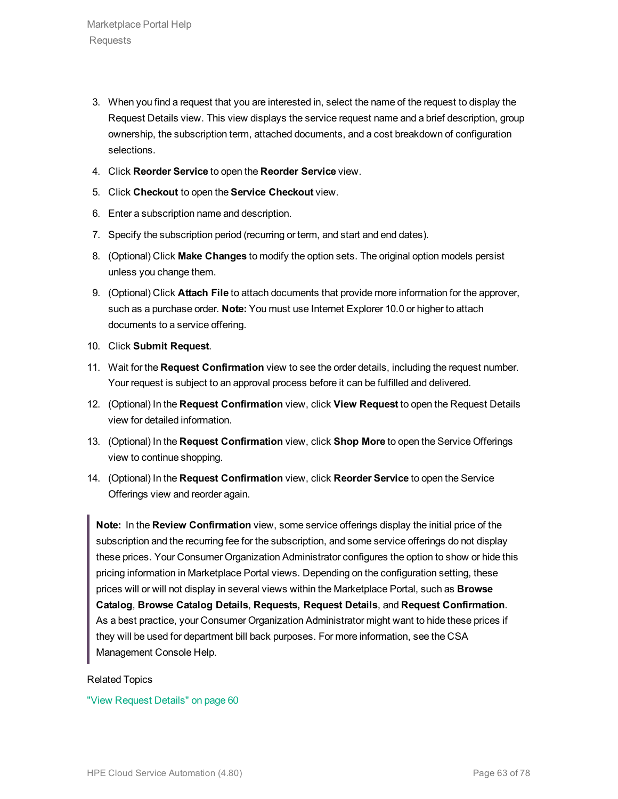- 3. When you find a request that you are interested in, select the name of the request to display the Request Details view. This view displays the service request name and a brief description, group ownership, the subscription term, attached documents, and a cost breakdown of configuration selections.
- 4. Click **Reorder Service** to open the **Reorder Service** view.
- 5. Click **Checkout** to open the **Service Checkout** view.
- 6. Enter a subscription name and description.
- 7. Specify the subscription period (recurring or term, and start and end dates).
- 8. (Optional) Click **Make Changes** to modify the option sets. The original option models persist unless you change them.
- 9. (Optional) Click **Attach File** to attach documents that provide more information for the approver, such as a purchase order. **Note:** You must use Internet Explorer 10.0 or higher to attach documents to a service offering.
- 10. Click **Submit Request**.
- 11. Wait for the **Request Confirmation** view to see the order details, including the request number. Your request is subject to an approval process before it can be fulfilled and delivered.
- 12. (Optional) In the **Request Confirmation** view, click **View Request** to open the Request Details view for detailed information.
- 13. (Optional) In the **Request Confirmation** view, click **Shop More** to open the Service Offerings view to continue shopping.
- 14. (Optional) In the **Request Confirmation** view, click **Reorder Service** to open the Service Offerings view and reorder again.

**Note:** In the **Review Confirmation** view, some service offerings display the initial price of the subscription and the recurring fee for the subscription, and some service offerings do not display these prices. Your Consumer Organization Administrator configures the option to show or hide this pricing information in Marketplace Portal views. Depending on the configuration setting, these prices will or will not display in several views within the Marketplace Portal, such as **Browse Catalog**, **Browse Catalog Details**, **Requests, Request Details**, and **Request Confirmation**. As a best practice, your Consumer Organization Administrator might want to hide these prices if they will be used for department bill back purposes. For more information, see the CSA Management Console Help.

#### Related Topics

"View [Request](#page-59-0) Details" on page 60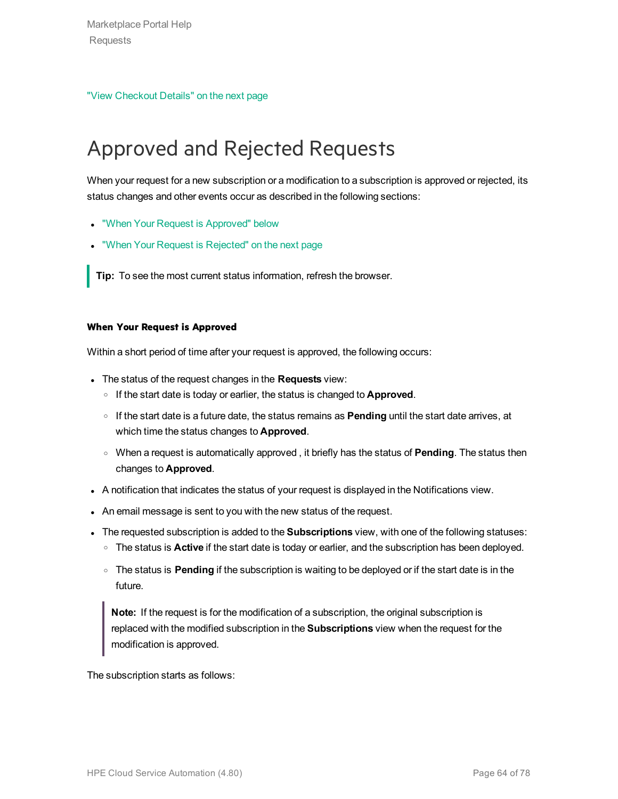"View [Checkout](#page-64-0) Details" on the next page

# <span id="page-63-0"></span>Approved and Rejected Requests

When your request for a new subscription or a modification to a subscription is approved or rejected, its status changes and other events occur as described in the following sections:

- "When Your Request is [Approved"](#page-63-1) below
- "When Your Request is [Rejected"](#page-64-1) on the next page

**Tip:** To see the most current status information, refresh the browser.

#### <span id="page-63-1"></span>**When Your Request is Approved**

Within a short period of time after your request is approved, the following occurs:

- <sup>l</sup> The status of the request changes in the **Requests** view:
	- <sup>o</sup> If the start date is today or earlier, the status is changed to **Approved**.
	- <sup>o</sup> If the start date is a future date, the status remains as **Pending** until the start date arrives, at which time the status changes to **Approved**.
	- <sup>o</sup> When a request is automatically approved , it briefly has the status of **Pending**. The status then changes to **Approved**.
- A notification that indicates the status of your request is displayed in the Notifications view.
- An email message is sent to you with the new status of the request.
- **The requested subscription is added to the Subscriptions** view, with one of the following statuses:
	- <sup>o</sup> The status is **Active** if the start date is today or earlier, and the subscription has been deployed.
	- <sup>o</sup> The status is **Pending** if the subscription is waiting to be deployed or if the start date is in the future.

**Note:** If the request is for the modification of a subscription, the original subscription is replaced with the modified subscription in the **Subscriptions** view when the request for the modification is approved.

The subscription starts as follows: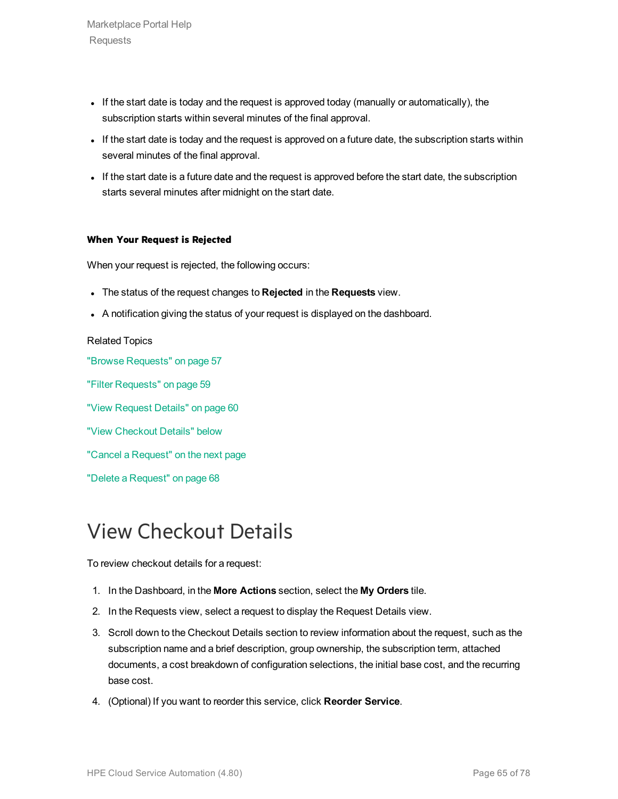Marketplace Portal Help Requests

- If the start date is today and the request is approved today (manually or automatically), the subscription starts within several minutes of the final approval.
- If the start date is today and the request is approved on a future date, the subscription starts within several minutes of the final approval.
- If the start date is a future date and the request is approved before the start date, the subscription starts several minutes after midnight on the start date.

#### <span id="page-64-1"></span>**When Your Request is Rejected**

When your request is rejected, the following occurs:

- <sup>l</sup> The status of the request changes to **Rejected** in the **Requests** view.
- A notification giving the status of your request is displayed on the dashboard.

#### Related Topics

"Browse [Requests"](#page-56-0) on page 57 "Filter [Requests"](#page-58-0) on page 59 "View [Request](#page-59-0) Details" on page 60 "View [Checkout](#page-64-0) Details" below

"Cancel a [Request"](#page-65-0) on the next page

"Delete a [Request"](#page-67-0) on page 68

### <span id="page-64-0"></span>View Checkout Details

To review checkout details for a request:

- 1. In the Dashboard, in the **More Actions** section, select the **My Orders** tile.
- 2. In the Requests view, select a request to display the Request Details view.
- 3. Scroll down to the Checkout Details section to review information about the request, such as the subscription name and a brief description, group ownership, the subscription term, attached documents, a cost breakdown of configuration selections, the initial base cost, and the recurring base cost.
- 4. (Optional) If you want to reorder this service, click **Reorder Service**.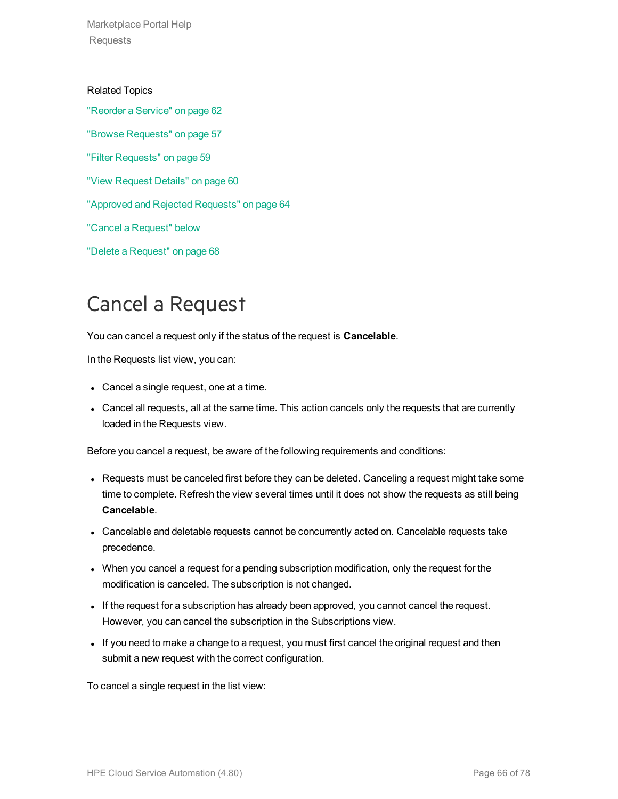Marketplace Portal Help Requests

Related Topics ["Reorder](#page-61-0) a Service" on page 62 "Browse [Requests"](#page-56-0) on page 57 "Filter [Requests"](#page-58-0) on page 59 "View [Request](#page-59-0) Details" on page 60 "Approved and Rejected [Requests"](#page-63-0) on page 64 "Cancel a [Request"](#page-65-0) below "Delete a [Request"](#page-67-0) on page 68

## <span id="page-65-0"></span>Cancel a Request

You can cancel a request only if the status of the request is **Cancelable**.

In the Requests list view, you can:

- Cancel a single request, one at a time.
- Cancel all requests, all at the same time. This action cancels only the requests that are currently loaded in the Requests view.

Before you cancel a request, be aware of the following requirements and conditions:

- Requests must be canceled first before they can be deleted. Canceling a request might take some time to complete. Refresh the view several times until it does not show the requests as still being **Cancelable**.
- Cancelable and deletable requests cannot be concurrently acted on. Cancelable requests take precedence.
- When you cancel a request for a pending subscription modification, only the request for the modification is canceled. The subscription is not changed.
- If the request for a subscription has already been approved, you cannot cancel the request. However, you can cancel the subscription in the Subscriptions view.
- If you need to make a change to a request, you must first cancel the original request and then submit a new request with the correct configuration.

To cancel a single request in the list view: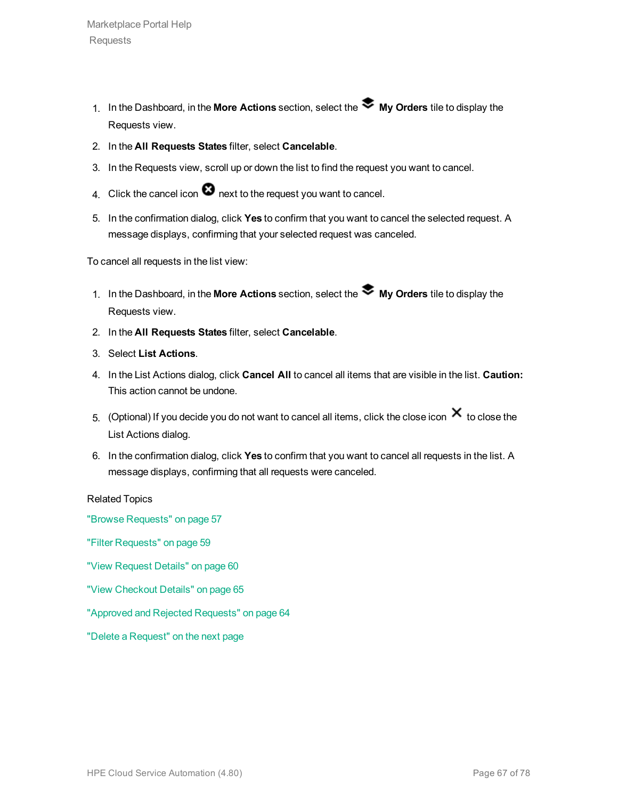- 1. In the Dashboard, in the **More Actions** section, select the **My Orders** tile to display the Requests view.
- 2. In the **All Requests States** filter, select **Cancelable**.
- 3. In the Requests view, scroll up or down the list to find the request you want to cancel.
- 4. Click the cancel icon  $\bullet$  next to the request you want to cancel.
- 5. In the confirmation dialog, click **Yes** to confirm that you want to cancel the selected request. A message displays, confirming that your selected request was canceled.

To cancel all requests in the list view:

- 1. In the Dashboard, in the **More Actions** section, select the **My Orders** tile to display the Requests view.
- 2. In the **All Requests States** filter, select **Cancelable**.
- 3. Select **List Actions**.
- 4. In the List Actions dialog, click **Cancel All** to cancel all items that are visible in the list. **Caution:** This action cannot be undone.
- 5. (Optional) If you decide you do not want to cancel all items, click the close icon  $\bm{\times}$  to close the List Actions dialog.
- 6. In the confirmation dialog, click **Yes** to confirm that you want to cancel all requests in the list. A message displays, confirming that all requests were canceled.

Related Topics

"Browse [Requests"](#page-56-0) on page 57

"Filter [Requests"](#page-58-0) on page 59

"View [Request](#page-59-0) Details" on page 60

"View [Checkout](#page-64-0) Details" on page 65

"Approved and Rejected [Requests"](#page-63-0) on page 64

"Delete a [Request"](#page-67-0) on the next page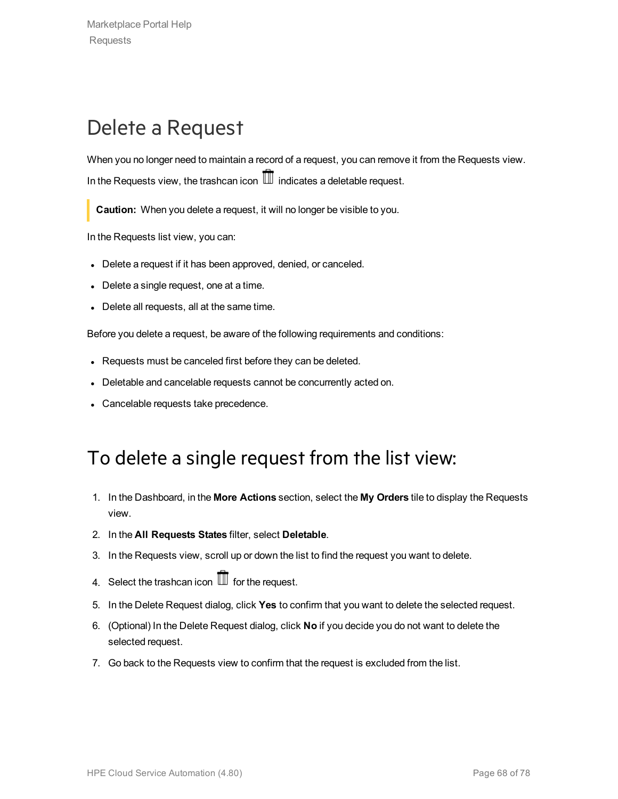## <span id="page-67-0"></span>Delete a Request

When you no longer need to maintain a record of a request, you can remove it from the Requests view. In the Requests view, the trashcan icon  $\mathbb I$  indicates a deletable request.

**Caution:** When you delete a request, it will no longer be visible to you.

In the Requests list view, you can:

- Delete a request if it has been approved, denied, or canceled.
- $\bullet$  Delete a single request, one at a time.
- Delete all requests, all at the same time.

Before you delete a request, be aware of the following requirements and conditions:

- Requests must be canceled first before they can be deleted.
- Deletable and cancelable requests cannot be concurrently acted on.
- Cancelable requests take precedence.

#### To delete a single request from the list view:

- 1. In the Dashboard, in the **More Actions** section, select the **My Orders** tile to display the Requests view.
- 2. In the **All Requests States** filter, select **Deletable**.
- 3. In the Requests view, scroll up or down the list to find the request you want to delete.
- 4. Select the trashcan icon  $\overline{\mathbb{II}}$  for the request.
- 5. In the Delete Request dialog, click **Yes** to confirm that you want to delete the selected request.
- 6. (Optional) In the Delete Request dialog, click **No** if you decide you do not want to delete the selected request.
- 7. Go back to the Requests view to confirm that the request is excluded from the list.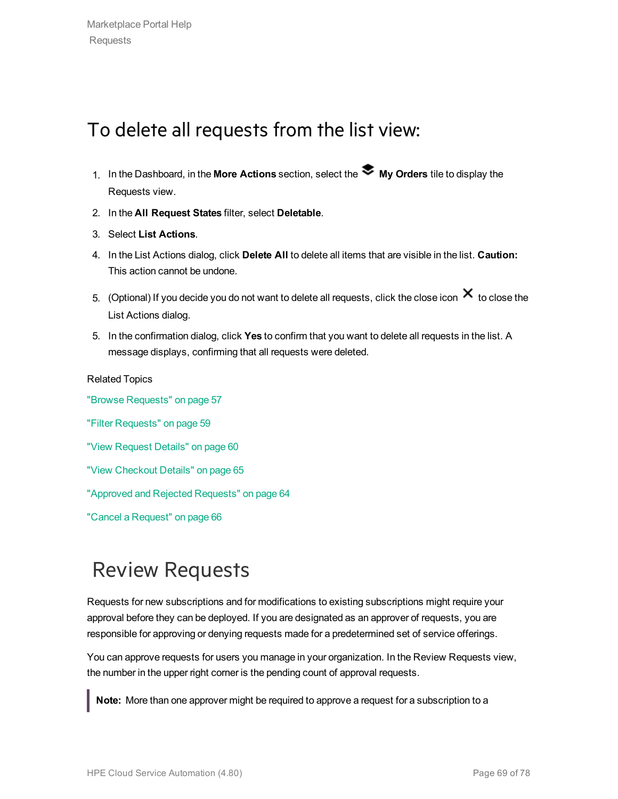### To delete all requests from the list view:

- 1. In the Dashboard, in the **More Actions** section, select the **My Orders** tile to display the Requests view.
- 2. In the **All Request States** filter, select **Deletable**.
- 3. Select **List Actions**.
- 4. In the List Actions dialog, click **Delete All** to delete all items that are visible in the list. **Caution:** This action cannot be undone.
- 5. (Optional) If you decide you do not want to delete all requests, click the close icon  $\bm{\times}$  to close the List Actions dialog.
- 5. In the confirmation dialog, click **Yes** to confirm that you want to delete all requests in the list. A message displays, confirming that all requests were deleted.

Related Topics "Browse [Requests"](#page-56-0) on page 57 "Filter [Requests"](#page-58-0) on page 59 "View [Request](#page-59-0) Details" on page 60 "View [Checkout](#page-64-0) Details" on page 65 "Approved and Rejected [Requests"](#page-63-0) on page 64 "Cancel a [Request"](#page-65-0) on page 66

### Review Requests

Requests for new subscriptions and for modifications to existing subscriptions might require your approval before they can be deployed. If you are designated as an approver of requests, you are responsible for approving or denying requests made for a predetermined set of service offerings.

You can approve requests for users you manage in your organization. In the Review Requests view, the number in the upper right corner is the pending count of approval requests.

**Note:** More than one approver might be required to approve a request for a subscription to a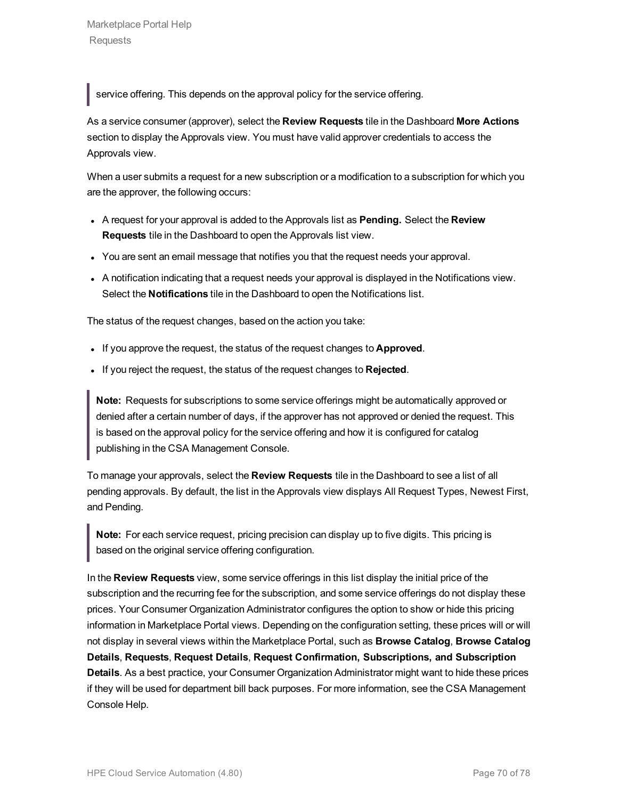service offering. This depends on the approval policy for the service offering.

As a service consumer (approver), select the **Review Requests** tile in the Dashboard **More Actions** section to display the Approvals view. You must have valid approver credentials to access the Approvals view.

When a user submits a request for a new subscription or a modification to a subscription for which you are the approver, the following occurs:

- <sup>l</sup> A request for your approval is added to the Approvals list as **Pending.** Select the **Review Requests** tile in the Dashboard to open the Approvals list view.
- You are sent an email message that notifies you that the request needs your approval.
- A notification indicating that a request needs your approval is displayed in the Notifications view. Select the **Notifications** tile in the Dashboard to open the Notifications list.

The status of the request changes, based on the action you take:

- . If you approve the request, the status of the request changes to **Approved**.
- If you reject the request, the status of the request changes to **Rejected**.

**Note:** Requests for subscriptions to some service offerings might be automatically approved or denied after a certain number of days, if the approver has not approved or denied the request. This is based on the approval policy for the service offering and how it is configured for catalog publishing in the CSA Management Console.

To manage your approvals, select the **Review Requests** tile in the Dashboard to see a list of all pending approvals. By default, the list in the Approvals view displays All Request Types, Newest First, and Pending.

**Note:** For each service request, pricing precision can display up to five digits. This pricing is based on the original service offering configuration.

In the **Review Requests** view, some service offerings in this list display the initial price of the subscription and the recurring fee for the subscription, and some service offerings do not display these prices. Your Consumer Organization Administrator configures the option to show or hide this pricing information in Marketplace Portal views. Depending on the configuration setting, these prices will or will not display in several views within the Marketplace Portal, such as **Browse Catalog**, **Browse Catalog Details**, **Requests**, **Request Details**, **Request Confirmation, Subscriptions, and Subscription Details**. As a best practice, your Consumer Organization Administrator might want to hide these prices if they will be used for department bill back purposes. For more information, see the CSA Management Console Help.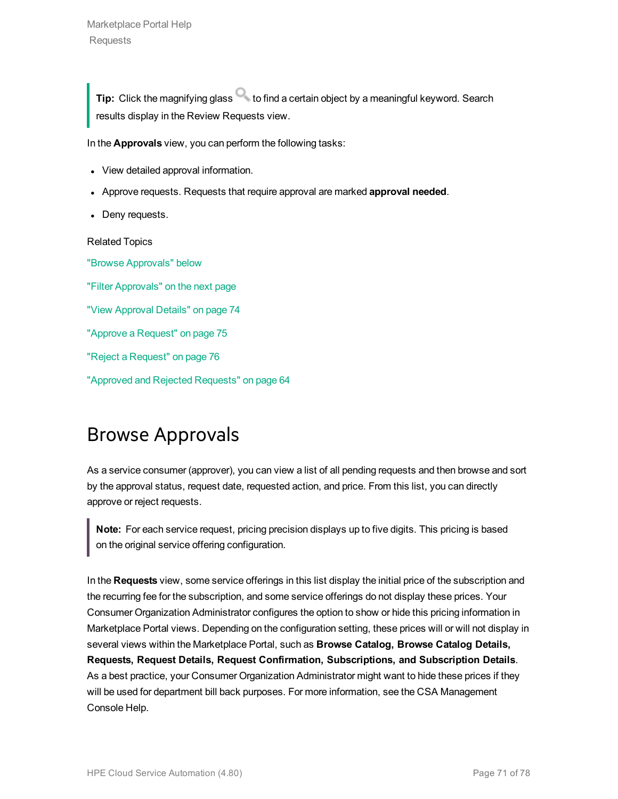**Tip:** Click the magnifying glass to find a certain object by a meaningful keyword. Search results display in the Review Requests view.

In the **Approvals** view, you can perform the following tasks:

- View detailed approval information.
- <sup>l</sup> Approve requests. Requests that require approval are marked **approval needed**.
- Deny requests.

Related Topics

"Browse [Approvals"](#page-70-0) below "Filter [Approvals"](#page-71-0) on the next page "View [Approval](#page-73-0) Details" on page 74 "Approve a [Request"](#page-74-0) on page 75 "Reject a [Request"](#page-75-0) on page 76 "Approved and Rejected [Requests"](#page-63-0) on page 64

### <span id="page-70-0"></span>Browse Approvals

As a service consumer (approver), you can view a list of all pending requests and then browse and sort by the approval status, request date, requested action, and price. From this list, you can directly approve or reject requests.

**Note:** For each service request, pricing precision displays up to five digits. This pricing is based on the original service offering configuration.

In the **Requests** view, some service offerings in this list display the initial price of the subscription and the recurring fee for the subscription, and some service offerings do not display these prices. Your Consumer Organization Administrator configures the option to show or hide this pricing information in Marketplace Portal views. Depending on the configuration setting, these prices will or will not display in several views within the Marketplace Portal, such as **Browse Catalog, Browse Catalog Details, Requests, Request Details, Request Confirmation, Subscriptions, and Subscription Details**. As a best practice, your Consumer Organization Administrator might want to hide these prices if they will be used for department bill back purposes. For more information, see the CSA Management Console Help.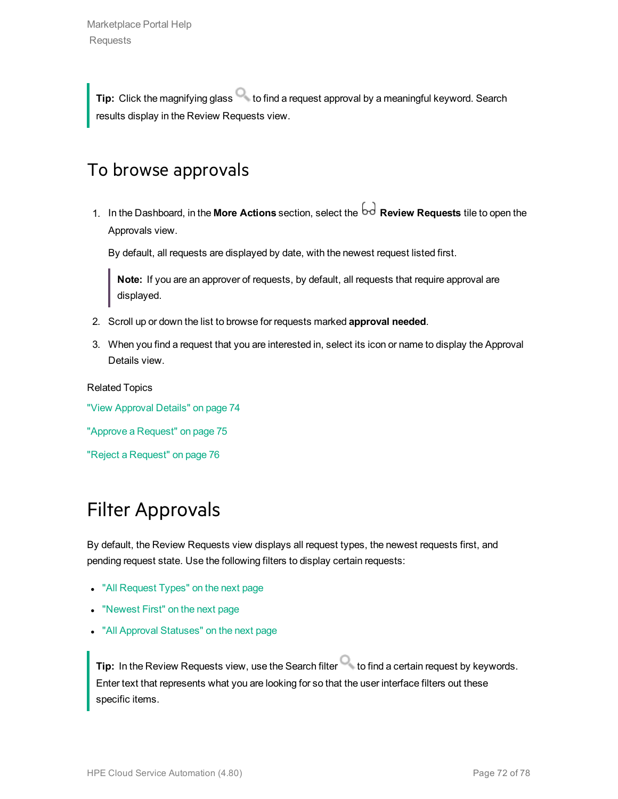**Tip:** Click the magnifying glass **that is constrained a request approval by a meaningful keyword. Search** results display in the Review Requests view.

#### To browse approvals

1. In the Dashboard, in the **More Actions** section, select the **Review Requests** tile to open the Approvals view.

By default, all requests are displayed by date, with the newest request listed first.

**Note:** If you are an approver of requests, by default, all requests that require approval are displayed.

- 2. Scroll up or down the list to browse for requests marked **approval needed**.
- 3. When you find a request that you are interested in, select its icon or name to display the Approval Details view.

Related Topics

"View [Approval](#page-73-0) Details" on page 74

"Approve a [Request"](#page-74-0) on page 75

<span id="page-71-0"></span>"Reject a [Request"](#page-75-0) on page 76

### Filter Approvals

By default, the Review Requests view displays all request types, the newest requests first, and pending request state. Use the following filters to display certain requests:

- "All [Request](#page-72-0) Types" on the next page
- ["Newest](#page-72-1) First" on the next page
- "All Approval [Statuses"](#page-72-2) on the next page

**Tip:** In the Review Requests view, use the Search filter **the filter of the Search filter** to find a certain request by keywords. Enter text that represents what you are looking for so that the user interface filters out these specific items.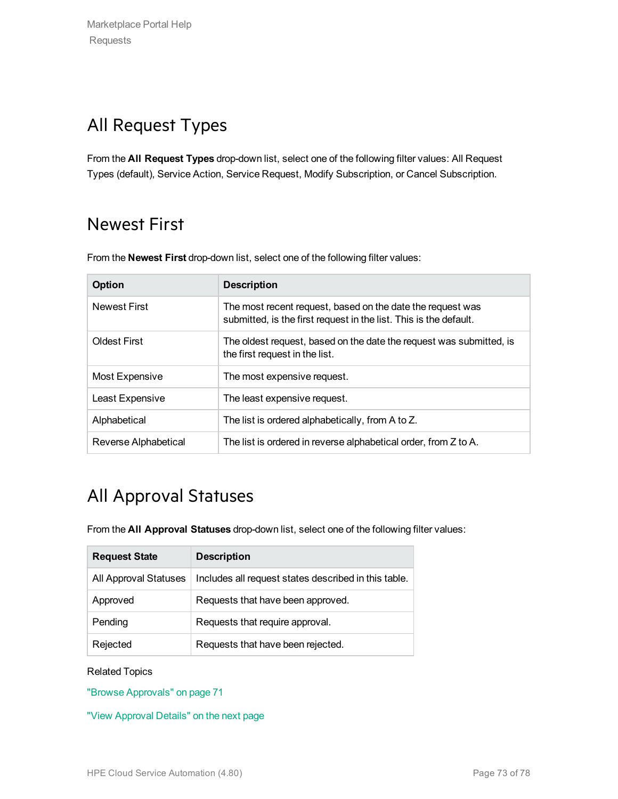## All Request Types

From the **All Request Types** drop-down list, select one of the following filter values: All Request Types (default), Service Action, Service Request, Modify Subscription, or Cancel Subscription.

## Newest First

From the **Newest First** drop-down list, select one of the following filter values:

| Option               | <b>Description</b>                                                                                                              |
|----------------------|---------------------------------------------------------------------------------------------------------------------------------|
| <b>Newest First</b>  | The most recent request, based on the date the request was<br>submitted, is the first request in the list. This is the default. |
| <b>Oldest First</b>  | The oldest request, based on the date the request was submitted, is<br>the first request in the list.                           |
| Most Expensive       | The most expensive request.                                                                                                     |
| Least Expensive      | The least expensive request.                                                                                                    |
| Alphabetical         | The list is ordered alphabetically, from A to Z.                                                                                |
| Reverse Alphabetical | The list is ordered in reverse alphabetical order, from Z to A.                                                                 |

## All Approval Statuses

From the **All Approval Statuses** drop-down list, select one of the following filter values:

| <b>Request State</b>  | <b>Description</b>                                   |
|-----------------------|------------------------------------------------------|
| All Approval Statuses | Includes all request states described in this table. |
| Approved              | Requests that have been approved.                    |
| Pending               | Requests that require approval.                      |
| Rejected              | Requests that have been rejected.                    |

#### Related Topics

"Browse [Approvals"](#page-70-0) on page 71

"View [Approval](#page-73-0) Details" on the next page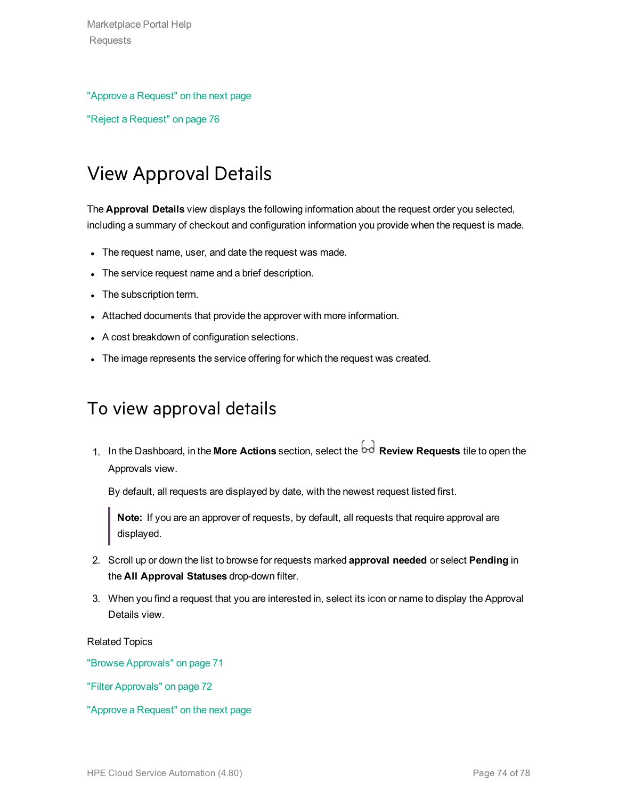#### "Approve a [Request"](#page-74-0) on the next page

<span id="page-73-0"></span>"Reject a [Request"](#page-75-0) on page 76

## View Approval Details

The **Approval Details** view displays the following information about the request order you selected, including a summary of checkout and configuration information you provide when the request is made.

- The request name, user, and date the request was made.
- The service request name and a brief description.
- The subscription term.
- Attached documents that provide the approver with more information.
- A cost breakdown of configuration selections.
- The image represents the service offering for which the request was created.

#### To view approval details

1. In the Dashboard, in the **More Actions** section, select the **Review Requests** tile to open the Approvals view.

By default, all requests are displayed by date, with the newest request listed first.

**Note:** If you are an approver of requests, by default, all requests that require approval are displayed.

- 2. Scroll up or down the list to browse for requests marked **approval needed** or select **Pending** in the **All Approval Statuses** drop-down filter.
- 3. When you find a request that you are interested in, select its icon or name to display the Approval Details view.

Related Topics

"Browse [Approvals"](#page-70-0) on page 71

"Filter [Approvals"](#page-71-0) on page 72

"Approve a [Request"](#page-74-0) on the next page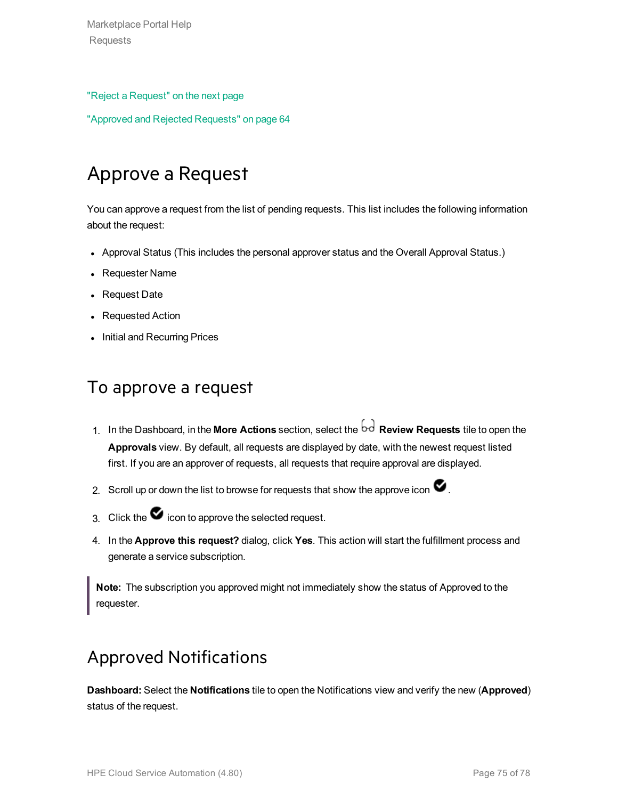Marketplace Portal Help Requests

#### "Reject a [Request"](#page-75-0) on the next page

<span id="page-74-0"></span>"Approved and Rejected [Requests"](#page-63-0) on page 64

## Approve a Request

You can approve a request from the list of pending requests. This list includes the following information about the request:

- Approval Status (This includes the personal approver status and the Overall Approval Status.)
- Requester Name
- Request Date
- Requested Action
- Initial and Recurring Prices

#### To approve a request

- 1. In the Dashboard, in the **More Actions** section, select the **Review Requests** tile to open the **Approvals** view. By default, all requests are displayed by date, with the newest request listed first. If you are an approver of requests, all requests that require approval are displayed.
- 2. Scroll up or down the list to browse for requests that show the approve icon  $\blacktriangledown$ .
- 3. Click the  $\bullet$  icon to approve the selected request.
- 4. In the **Approve this request?** dialog, click **Yes**. This action will start the fulfillment process and generate a service subscription.

**Note:** The subscription you approved might not immediately show the status of Approved to the requester.

### Approved Notifications

**Dashboard:** Select the **Notifications** tile to open the Notifications view and verify the new (**Approved**) status of the request.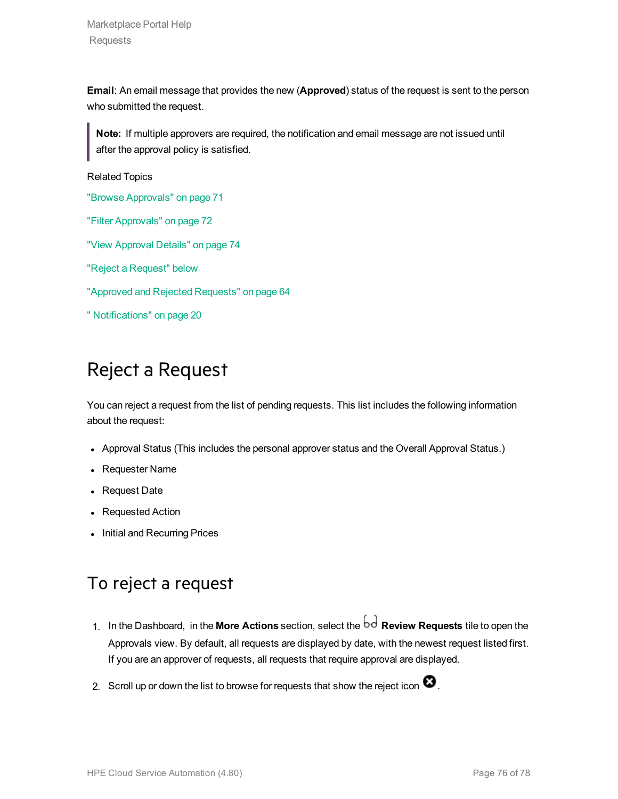Marketplace Portal Help Requests

**Email**: An email message that provides the new (**Approved**) status of the request is sent to the person who submitted the request.

**Note:** If multiple approvers are required, the notification and email message are not issued until after the approval policy is satisfied.

Related Topics

"Browse [Approvals"](#page-70-0) on page 71

"Filter [Approvals"](#page-71-0) on page 72

"View [Approval](#page-73-0) Details" on page 74

"Reject a [Request"](#page-75-0) below

"Approved and Rejected [Requests"](#page-63-0) on page 64

<span id="page-75-0"></span>" [Notifications"](#page-19-0) on page 20

### Reject a Request

You can reject a request from the list of pending requests. This list includes the following information about the request:

- Approval Status (This includes the personal approver status and the Overall Approval Status.)
- Requester Name
- Request Date
- Requested Action
- Initial and Recurring Prices

### To reject a request

- 1. In the Dashboard, in the More Actions section, select the  $\overline{bd}$  Review Requests tile to open the Approvals view. By default, all requests are displayed by date, with the newest request listed first. If you are an approver of requests, all requests that require approval are displayed.
- 2. Scroll up or down the list to browse for requests that show the reject icon  $\bullet$ .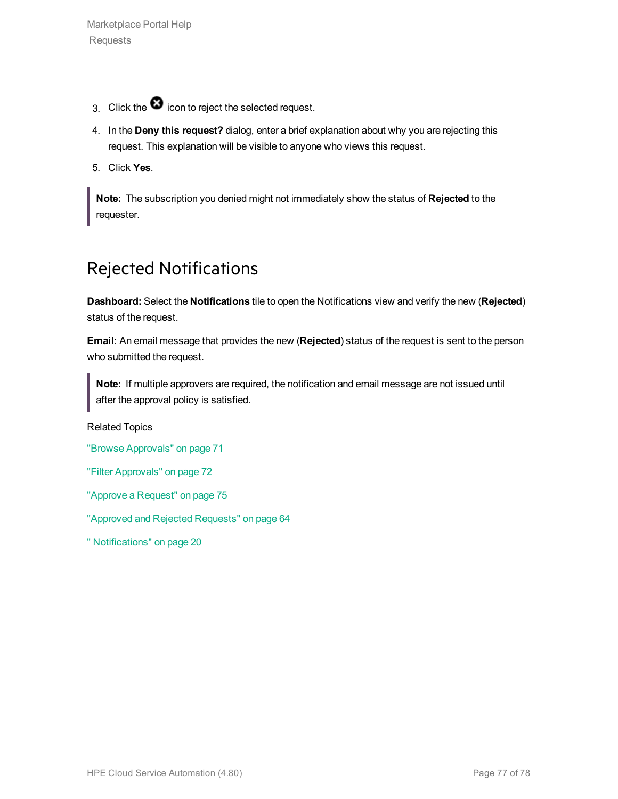- 3. Click the  $\bullet$  icon to reject the selected request.
- 4. In the **Deny this request?** dialog, enter a brief explanation about why you are rejecting this request. This explanation will be visible to anyone who views this request.
- 5. Click **Yes**.

**Note:** The subscription you denied might not immediately show the status of **Rejected** to the requester.

### Rejected Notifications

**Dashboard:** Select the **Notifications** tile to open the Notifications view and verify the new (**Rejected**) status of the request.

**Email**: An email message that provides the new (**Rejected**) status of the request is sent to the person who submitted the request.

**Note:** If multiple approvers are required, the notification and email message are not issued until after the approval policy is satisfied.

Related Topics

"Browse [Approvals"](#page-70-0) on page 71

"Filter [Approvals"](#page-71-0) on page 72

"Approve a [Request"](#page-74-0) on page 75

"Approved and Rejected [Requests"](#page-63-0) on page 64

" [Notifications"](#page-19-0) on page 20